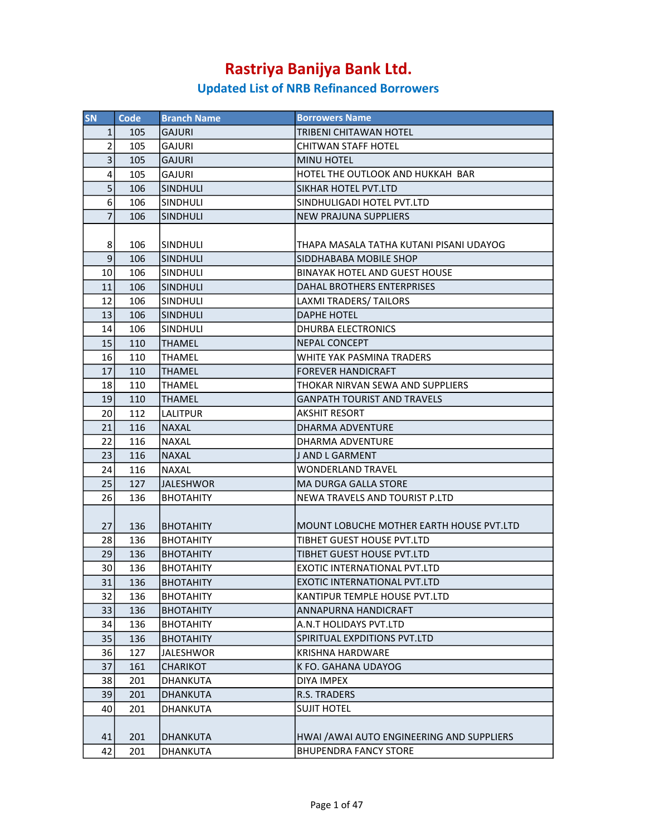| SN             | Code | <b>Branch Name</b> | <b>Borrowers Name</b>                      |
|----------------|------|--------------------|--------------------------------------------|
| $\mathbf{1}$   | 105  | <b>GAJURI</b>      | <b>TRIBENI CHITAWAN HOTEL</b>              |
| $\overline{2}$ | 105  | <b>GAJURI</b>      | CHITWAN STAFF HOTEL                        |
| 3 <sup>1</sup> | 105  | <b>GAJURI</b>      | <b>MINU HOTEL</b>                          |
| 4              | 105  | <b>GAJURI</b>      | HOTEL THE OUTLOOK AND HUKKAH BAR           |
| 5              | 106  | <b>SINDHULI</b>    | SIKHAR HOTEL PVT.LTD                       |
| 6              | 106  | <b>SINDHULI</b>    | SINDHULIGADI HOTEL PVT.LTD                 |
| $\overline{7}$ | 106  | <b>SINDHULI</b>    | <b>NEW PRAJUNA SUPPLIERS</b>               |
|                |      |                    |                                            |
| 8              | 106  | ISINDHULI          | THAPA MASALA TATHA KUTANI PISANI UDAYOG    |
| $\overline{9}$ | 106  | <b>SINDHULI</b>    | SIDDHABABA MOBILE SHOP                     |
| 10             | 106  | SINDHULI           | <b>BINAYAK HOTEL AND GUEST HOUSE</b>       |
| 11             | 106  | <b>SINDHULI</b>    | DAHAL BROTHERS ENTERPRISES                 |
| 12             | 106  | <b>SINDHULI</b>    | LAXMI TRADERS/ TAILORS                     |
| 13             | 106  | <b>SINDHULI</b>    | <b>DAPHE HOTEL</b>                         |
| 14             | 106  | <b>SINDHULI</b>    | DHURBA ELECTRONICS                         |
| 15             | 110  | <b>THAMEL</b>      | <b>NEPAL CONCEPT</b>                       |
| 16             | 110  | THAMEL             | WHITE YAK PASMINA TRADERS                  |
| 17             | 110  | <b>THAMEL</b>      | <b>FOREVER HANDICRAFT</b>                  |
| 18             | 110  | <b>THAMEL</b>      | THOKAR NIRVAN SEWA AND SUPPLIERS           |
| 19             | 110  | <b>THAMEL</b>      | <b>GANPATH TOURIST AND TRAVELS</b>         |
| 20             | 112  | <b>LALITPUR</b>    | <b>AKSHIT RESORT</b>                       |
| 21             | 116  | <b>NAXAL</b>       | DHARMA ADVENTURE                           |
| 22             | 116  | <b>NAXAL</b>       | DHARMA ADVENTURE                           |
| 23             | 116  | <b>NAXAL</b>       | J AND L GARMENT                            |
| 24             | 116  | <b>NAXAL</b>       | <b>WONDERLAND TRAVEL</b>                   |
| 25             | 127  | <b>JALESHWOR</b>   | <b>MA DURGA GALLA STORE</b>                |
| 26             | 136  | <b>BHOTAHITY</b>   | NEWA TRAVELS AND TOURIST P.LTD             |
|                |      |                    |                                            |
| 27             | 136  | <b>BHOTAHITY</b>   | MOUNT LOBUCHE MOTHER EARTH HOUSE PVT.LTD   |
| 28             | 136  | <b>BHOTAHITY</b>   | TIBHET GUEST HOUSE PVT.LTD                 |
| 29             | 136  | <b>BHOTAHITY</b>   | TIBHET GUEST HOUSE PVT.LTD                 |
| 30             | 136  | <b>BHOTAHITY</b>   | EXOTIC INTERNATIONAL PVT.LTD               |
| 31             | 136  | <b>BHOTAHITY</b>   | EXOTIC INTERNATIONAL PVT.LTD               |
| 32             | 136  | <b>BHOTAHITY</b>   | KANTIPUR TEMPLE HOUSE PVT.LTD              |
| 33             | 136  | <b>BHOTAHITY</b>   | ANNAPURNA HANDICRAFT                       |
| 34             | 136  | <b>BHOTAHITY</b>   | A.N.T HOLIDAYS PVT.LTD                     |
| 35             | 136  | <b>BHOTAHITY</b>   | SPIRITUAL EXPDITIONS PVT.LTD               |
| 36             | 127  | <b>JALESHWOR</b>   | <b>KRISHNA HARDWARE</b>                    |
| 37             | 161  | CHARIKOT           | K FO. GAHANA UDAYOG                        |
| 38             | 201  | DHANKUTA           | DIYA IMPEX                                 |
| 39             | 201  | DHANKUTA           | R.S. TRADERS                               |
| 40             | 201  | DHANKUTA           | <b>SUJIT HOTEL</b>                         |
|                |      |                    |                                            |
| 41             | 201  | DHANKUTA           | HWAI / AWAI AUTO ENGINEERING AND SUPPLIERS |
| 42             | 201  | DHANKUTA           | <b>BHUPENDRA FANCY STORE</b>               |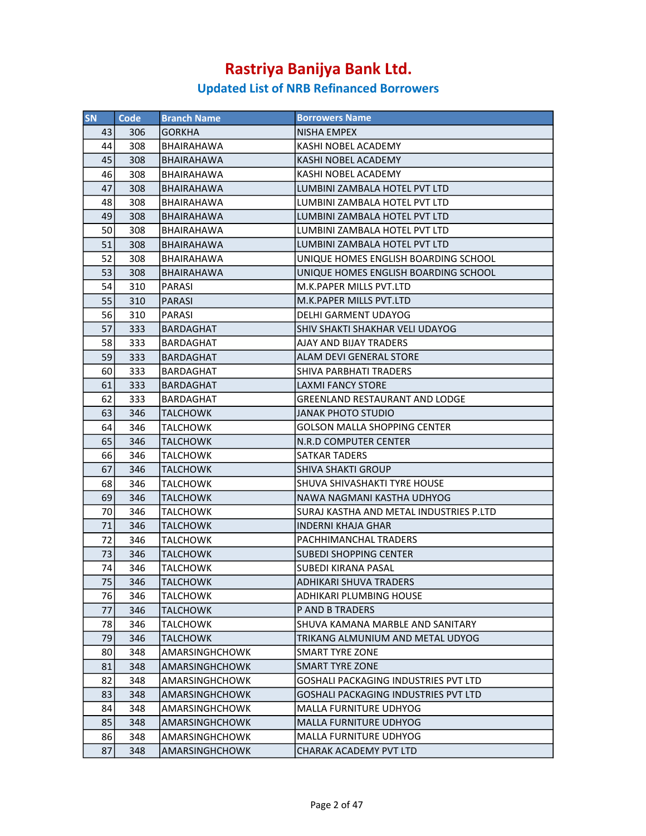| <b>SN</b> | Code | <b>Branch Name</b>    | <b>Borrowers Name</b>                       |
|-----------|------|-----------------------|---------------------------------------------|
| 43        | 306  | <b>GORKHA</b>         | NISHA EMPEX                                 |
| 44        | 308  | BHAIRAHAWA            | KASHI NOBEL ACADEMY                         |
| 45        | 308  | <b>BHAIRAHAWA</b>     | KASHI NOBEL ACADEMY                         |
| 46        | 308  | BHAIRAHAWA            | KASHI NOBEL ACADEMY                         |
| 47        | 308  | <b>BHAIRAHAWA</b>     | LUMBINI ZAMBALA HOTEL PVT LTD               |
| 48        | 308  | <b>BHAIRAHAWA</b>     | LUMBINI ZAMBALA HOTEL PVT LTD               |
| 49        | 308  | <b>BHAIRAHAWA</b>     | LUMBINI ZAMBALA HOTEL PVT LTD               |
| 50        | 308  | BHAIRAHAWA            | LUMBINI ZAMBALA HOTEL PVT LTD               |
| 51        | 308  | <b>BHAIRAHAWA</b>     | LUMBINI ZAMBALA HOTEL PVT LTD               |
| 52        | 308  | <b>BHAIRAHAWA</b>     | UNIQUE HOMES ENGLISH BOARDING SCHOOL        |
| 53        | 308  | <b>BHAIRAHAWA</b>     | UNIQUE HOMES ENGLISH BOARDING SCHOOL        |
| 54        | 310  | PARASI                | M.K.PAPER MILLS PVT.LTD                     |
| 55        | 310  | <b>PARASI</b>         | M.K.PAPER MILLS PVT.LTD                     |
| 56        | 310  | <b>PARASI</b>         | <b>DELHI GARMENT UDAYOG</b>                 |
| 57        | 333  | <b>BARDAGHAT</b>      | <b>SHIV SHAKTI SHAKHAR VELI UDAYOG</b>      |
| 58        | 333  | BARDAGHAT             | AJAY AND BIJAY TRADERS                      |
| 59        | 333  | BARDAGHAT             | ALAM DEVI GENERAL STORE                     |
| 60        | 333  | BARDAGHAT             | <b>SHIVA PARBHATI TRADERS</b>               |
| 61        | 333  | <b>BARDAGHAT</b>      | <b>LAXMI FANCY STORE</b>                    |
| 62        | 333  | <b>BARDAGHAT</b>      | <b>GREENLAND RESTAURANT AND LODGE</b>       |
| 63        | 346  | TALCHOWK              | <b>JANAK PHOTO STUDIO</b>                   |
| 64        | 346  | TALCHOWK              | <b>GOLSON MALLA SHOPPING CENTER</b>         |
| 65        | 346  | <b>TALCHOWK</b>       | N.R.D COMPUTER CENTER                       |
| 66        | 346  | TALCHOWK              | <b>SATKAR TADERS</b>                        |
| 67        | 346  | <b>TALCHOWK</b>       | SHIVA SHAKTI GROUP                          |
| 68        | 346  | TALCHOWK              | <b>SHUVA SHIVASHAKTI TYRE HOUSE</b>         |
| 69        | 346  | <b>TALCHOWK</b>       | NAWA NAGMANI KASTHA UDHYOG                  |
| 70        | 346  | <b>TALCHOWK</b>       | SURAJ KASTHA AND METAL INDUSTRIES P.LTD     |
| 71        | 346  | <b>TALCHOWK</b>       | <b>INDERNI KHAJA GHAR</b>                   |
| 72        | 346  | <b>TALCHOWK</b>       | PACHHIMANCHAL TRADERS                       |
| 73        | 346  | TALCHOWK              | SUBEDI SHOPPING CENTER                      |
| 74        | 346  | <b>TALCHOWK</b>       | SUBEDI KIRANA PASAL                         |
| 75        | 346  | <b>TALCHOWK</b>       | ADHIKARI SHUVA TRADERS                      |
| 76        | 346  | TALCHOWK              | ADHIKARI PLUMBING HOUSE                     |
| 77        | 346  | <b>TALCHOWK</b>       | P AND B TRADERS                             |
| 78        | 346  | <b>TALCHOWK</b>       | SHUVA KAMANA MARBLE AND SANITARY            |
| 79        | 346  | TALCHOWK              | TRIKANG ALMUNIUM AND METAL UDYOG            |
| 80        | 348  | <b>AMARSINGHCHOWK</b> | <b>SMART TYRE ZONE</b>                      |
| 81        | 348  | AMARSINGHCHOWK        | SMART TYRE ZONE                             |
| 82        | 348  | AMARSINGHCHOWK        | <b>GOSHALI PACKAGING INDUSTRIES PVT LTD</b> |
| 83        | 348  | <b>AMARSINGHCHOWK</b> | <b>GOSHALI PACKAGING INDUSTRIES PVT LTD</b> |
| 84        | 348  | AMARSINGHCHOWK        | MALLA FURNITURE UDHYOG                      |
| 85        | 348  | AMARSINGHCHOWK        | MALLA FURNITURE UDHYOG                      |
| 86        | 348  | AMARSINGHCHOWK        | <b>MALLA FURNITURE UDHYOG</b>               |
| 87        | 348  | AMARSINGHCHOWK        | <b>CHARAK ACADEMY PVT LTD</b>               |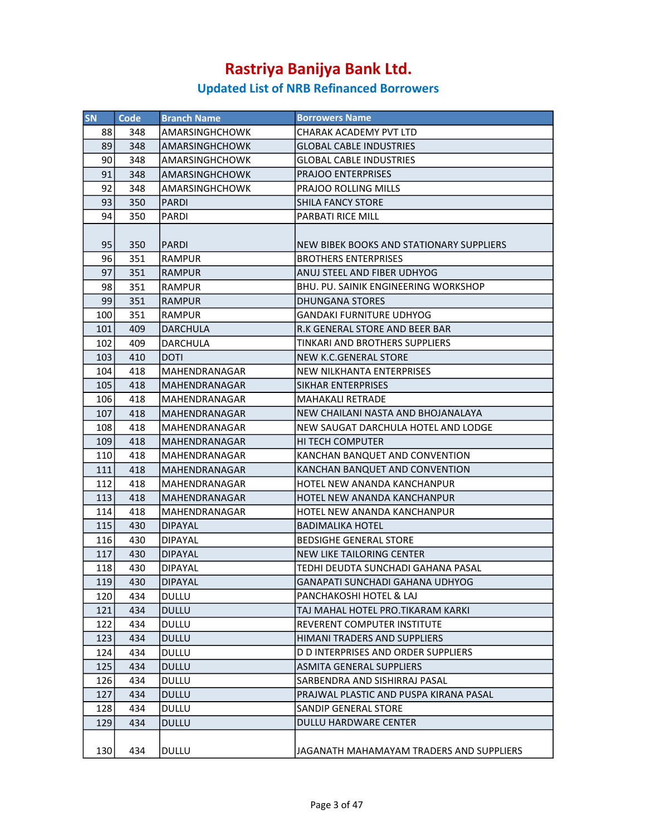| <b>SN</b> | <b>Code</b> | <b>Branch Name</b>    | <b>Borrowers Name</b>                       |
|-----------|-------------|-----------------------|---------------------------------------------|
| 88        | 348         | AMARSINGHCHOWK        | CHARAK ACADEMY PVT LTD                      |
| 89        | 348         | <b>AMARSINGHCHOWK</b> | <b>GLOBAL CABLE INDUSTRIES</b>              |
| 90        | 348         | <b>AMARSINGHCHOWK</b> | GLOBAL CABLE INDUSTRIES                     |
| 91        | 348         | AMARSINGHCHOWK        | <b>PRAJOO ENTERPRISES</b>                   |
| 92        | 348         | AMARSINGHCHOWK        | PRAJOO ROLLING MILLS                        |
| 93        | 350         | PARDI                 | SHILA FANCY STORE                           |
| 94        | 350         | PARDI                 | PARBATI RICE MILL                           |
|           |             |                       |                                             |
| 95        | 350         | PARDI                 | NEW BIBEK BOOKS AND STATIONARY SUPPLIERS    |
| 96        | 351         | <b>RAMPUR</b>         | <b>BROTHERS ENTERPRISES</b>                 |
| 97        | 351         | <b>RAMPUR</b>         | ANUJ STEEL AND FIBER UDHYOG                 |
| 98        | 351         | RAMPUR                | <b>BHU. PU. SAINIK ENGINEERING WORKSHOP</b> |
| 99        | 351         | <b>RAMPUR</b>         | <b>DHUNGANA STORES</b>                      |
| 100       | 351         | RAMPUR                | <b>GANDAKI FURNITURE UDHYOG</b>             |
| 101       | 409         | DARCHULA              | R.K GENERAL STORE AND BEER BAR              |
| 102       | 409         | DARCHULA              | TINKARI AND BROTHERS SUPPLIERS              |
| 103       | 410         | <b>DOTI</b>           | <b>NEW K.C.GENERAL STORE</b>                |
| 104       | 418         | MAHENDRANAGAR         | <b>NEW NILKHANTA ENTERPRISES</b>            |
| 105       | 418         | MAHENDRANAGAR         | SIKHAR ENTERPRISES                          |
| 106       | 418         | MAHENDRANAGAR         | MAHAKALI RETRADE                            |
| 107       | 418         | MAHENDRANAGAR         | NEW CHAILANI NASTA AND BHOJANALAYA          |
| 108       | 418         | MAHENDRANAGAR         | NEW SAUGAT DARCHULA HOTEL AND LODGE         |
| 109       | 418         | MAHENDRANAGAR         | <b>HI TECH COMPUTER</b>                     |
| 110       | 418         | MAHENDRANAGAR         | KANCHAN BANQUET AND CONVENTION              |
| 111       | 418         | MAHENDRANAGAR         | KANCHAN BANQUET AND CONVENTION              |
| 112       | 418         | MAHENDRANAGAR         | HOTEL NEW ANANDA KANCHANPUR                 |
| 113       | 418         | MAHENDRANAGAR         | HOTEL NEW ANANDA KANCHANPUR                 |
| 114       | 418         | MAHENDRANAGAR         | HOTEL NEW ANANDA KANCHANPUR                 |
| 115       | 430         | <b>DIPAYAL</b>        | BADIMALIKA HOTEL                            |
| 116       | 430         | <b>DIPAYAL</b>        | <b>BEDSIGHE GENERAL STORE</b>               |
| 117       | 430         | <b>DIPAYAL</b>        | NEW LIKE TAILORING CENTER                   |
| 118       | 430         | <b>DIPAYAL</b>        | TEDHI DEUDTA SUNCHADI GAHANA PASAL          |
| 119       | 430         | DIPAYAL               | GANAPATI SUNCHADI GAHANA UDHYOG             |
| 120       | 434         | DULLU                 | PANCHAKOSHI HOTEL & LAJ                     |
| 121       | 434         | <b>DULLU</b>          | TAJ MAHAL HOTEL PRO.TIKARAM KARKI           |
| 122       | 434         | <b>DULLU</b>          | <b>REVERENT COMPUTER INSTITUTE</b>          |
| 123       | 434         | <b>DULLU</b>          | HIMANI TRADERS AND SUPPLIERS                |
| 124       | 434         | DULLU                 | D D INTERPRISES AND ORDER SUPPLIERS         |
| 125       | 434         | <b>DULLU</b>          | ASMITA GENERAL SUPPLIERS                    |
| 126       | 434         | DULLU                 | SARBENDRA AND SISHIRRAJ PASAL               |
| 127       | 434         | <b>DULLU</b>          | PRAJWAL PLASTIC AND PUSPA KIRANA PASAL      |
| 128       | 434         | DULLU                 | SANDIP GENERAL STORE                        |
| 129       | 434         | <b>DULLU</b>          | <b>DULLU HARDWARE CENTER</b>                |
|           |             |                       |                                             |
| 130       | 434         | DULLU                 | JAGANATH MAHAMAYAM TRADERS AND SUPPLIERS    |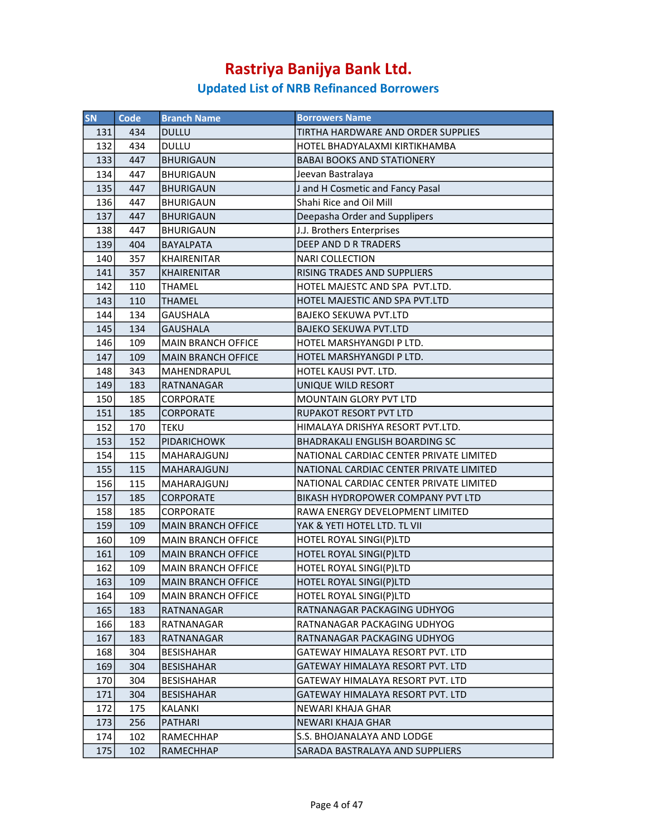| SN  | Code | <b>Branch Name</b>        | <b>Borrowers Name</b>                    |
|-----|------|---------------------------|------------------------------------------|
| 131 | 434  | <b>DULLU</b>              | TIRTHA HARDWARE AND ORDER SUPPLIES       |
| 132 | 434  | <b>DULLU</b>              | HOTEL BHADYALAXMI KIRTIKHAMBA            |
| 133 | 447  | <b>BHURIGAUN</b>          | <b>BABAI BOOKS AND STATIONERY</b>        |
| 134 | 447  | <b>BHURIGAUN</b>          | Jeevan Bastralaya                        |
| 135 | 447  | <b>BHURIGAUN</b>          | J and H Cosmetic and Fancy Pasal         |
| 136 | 447  | <b>BHURIGAUN</b>          | Shahi Rice and Oil Mill                  |
| 137 | 447  | <b>BHURIGAUN</b>          | Deepasha Order and Supplipers            |
| 138 | 447  | BHURIGAUN                 | J.J. Brothers Enterprises                |
| 139 | 404  | <b>BAYALPATA</b>          | DEEP AND D R TRADERS                     |
| 140 | 357  | <b>KHAIRENITAR</b>        | <b>NARI COLLECTION</b>                   |
| 141 | 357  | <b>KHAIRENITAR</b>        | RISING TRADES AND SUPPLIERS              |
| 142 | 110  | <b>THAMEL</b>             | HOTEL MAJESTC AND SPA PVT.LTD.           |
| 143 | 110  | <b>THAMEL</b>             | HOTEL MAJESTIC AND SPA PVT.LTD           |
| 144 | 134  | <b>GAUSHALA</b>           | <b>BAJEKO SEKUWA PVT.LTD</b>             |
| 145 | 134  | <b>GAUSHALA</b>           | <b>BAJEKO SEKUWA PVT.LTD</b>             |
| 146 | 109  | <b>MAIN BRANCH OFFICE</b> | HOTEL MARSHYANGDI P LTD.                 |
| 147 | 109  | <b>MAIN BRANCH OFFICE</b> | HOTEL MARSHYANGDI P LTD.                 |
| 148 | 343  | MAHENDRAPUL               | HOTEL KAUSI PVT. LTD.                    |
| 149 | 183  | RATNANAGAR                | UNIQUE WILD RESORT                       |
| 150 | 185  | <b>CORPORATE</b>          | <b>MOUNTAIN GLORY PVT LTD</b>            |
| 151 | 185  | <b>CORPORATE</b>          | RUPAKOT RESORT PVT LTD                   |
| 152 | 170  | TEKU                      | HIMALAYA DRISHYA RESORT PVT.LTD.         |
| 153 | 152  | <b>PIDARICHOWK</b>        | <b>BHADRAKALI ENGLISH BOARDING SC</b>    |
| 154 | 115  | MAHARAJGUNJ               | NATIONAL CARDIAC CENTER PRIVATE LIMITED  |
| 155 | 115  | <b>MAHARAJGUNJ</b>        | NATIONAL CARDIAC CENTER PRIVATE LIMITED  |
| 156 | 115  | MAHARAJGUNJ               | NATIONAL CARDIAC CENTER PRIVATE LIMITED  |
| 157 | 185  | <b>CORPORATE</b>          | <b>BIKASH HYDROPOWER COMPANY PVT LTD</b> |
| 158 | 185  | <b>CORPORATE</b>          | RAWA ENERGY DEVELOPMENT LIMITED          |
| 159 | 109  | <b>MAIN BRANCH OFFICE</b> | YAK & YETI HOTEL LTD. TL VII             |
| 160 | 109  | <b>MAIN BRANCH OFFICE</b> | HOTEL ROYAL SINGI(P)LTD                  |
| 161 | 109  | <b>MAIN BRANCH OFFICE</b> | HOTEL ROYAL SINGI(P)LTD                  |
| 162 | 109  | <b>MAIN BRANCH OFFICE</b> | HOTEL ROYAL SINGI(P)LTD                  |
| 163 | 109  | MAIN BRANCH OFFICE        | HOTEL ROYAL SINGI(P)LTD                  |
| 164 | 109  | <b>MAIN BRANCH OFFICE</b> | HOTEL ROYAL SINGI(P)LTD                  |
| 165 | 183  | RATNANAGAR                | RATNANAGAR PACKAGING UDHYOG              |
| 166 | 183  | RATNANAGAR                | RATNANAGAR PACKAGING UDHYOG              |
| 167 | 183  | RATNANAGAR                | RATNANAGAR PACKAGING UDHYOG              |
| 168 | 304  | <b>BESISHAHAR</b>         | GATEWAY HIMALAYA RESORT PVT. LTD         |
| 169 | 304  | <b>BESISHAHAR</b>         | GATEWAY HIMALAYA RESORT PVT. LTD         |
| 170 | 304  | <b>BESISHAHAR</b>         | GATEWAY HIMALAYA RESORT PVT. LTD         |
| 171 | 304  | <b>BESISHAHAR</b>         | <b>GATEWAY HIMALAYA RESORT PVT. LTD</b>  |
| 172 | 175  | KALANKI                   | NEWARI KHAJA GHAR                        |
| 173 | 256  | <b>PATHARI</b>            | NEWARI KHAJA GHAR                        |
| 174 | 102  | RAMECHHAP                 | S.S. BHOJANALAYA AND LODGE               |
| 175 | 102  | RAMECHHAP                 | SARADA BASTRALAYA AND SUPPLIERS          |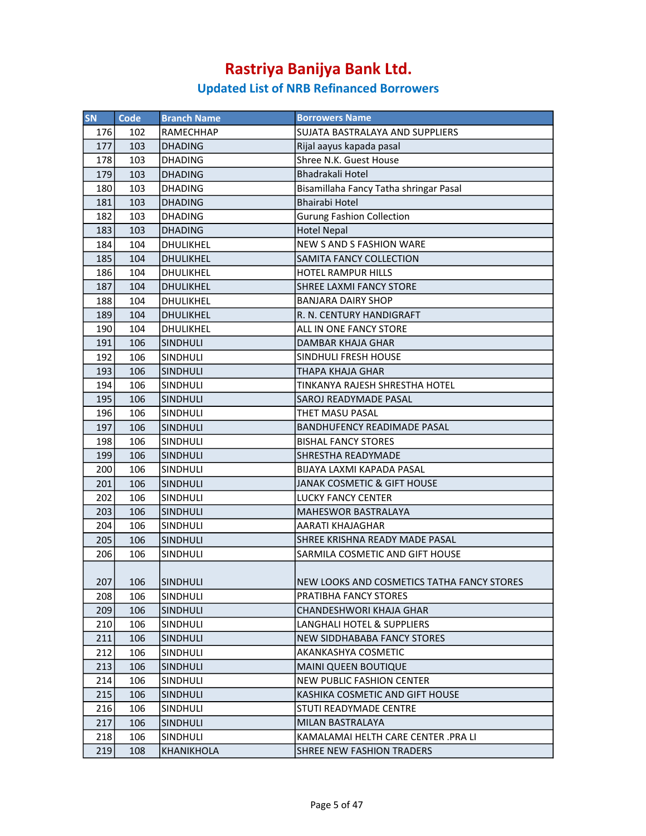| SN  | <b>Code</b> | <b>Branch Name</b> | <b>Borrowers Name</b>                      |
|-----|-------------|--------------------|--------------------------------------------|
| 176 | 102         | <b>RAMECHHAP</b>   | SUJATA BASTRALAYA AND SUPPLIERS            |
| 177 | 103         | <b>DHADING</b>     | Rijal aayus kapada pasal                   |
| 178 | 103         | <b>DHADING</b>     | Shree N.K. Guest House                     |
| 179 | 103         | <b>DHADING</b>     | <b>Bhadrakali Hotel</b>                    |
| 180 | 103         | <b>DHADING</b>     | Bisamillaha Fancy Tatha shringar Pasal     |
| 181 | 103         | <b>DHADING</b>     | <b>Bhairabi Hotel</b>                      |
| 182 | 103         | <b>DHADING</b>     | <b>Gurung Fashion Collection</b>           |
| 183 | 103         | <b>DHADING</b>     | <b>Hotel Nepal</b>                         |
| 184 | 104         | DHULIKHEL          | <b>NEW S AND S FASHION WARE</b>            |
| 185 | 104         | DHULIKHEL          | SAMITA FANCY COLLECTION                    |
| 186 | 104         | DHULIKHEL          | <b>HOTEL RAMPUR HILLS</b>                  |
| 187 | 104         | <b>DHULIKHEL</b>   | SHREE LAXMI FANCY STORE                    |
| 188 | 104         | DHULIKHEL          | <b>BANJARA DAIRY SHOP</b>                  |
| 189 | 104         | DHULIKHEL          | R. N. CENTURY HANDIGRAFT                   |
| 190 | 104         | DHULIKHEL          | ALL IN ONE FANCY STORE                     |
| 191 | 106         | <b>SINDHULI</b>    | DAMBAR KHAJA GHAR                          |
| 192 | 106         | SINDHULI           | SINDHULI FRESH HOUSE                       |
| 193 | 106         | <b>SINDHULI</b>    | THAPA KHAJA GHAR                           |
| 194 | 106         | SINDHULI           | TINKANYA RAJESH SHRESTHA HOTEL             |
| 195 | 106         | <b>SINDHULI</b>    | <b>SAROJ READYMADE PASAL</b>               |
| 196 | 106         | <b>SINDHULI</b>    | THET MASU PASAL                            |
| 197 | 106         | <b>SINDHULI</b>    | <b>BANDHUFENCY READIMADE PASAL</b>         |
| 198 | 106         | SINDHULI           | <b>BISHAL FANCY STORES</b>                 |
| 199 | 106         | SINDHULI           | <b>SHRESTHA READYMADE</b>                  |
| 200 | 106         | SINDHULI           | BIJAYA LAXMI KAPADA PASAL                  |
| 201 | 106         | <b>SINDHULI</b>    | <b>JANAK COSMETIC &amp; GIFT HOUSE</b>     |
| 202 | 106         | SINDHULI           | <b>LUCKY FANCY CENTER</b>                  |
| 203 | 106         | <b>SINDHULI</b>    | <b>MAHESWOR BASTRALAYA</b>                 |
| 204 | 106         | SINDHULI           | AARATI KHAJAGHAR                           |
| 205 | 106         | SINDHULI           | SHREE KRISHNA READY MADE PASAL             |
| 206 | 106         | <b>SINDHULI</b>    | SARMILA COSMETIC AND GIFT HOUSE            |
|     |             |                    |                                            |
| 207 | 106         | SINDHULI           | NEW LOOKS AND COSMETICS TATHA FANCY STORES |
| 208 | 106         | SINDHULI           | PRATIBHA FANCY STORES                      |
| 209 | 106         | <b>SINDHULI</b>    | CHANDESHWORI KHAJA GHAR                    |
| 210 | 106         | <b>SINDHULI</b>    | LANGHALI HOTEL & SUPPLIERS                 |
| 211 | 106         | <b>SINDHULI</b>    | <b>NEW SIDDHABABA FANCY STORES</b>         |
| 212 | 106         | <b>SINDHULI</b>    | AKANKASHYA COSMETIC                        |
| 213 | 106         | <b>SINDHULI</b>    | <b>MAINI QUEEN BOUTIQUE</b>                |
| 214 | 106         | SINDHULI           | <b>NEW PUBLIC FASHION CENTER</b>           |
| 215 | 106         | <b>SINDHULI</b>    | KASHIKA COSMETIC AND GIFT HOUSE            |
| 216 | 106         | SINDHULI           | STUTI READYMADE CENTRE                     |
| 217 | 106         | <b>SINDHULI</b>    | MILAN BASTRALAYA                           |
| 218 | 106         | <b>SINDHULI</b>    | KAMALAMAI HELTH CARE CENTER .PRA LI        |
| 219 | 108         | KHANIKHOLA         | <b>SHREE NEW FASHION TRADERS</b>           |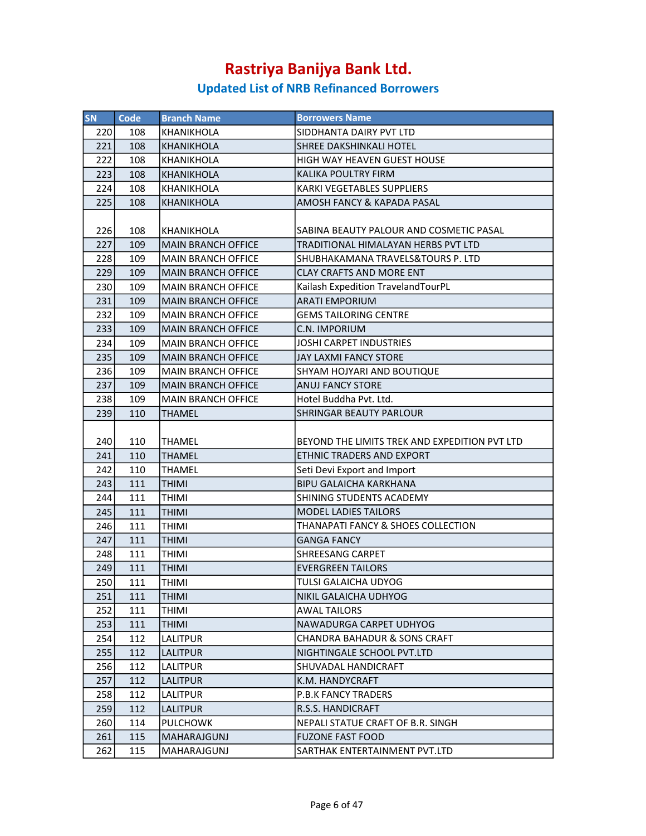| <b>SN</b> | Code | <b>Branch Name</b>        | <b>Borrowers Name</b>                         |
|-----------|------|---------------------------|-----------------------------------------------|
| 220       | 108  | <b>KHANIKHOLA</b>         | SIDDHANTA DAIRY PVT LTD                       |
| 221       | 108  | KHANIKHOLA                | <b>SHREE DAKSHINKALI HOTEL</b>                |
| 222       | 108  | <b>KHANIKHOLA</b>         | HIGH WAY HEAVEN GUEST HOUSE                   |
| 223       | 108  | KHANIKHOLA                | KALIKA POULTRY FIRM                           |
| 224       | 108  | KHANIKHOLA                | KARKI VEGETABLES SUPPLIERS                    |
| 225       | 108  | <b>KHANIKHOLA</b>         | AMOSH FANCY & KAPADA PASAL                    |
|           |      |                           |                                               |
| 226       | 108  | KHANIKHOLA                | SABINA BEAUTY PALOUR AND COSMETIC PASAL       |
| 227       | 109  | <b>MAIN BRANCH OFFICE</b> | TRADITIONAL HIMALAYAN HERBS PVT LTD           |
| 228       | 109  | <b>MAIN BRANCH OFFICE</b> | SHUBHAKAMANA TRAVELS&TOURS P. LTD             |
| 229       | 109  | <b>MAIN BRANCH OFFICE</b> | <b>CLAY CRAFTS AND MORE ENT</b>               |
| 230       | 109  | <b>MAIN BRANCH OFFICE</b> | Kailash Expedition TravelandTourPL            |
| 231       | 109  | <b>MAIN BRANCH OFFICE</b> | <b>ARATI EMPORIUM</b>                         |
| 232       | 109  | <b>MAIN BRANCH OFFICE</b> | <b>GEMS TAILORING CENTRE</b>                  |
| 233       | 109  | <b>MAIN BRANCH OFFICE</b> | C.N. IMPORIUM                                 |
| 234       | 109  | <b>MAIN BRANCH OFFICE</b> | JOSHI CARPET INDUSTRIES                       |
| 235       | 109  | <b>MAIN BRANCH OFFICE</b> | <b>JAY LAXMI FANCY STORE</b>                  |
| 236       | 109  | <b>MAIN BRANCH OFFICE</b> | SHYAM HOJYARI AND BOUTIQUE                    |
| 237       | 109  | <b>MAIN BRANCH OFFICE</b> | <b>ANUJ FANCY STORE</b>                       |
| 238       | 109  | <b>MAIN BRANCH OFFICE</b> | Hotel Buddha Pvt. Ltd.                        |
| 239       | 110  | <b>THAMEL</b>             | <b>SHRINGAR BEAUTY PARLOUR</b>                |
|           |      |                           |                                               |
| 240       | 110  | <b>THAMEL</b>             | BEYOND THE LIMITS TREK AND EXPEDITION PVT LTD |
| 241       | 110  | <b>THAMEL</b>             | ETHNIC TRADERS AND EXPORT                     |
| 242       | 110  | <b>THAMEL</b>             | Seti Devi Export and Import                   |
| 243       | 111  | <b>THIMI</b>              | <b>BIPU GALAICHA KARKHANA</b>                 |
| 244       | 111  | <b>THIMI</b>              | SHINING STUDENTS ACADEMY                      |
| 245       | 111  | <b>THIMI</b>              | MODEL LADIES TAILORS                          |
| 246       | 111  | THIMI                     | THANAPATI FANCY & SHOES COLLECTION            |
| 247       | 111  | <b>THIMI</b>              | <b>GANGA FANCY</b>                            |
| 248       | 111  | <b>THIMI</b>              | <b>SHREESANG CARPET</b>                       |
| 249       | 111  | <b>THIMI</b>              | <b>EVERGREEN TAILORS</b>                      |
| 250       | 111  | <b>THIMI</b>              | TULSI GALAICHA UDYOG                          |
| 251       | 111  | <b>THIMI</b>              | NIKIL GALAICHA UDHYOG                         |
| 252       | 111  | THIMI                     | AWAL TAILORS                                  |
| 253       | 111  | <b>THIMI</b>              | NAWADURGA CARPET UDHYOG                       |
| 254       | 112  | LALITPUR                  | <b>CHANDRA BAHADUR &amp; SONS CRAFT</b>       |
| 255       | 112  | LALITPUR                  | NIGHTINGALE SCHOOL PVT.LTD                    |
| 256       | 112  | LALITPUR                  | SHUVADAL HANDICRAFT                           |
| 257       | 112  | LALITPUR                  | K.M. HANDYCRAFT                               |
| 258       | 112  | <b>LALITPUR</b>           | <b>P.B.K FANCY TRADERS</b>                    |
| 259       | 112  | <b>LALITPUR</b>           | R.S.S. HANDICRAFT                             |
| 260       | 114  | <b>PULCHOWK</b>           | NEPALI STATUE CRAFT OF B.R. SINGH             |
| 261       | 115  | MAHARAJGUNJ               | <b>FUZONE FAST FOOD</b>                       |
| 262       | 115  | MAHARAJGUNJ               | SARTHAK ENTERTAINMENT PVT.LTD                 |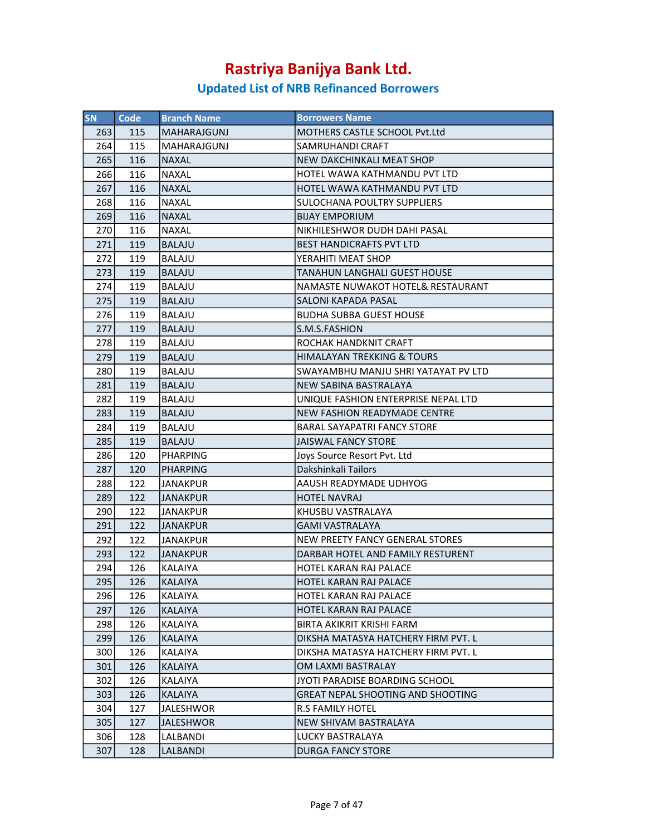| <b>SN</b> | <b>Code</b> | <b>Branch Name</b> | <b>Borrowers Name</b>                    |
|-----------|-------------|--------------------|------------------------------------------|
| 263       | 115         | <b>MAHARAJGUNJ</b> | MOTHERS CASTLE SCHOOL Pvt.Ltd            |
| 264       | 115         | MAHARAJGUNJ        | SAMRUHANDI CRAFT                         |
| 265       | 116         | <b>NAXAL</b>       | NEW DAKCHINKALI MEAT SHOP                |
| 266       | 116         | <b>NAXAL</b>       | HOTEL WAWA KATHMANDU PVT LTD             |
| 267       | 116         | <b>NAXAL</b>       | HOTEL WAWA KATHMANDU PVT LTD             |
| 268       | 116         | <b>NAXAL</b>       | <b>SULOCHANA POULTRY SUPPLIERS</b>       |
| 269       | 116         | <b>NAXAL</b>       | <b>BIJAY EMPORIUM</b>                    |
| 270       | 116         | <b>NAXAL</b>       | NIKHILESHWOR DUDH DAHI PASAL             |
| 271       | 119         | <b>BALAJU</b>      | <b>BEST HANDICRAFTS PVT LTD</b>          |
| 272       | 119         | <b>BALAJU</b>      | YERAHITI MEAT SHOP                       |
| 273       | 119         | <b>BALAJU</b>      | <b>TANAHUN LANGHALI GUEST HOUSE</b>      |
| 274       | 119         | <b>BALAJU</b>      | NAMASTE NUWAKOT HOTEL& RESTAURANT        |
| 275       | 119         | <b>BALAJU</b>      | <b>SALONI KAPADA PASAL</b>               |
| 276       | 119         | <b>BALAJU</b>      | <b>BUDHA SUBBA GUEST HOUSE</b>           |
| 277       | 119         | <b>BALAJU</b>      | S.M.S.FASHION                            |
| 278       | 119         | <b>BALAJU</b>      | <b>ROCHAK HANDKNIT CRAFT</b>             |
| 279       | 119         | <b>BALAJU</b>      | HIMALAYAN TREKKING & TOURS               |
| 280       | 119         | <b>BALAJU</b>      | SWAYAMBHU MANJU SHRI YATAYAT PV LTD      |
| 281       | 119         | <b>BALAJU</b>      | NEW SABINA BASTRALAYA                    |
| 282       | 119         | <b>BALAJU</b>      | UNIQUE FASHION ENTERPRISE NEPAL LTD      |
| 283       | 119         | <b>BALAJU</b>      | NEW FASHION READYMADE CENTRE             |
| 284       | 119         | <b>BALAJU</b>      | <b>BARAL SAYAPATRI FANCY STORE</b>       |
| 285       | 119         | <b>BALAJU</b>      | <b>JAISWAL FANCY STORE</b>               |
| 286       | 120         | <b>PHARPING</b>    | Joys Source Resort Pyt. Ltd              |
| 287       | 120         | <b>PHARPING</b>    | Dakshinkali Tailors                      |
| 288       | 122         | JANAKPUR           | AAUSH READYMADE UDHYOG                   |
| 289       | 122         | <b>JANAKPUR</b>    | <b>HOTEL NAVRAJ</b>                      |
| 290       | 122         | JANAKPUR           | KHUSBU VASTRALAYA                        |
| 291       | 122         | <b>JANAKPUR</b>    | GAMI VASTRALAYA                          |
| 292       | 122         | <b>JANAKPUR</b>    | NEW PREETY FANCY GENERAL STORES          |
| 293       | 122         | <b>JANAKPUR</b>    | DARBAR HOTEL AND FAMILY RESTURENT        |
| 294       | 126         | <b>KALAIYA</b>     | HOTEL KARAN RAJ PALACE                   |
| 295       | 126         | <b>KALAIYA</b>     | HOTEL KARAN RAJ PALACE                   |
| 296       | 126         | KALAIYA            | HOTEL KARAN RAJ PALACE                   |
| 297       | 126         | KALAIYA            | HOTEL KARAN RAJ PALACE                   |
| 298       | 126         | KALAIYA            | <b>BIRTA AKIKRIT KRISHI FARM</b>         |
| 299       | 126         | <b>KALAIYA</b>     | DIKSHA MATASYA HATCHERY FIRM PVT. L      |
| 300       | 126         | KALAIYA            | DIKSHA MATASYA HATCHERY FIRM PVT. L      |
| 301       | 126         | KALAIYA            | OM LAXMI BASTRALAY                       |
| 302       | 126         | KALAIYA            | JYOTI PARADISE BOARDING SCHOOL           |
| 303       | 126         | <b>KALAIYA</b>     | <b>GREAT NEPAL SHOOTING AND SHOOTING</b> |
| 304       | 127         | <b>JALESHWOR</b>   | <b>R.S FAMILY HOTEL</b>                  |
| 305       | 127         | JALESHWOR          | NEW SHIVAM BASTRALAYA                    |
| 306       | 128         | LALBANDI           | LUCKY BASTRALAYA                         |
| 307       | 128         | LALBANDI           | <b>DURGA FANCY STORE</b>                 |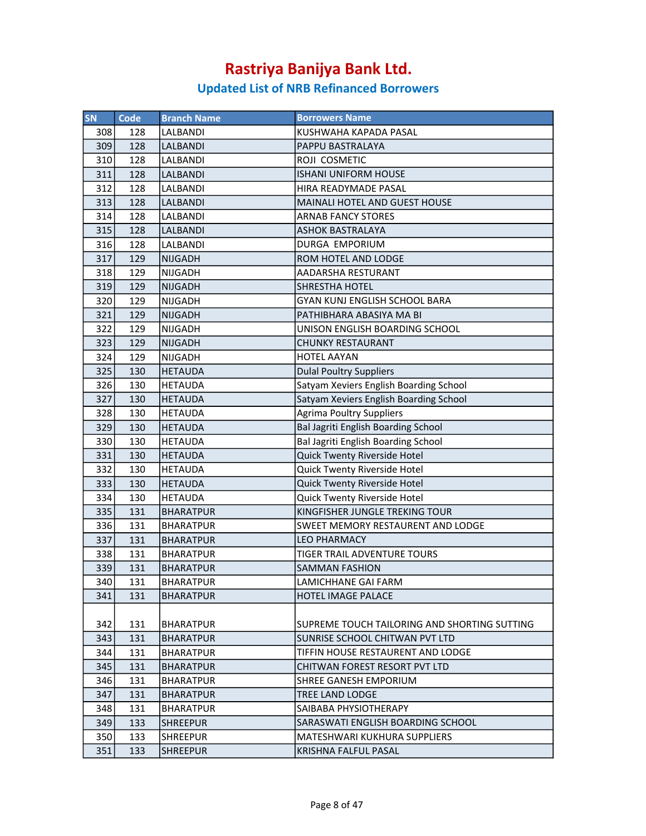| SN  | Code | <b>Branch Name</b> | <b>Borrowers Name</b>                        |
|-----|------|--------------------|----------------------------------------------|
| 308 | 128  | LALBANDI           | KUSHWAHA KAPADA PASAL                        |
| 309 | 128  | LALBANDI           | PAPPU BASTRALAYA                             |
| 310 | 128  | LALBANDI           | ROJI COSMETIC                                |
| 311 | 128  | LALBANDI           | <b>ISHANI UNIFORM HOUSE</b>                  |
| 312 | 128  | LALBANDI           | HIRA READYMADE PASAL                         |
| 313 | 128  | <b>LALBANDI</b>    | MAINALI HOTEL AND GUEST HOUSE                |
| 314 | 128  | LALBANDI           | <b>ARNAB FANCY STORES</b>                    |
| 315 | 128  | LALBANDI           | <b>ASHOK BASTRALAYA</b>                      |
| 316 | 128  | LALBANDI           | DURGA EMPORIUM                               |
| 317 | 129  | <b>NIJGADH</b>     | ROM HOTEL AND LODGE                          |
| 318 | 129  | NIJGADH            | AADARSHA RESTURANT                           |
| 319 | 129  | <b>NIJGADH</b>     | <b>SHRESTHA HOTEL</b>                        |
| 320 | 129  | NIJGADH            | <b>GYAN KUNJ ENGLISH SCHOOL BARA</b>         |
| 321 | 129  | <b>NIJGADH</b>     | PATHIBHARA ABASIYA MA BI                     |
| 322 | 129  | <b>NIJGADH</b>     | UNISON ENGLISH BOARDING SCHOOL               |
| 323 | 129  | <b>NIJGADH</b>     | <b>CHUNKY RESTAURANT</b>                     |
| 324 | 129  | <b>NIJGADH</b>     | <b>HOTEL AAYAN</b>                           |
| 325 | 130  | <b>HETAUDA</b>     | <b>Dulal Poultry Suppliers</b>               |
| 326 | 130  | <b>HETAUDA</b>     | Satyam Xeviers English Boarding School       |
| 327 | 130  | <b>HETAUDA</b>     | Satyam Xeviers English Boarding School       |
| 328 | 130  | <b>HETAUDA</b>     | <b>Agrima Poultry Suppliers</b>              |
| 329 | 130  | <b>HETAUDA</b>     | Bal Jagriti English Boarding School          |
| 330 | 130  | <b>HETAUDA</b>     | Bal Jagriti English Boarding School          |
| 331 | 130  | <b>HETAUDA</b>     | Quick Twenty Riverside Hotel                 |
| 332 | 130  | HETAUDA            | Quick Twenty Riverside Hotel                 |
| 333 | 130  | <b>HETAUDA</b>     | Quick Twenty Riverside Hotel                 |
| 334 | 130  | <b>HETAUDA</b>     | Quick Twenty Riverside Hotel                 |
| 335 | 131  | <b>BHARATPUR</b>   | KINGFISHER JUNGLE TREKING TOUR               |
| 336 | 131  | <b>BHARATPUR</b>   | SWEET MEMORY RESTAURENT AND LODGE            |
| 337 | 131  | <b>BHARATPUR</b>   | <b>LEO PHARMACY</b>                          |
| 338 | 131  | <b>BHARATPUR</b>   | <b>TIGER TRAIL ADVENTURE TOURS</b>           |
| 339 | 131  | <b>BHARATPUR</b>   | <b>SAMMAN FASHION</b>                        |
| 340 | 131  | <b>BHARATPUR</b>   | LAMICHHANE GAI FARM                          |
| 341 | 131  | <b>BHARATPUR</b>   | <b>HOTEL IMAGE PALACE</b>                    |
|     |      |                    |                                              |
| 342 | 131  | <b>BHARATPUR</b>   | SUPREME TOUCH TAILORING AND SHORTING SUTTING |
| 343 | 131  | <b>BHARATPUR</b>   | SUNRISE SCHOOL CHITWAN PVT LTD               |
| 344 | 131  | BHARATPUR          | TIFFIN HOUSE RESTAURENT AND LODGE            |
| 345 | 131  | <b>BHARATPUR</b>   | CHITWAN FOREST RESORT PVT LTD                |
| 346 | 131  | BHARATPUR          | <b>SHREE GANESH EMPORIUM</b>                 |
| 347 | 131  | <b>BHARATPUR</b>   | TREE LAND LODGE                              |
| 348 | 131  | BHARATPUR          | SAIBABA PHYSIOTHERAPY                        |
| 349 | 133  | <b>SHREEPUR</b>    | SARASWATI ENGLISH BOARDING SCHOOL            |
| 350 | 133  | <b>SHREEPUR</b>    | <b>MATESHWARI KUKHURA SUPPLIERS</b>          |
| 351 | 133  | <b>SHREEPUR</b>    | KRISHNA FALFUL PASAL                         |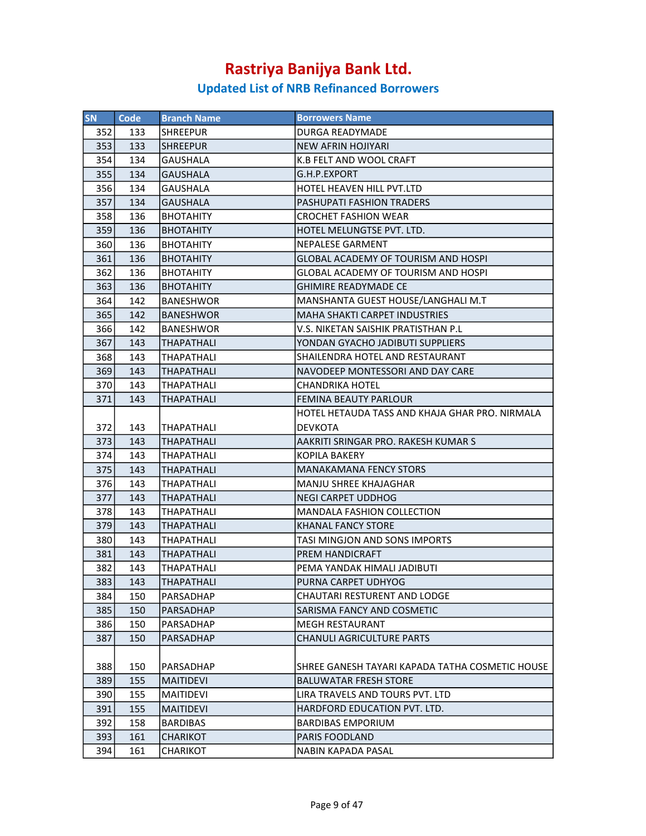| <b>SN</b> | Code | <b>Branch Name</b> | <b>Borrowers Name</b>                           |
|-----------|------|--------------------|-------------------------------------------------|
| 352       | 133  | <b>SHREEPUR</b>    | <b>DURGA READYMADE</b>                          |
| 353       | 133  | <b>SHREEPUR</b>    | <b>NEW AFRIN HOJIYARI</b>                       |
| 354       | 134  | <b>GAUSHALA</b>    | K.B FELT AND WOOL CRAFT                         |
| 355       | 134  | <b>GAUSHALA</b>    | G.H.P.EXPORT                                    |
| 356       | 134  | <b>GAUSHALA</b>    | HOTEL HEAVEN HILL PVT.LTD                       |
| 357       | 134  | <b>GAUSHALA</b>    | PASHUPATI FASHION TRADERS                       |
| 358       | 136  | <b>BHOTAHITY</b>   | <b>CROCHET FASHION WEAR</b>                     |
| 359       | 136  | <b>BHOTAHITY</b>   | HOTEL MELUNGTSE PVT. LTD.                       |
| 360       | 136  | <b>BHOTAHITY</b>   | <b>NEPALESE GARMENT</b>                         |
| 361       | 136  | <b>BHOTAHITY</b>   | GLOBAL ACADEMY OF TOURISM AND HOSPI             |
| 362       | 136  | <b>BHOTAHITY</b>   | <b>GLOBAL ACADEMY OF TOURISM AND HOSPI</b>      |
| 363       | 136  | <b>BHOTAHITY</b>   | <b>GHIMIRE READYMADE CE</b>                     |
| 364       | 142  | <b>BANESHWOR</b>   | MANSHANTA GUEST HOUSE/LANGHALI M.T              |
| 365       | 142  | <b>BANESHWOR</b>   | <b>MAHA SHAKTI CARPET INDUSTRIES</b>            |
| 366       | 142  | <b>BANESHWOR</b>   | V.S. NIKETAN SAISHIK PRATISTHAN P.L             |
| 367       | 143  | THAPATHALI         | YONDAN GYACHO JADIBUTI SUPPLIERS                |
| 368       | 143  | THAPATHALI         | SHAILENDRA HOTEL AND RESTAURANT                 |
| 369       | 143  | <b>THAPATHALI</b>  | NAVODEEP MONTESSORI AND DAY CARE                |
| 370       | 143  | THAPATHALI         | <b>CHANDRIKA HOTEL</b>                          |
| 371       | 143  | <b>THAPATHALI</b>  | <b>FEMINA BEAUTY PARLOUR</b>                    |
|           |      |                    | HOTEL HETAUDA TASS AND KHAJA GHAR PRO. NIRMALA  |
| 372       | 143  | THAPATHALI         | <b>DEVKOTA</b>                                  |
| 373       | 143  | <b>THAPATHALI</b>  | AAKRITI SRINGAR PRO. RAKESH KUMAR S             |
| 374       | 143  | THAPATHALI         | <b>KOPILA BAKERY</b>                            |
| 375       | 143  | THAPATHALI         | <b>MANAKAMANA FENCY STORS</b>                   |
| 376       | 143  | THAPATHALI         | MANJU SHREE KHAJAGHAR                           |
| 377       | 143  | THAPATHALI         | <b>NEGI CARPET UDDHOG</b>                       |
| 378       | 143  | THAPATHALI         | <b>MANDALA FASHION COLLECTION</b>               |
| 379       | 143  | <b>THAPATHALI</b>  | KHANAL FANCY STORE                              |
| 380       | 143  | <b>THAPATHALI</b>  | TASI MINGJON AND SONS IMPORTS                   |
| 381       | 143  | <b>THAPATHALI</b>  | PREM HANDICRAFT                                 |
| 382       | 143  | <b>THAPATHALI</b>  | PEMA YANDAK HIMALI JADIBUTI                     |
| 383       | 143  | THAPATHALI         | PURNA CARPET UDHYOG                             |
| 384       | 150  | PARSADHAP          | CHAUTARI RESTURENT AND LODGE                    |
| 385       | 150  | PARSADHAP          | SARISMA FANCY AND COSMETIC                      |
| 386       | 150  | PARSADHAP          | <b>MEGH RESTAURANT</b>                          |
| 387       | 150  | PARSADHAP          | <b>CHANULI AGRICULTURE PARTS</b>                |
|           |      |                    |                                                 |
| 388       | 150  | PARSADHAP          | SHREE GANESH TAYARI KAPADA TATHA COSMETIC HOUSE |
| 389       | 155  | MAITIDEVI          | <b>BALUWATAR FRESH STORE</b>                    |
| 390       | 155  | <b>MAITIDEVI</b>   | LIRA TRAVELS AND TOURS PVT. LTD                 |
| 391       | 155  | <b>MAITIDEVI</b>   | HARDFORD EDUCATION PVT. LTD.                    |
| 392       | 158  | <b>BARDIBAS</b>    | <b>BARDIBAS EMPORIUM</b>                        |
| 393       | 161  | CHARIKOT           | <b>PARIS FOODLAND</b>                           |
| 394       | 161  | CHARIKOT           | <b>NABIN KAPADA PASAL</b>                       |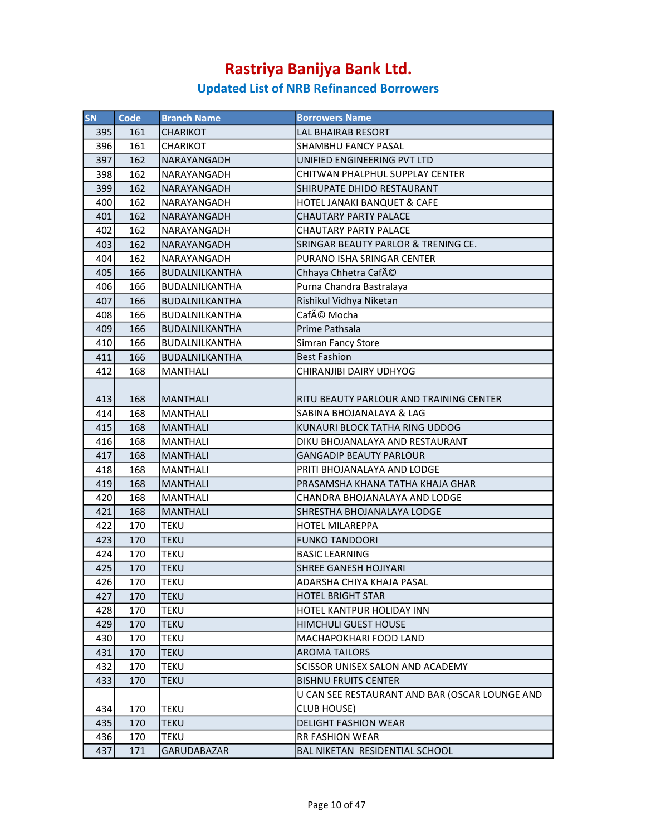| SN  | <b>Code</b> | <b>Branch Name</b>    | <b>Borrowers Name</b>                          |
|-----|-------------|-----------------------|------------------------------------------------|
| 395 | 161         | CHARIKOT              | <b>LAL BHAIRAB RESORT</b>                      |
| 396 | 161         | <b>CHARIKOT</b>       | <b>SHAMBHU FANCY PASAL</b>                     |
| 397 | 162         | NARAYANGADH           | UNIFIED ENGINEERING PVT LTD                    |
| 398 | 162         | NARAYANGADH           | CHITWAN PHALPHUL SUPPLAY CENTER                |
| 399 | 162         | NARAYANGADH           | SHIRUPATE DHIDO RESTAURANT                     |
| 400 | 162         | NARAYANGADH           | HOTEL JANAKI BANQUET & CAFE                    |
| 401 | 162         | NARAYANGADH           | <b>CHAUTARY PARTY PALACE</b>                   |
| 402 | 162         | NARAYANGADH           | <b>CHAUTARY PARTY PALACE</b>                   |
| 403 | 162         | <b>NARAYANGADH</b>    | SRINGAR BEAUTY PARLOR & TRENING CE.            |
| 404 | 162         | NARAYANGADH           | PURANO ISHA SRINGAR CENTER                     |
| 405 | 166         | <b>BUDALNILKANTHA</b> | Chhaya Chhetra Café                            |
| 406 | 166         | <b>BUDALNILKANTHA</b> | Purna Chandra Bastralaya                       |
| 407 | 166         | <b>BUDALNILKANTHA</b> | Rishikul Vidhya Niketan                        |
| 408 | 166         | BUDALNILKANTHA        | Café Mocha                                     |
| 409 | 166         | BUDALNILKANTHA        | Prime Pathsala                                 |
| 410 | 166         | BUDALNILKANTHA        | Simran Fancy Store                             |
| 411 | 166         | <b>BUDALNILKANTHA</b> | <b>Best Fashion</b>                            |
| 412 | 168         | <b>MANTHALI</b>       | CHIRANJIBI DAIRY UDHYOG                        |
|     |             |                       |                                                |
| 413 | 168         | <b>MANTHALI</b>       | RITU BEAUTY PARLOUR AND TRAINING CENTER        |
| 414 | 168         | <b>MANTHALI</b>       | SABINA BHOJANALAYA & LAG                       |
| 415 | 168         | <b>MANTHALI</b>       | KUNAURI BLOCK TATHA RING UDDOG                 |
| 416 | 168         | <b>MANTHALI</b>       | DIKU BHOJANALAYA AND RESTAURANT                |
| 417 | 168         | <b>MANTHALI</b>       | <b>GANGADIP BEAUTY PARLOUR</b>                 |
| 418 | 168         | <b>MANTHALI</b>       | PRITI BHOJANALAYA AND LODGE                    |
| 419 | 168         | <b>MANTHALI</b>       | PRASAMSHA KHANA TATHA KHAJA GHAR               |
| 420 | 168         | <b>MANTHALI</b>       | CHANDRA BHOJANALAYA AND LODGE                  |
| 421 | 168         | <b>MANTHALI</b>       | SHRESTHA BHOJANALAYA LODGE                     |
| 422 | 170         | TEKU                  | <b>HOTEL MILAREPPA</b>                         |
| 423 | 170         | TEKU                  | <b>FUNKO TANDOORI</b>                          |
| 424 | 170         | <b>TEKU</b>           | <b>BASIC LEARNING</b>                          |
| 425 | 170         | <b>TEKU</b>           | <b>SHREE GANESH HOJIYARI</b>                   |
| 426 | 170         | <b>TEKU</b>           | ADARSHA CHIYA KHAJA PASAL                      |
| 427 | 170         | TEKU                  | <b>HOTEL BRIGHT STAR</b>                       |
| 428 | 170         | TEKU                  | HOTEL KANTPUR HOLIDAY INN                      |
| 429 | 170         | <b>TEKU</b>           | <b>HIMCHULI GUEST HOUSE</b>                    |
| 430 | 170         | TEKU                  | MACHAPOKHARI FOOD LAND                         |
| 431 | 170         | <b>TEKU</b>           | <b>AROMA TAILORS</b>                           |
| 432 | 170         | TEKU                  | SCISSOR UNISEX SALON AND ACADEMY               |
| 433 | 170         | TEKU                  | <b>BISHNU FRUITS CENTER</b>                    |
|     |             |                       | U CAN SEE RESTAURANT AND BAR (OSCAR LOUNGE AND |
| 434 | 170         | TEKU                  | <b>CLUB HOUSE)</b>                             |
| 435 | 170         | TEKU                  | <b>DELIGHT FASHION WEAR</b>                    |
| 436 | 170         | TEKU                  | <b>RR FASHION WEAR</b>                         |
| 437 | 171         | GARUDABAZAR           | BAL NIKETAN RESIDENTIAL SCHOOL                 |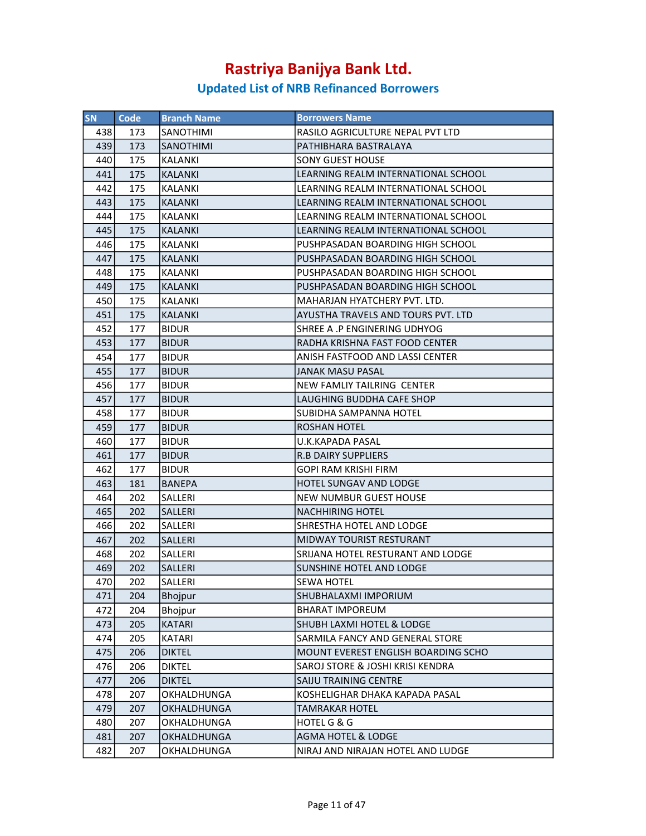| <b>SN</b> | Code | <b>Branch Name</b> | <b>Borrowers Name</b>                |
|-----------|------|--------------------|--------------------------------------|
| 438       | 173  | SANOTHIMI          | RASILO AGRICULTURE NEPAL PVT LTD     |
| 439       | 173  | <b>SANOTHIMI</b>   | PATHIBHARA BASTRALAYA                |
| 440       | 175  | KALANKI            | <b>SONY GUEST HOUSE</b>              |
| 441       | 175  | <b>KALANKI</b>     | LEARNING REALM INTERNATIONAL SCHOOL  |
| 442       | 175  | KALANKI            | LEARNING REALM INTERNATIONAL SCHOOL  |
| 443       | 175  | <b>KALANKI</b>     | LEARNING REALM INTERNATIONAL SCHOOL  |
| 444       | 175  | <b>KALANKI</b>     | LEARNING REALM INTERNATIONAL SCHOOL  |
| 445       | 175  | <b>KALANKI</b>     | LEARNING REALM INTERNATIONAL SCHOOL  |
| 446       | 175  | KALANKI            | PUSHPASADAN BOARDING HIGH SCHOOL     |
| 447       | 175  | <b>KALANKI</b>     | PUSHPASADAN BOARDING HIGH SCHOOL     |
| 448       | 175  | <b>KALANKI</b>     | PUSHPASADAN BOARDING HIGH SCHOOL     |
| 449       | 175  | <b>KALANKI</b>     | PUSHPASADAN BOARDING HIGH SCHOOL     |
| 450       | 175  | <b>KALANKI</b>     | MAHARJAN HYATCHERY PVT. LTD.         |
| 451       | 175  | <b>KALANKI</b>     | AYUSTHA TRAVELS AND TOURS PVT. LTD   |
| 452       | 177  | <b>BIDUR</b>       | SHREE A .P ENGINERING UDHYOG         |
| 453       | 177  | <b>BIDUR</b>       | RADHA KRISHNA FAST FOOD CENTER       |
| 454       | 177  | <b>BIDUR</b>       | ANISH FASTFOOD AND LASSI CENTER      |
| 455       | 177  | <b>BIDUR</b>       | JANAK MASU PASAL                     |
| 456       | 177  | <b>BIDUR</b>       | NEW FAMLIY TAILRING CENTER           |
| 457       | 177  | <b>BIDUR</b>       | LAUGHING BUDDHA CAFE SHOP            |
| 458       | 177  | <b>BIDUR</b>       | SUBIDHA SAMPANNA HOTEL               |
| 459       | 177  | <b>BIDUR</b>       | <b>ROSHAN HOTEL</b>                  |
| 460       | 177  | <b>BIDUR</b>       | <b>U.K.KAPADA PASAL</b>              |
| 461       | 177  | <b>BIDUR</b>       | <b>R.B DAIRY SUPPLIERS</b>           |
| 462       | 177  | <b>BIDUR</b>       | GOPI RAM KRISHI FIRM                 |
| 463       | 181  | <b>BANEPA</b>      | HOTEL SUNGAV AND LODGE               |
| 464       | 202  | SALLERI            | NEW NUMBUR GUEST HOUSE               |
| 465       | 202  | SALLERI            | <b>NACHHIRING HOTEL</b>              |
| 466       | 202  | SALLERI            | SHRESTHA HOTEL AND LODGE             |
| 467       | 202  | SALLERI            | MIDWAY TOURIST RESTURANT             |
| 468       | 202  | SALLERI            | SRIJANA HOTEL RESTURANT AND LODGE    |
| 469       | 202  | SALLERI            | SUNSHINE HOTEL AND LODGE             |
| 470       | 202  | SALLERI            | <b>SEWA HOTEL</b>                    |
| 471       | 204  | <b>Bhojpur</b>     | SHUBHALAXMI IMPORIUM                 |
| 472       | 204  | Bhojpur            | BHARAT IMPOREUM                      |
| 473       | 205  | <b>KATARI</b>      | <b>SHUBH LAXMI HOTEL &amp; LODGE</b> |
| 474       | 205  | KATARI             | SARMILA FANCY AND GENERAL STORE      |
| 475       | 206  | <b>DIKTEL</b>      | MOUNT EVEREST ENGLISH BOARDING SCHO  |
| 476       | 206  | <b>DIKTEL</b>      | SAROJ STORE & JOSHI KRISI KENDRA     |
| 477       | 206  | <b>DIKTEL</b>      | <b>SAIJU TRAINING CENTRE</b>         |
| 478       | 207  | <b>OKHALDHUNGA</b> | KOSHELIGHAR DHAKA KAPADA PASAL       |
| 479       | 207  | <b>OKHALDHUNGA</b> | <b>TAMRAKAR HOTEL</b>                |
| 480       | 207  | OKHALDHUNGA        | <b>HOTEL G &amp; G</b>               |
| 481       | 207  | OKHALDHUNGA        | <b>AGMA HOTEL &amp; LODGE</b>        |
| 482       | 207  | OKHALDHUNGA        | NIRAJ AND NIRAJAN HOTEL AND LUDGE    |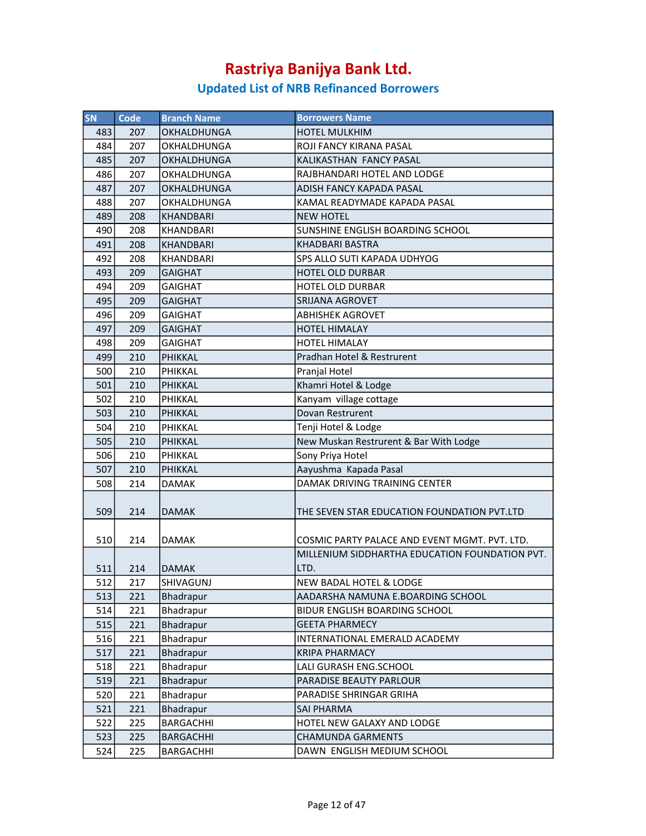| SN  | <b>Code</b> | <b>Branch Name</b> | <b>Borrowers Name</b>                                  |
|-----|-------------|--------------------|--------------------------------------------------------|
| 483 | 207         | OKHALDHUNGA        | <b>HOTEL MULKHIM</b>                                   |
| 484 | 207         | OKHALDHUNGA        | <b>ROJI FANCY KIRANA PASAL</b>                         |
| 485 | 207         | OKHALDHUNGA        | KALIKASTHAN FANCY PASAL                                |
| 486 | 207         | OKHALDHUNGA        | RAJBHANDARI HOTEL AND LODGE                            |
| 487 | 207         | OKHALDHUNGA        | ADISH FANCY KAPADA PASAL                               |
| 488 | 207         | OKHALDHUNGA        | KAMAL READYMADE KAPADA PASAL                           |
| 489 | 208         | KHANDBARI          | <b>NEW HOTEL</b>                                       |
| 490 | 208         | KHANDBARI          | SUNSHINE ENGLISH BOARDING SCHOOL                       |
| 491 | 208         | <b>KHANDBARI</b>   | KHADBARI BASTRA                                        |
| 492 | 208         | KHANDBARI          | SPS ALLO SUTI KAPADA UDHYOG                            |
| 493 | 209         | <b>GAIGHAT</b>     | <b>HOTEL OLD DURBAR</b>                                |
| 494 | 209         | <b>GAIGHAT</b>     | HOTEL OLD DURBAR                                       |
| 495 | 209         | <b>GAIGHAT</b>     | <b>SRIJANA AGROVET</b>                                 |
| 496 | 209         | <b>GAIGHAT</b>     | <b>ABHISHEK AGROVET</b>                                |
| 497 | 209         | <b>GAIGHAT</b>     | <b>HOTEL HIMALAY</b>                                   |
| 498 | 209         | <b>GAIGHAT</b>     | <b>HOTEL HIMALAY</b>                                   |
| 499 | 210         | PHIKKAL            | Pradhan Hotel & Restrurent                             |
| 500 | 210         | PHIKKAL            | Pranjal Hotel                                          |
| 501 | 210         | PHIKKAL            | Khamri Hotel & Lodge                                   |
| 502 | 210         | PHIKKAL            | Kanyam village cottage                                 |
| 503 | 210         | PHIKKAL            | Dovan Restrurent                                       |
| 504 | 210         | PHIKKAL            | Tenji Hotel & Lodge                                    |
| 505 | 210         | PHIKKAL            | New Muskan Restrurent & Bar With Lodge                 |
| 506 | 210         | PHIKKAL            | Sony Priya Hotel                                       |
| 507 | 210         | PHIKKAL            | Aayushma Kapada Pasal                                  |
| 508 | 214         | <b>DAMAK</b>       | DAMAK DRIVING TRAINING CENTER                          |
| 509 | 214         | <b>DAMAK</b>       | THE SEVEN STAR EDUCATION FOUNDATION PVT.LTD            |
| 510 | 214         | <b>DAMAK</b>       | COSMIC PARTY PALACE AND EVENT MGMT. PVT. LTD.          |
| 511 | 214         | DAMAK              | MILLENIUM SIDDHARTHA EDUCATION FOUNDATION PVT.<br>LTD. |
| 512 | 217         | SHIVAGUNJ          | NEW BADAL HOTEL & LODGE                                |
| 513 | 221         | <b>Bhadrapur</b>   | AADARSHA NAMUNA E.BOARDING SCHOOL                      |
| 514 | 221         | Bhadrapur          | BIDUR ENGLISH BOARDING SCHOOL                          |
| 515 | 221         | Bhadrapur          | <b>GEETA PHARMECY</b>                                  |
| 516 | 221         | Bhadrapur          | INTERNATIONAL EMERALD ACADEMY                          |
| 517 | 221         | Bhadrapur          | <b>KRIPA PHARMACY</b>                                  |
| 518 | 221         | Bhadrapur          | LALI GURASH ENG.SCHOOL                                 |
| 519 | 221         | Bhadrapur          | PARADISE BEAUTY PARLOUR                                |
| 520 | 221         | Bhadrapur          | PARADISE SHRINGAR GRIHA                                |
| 521 | 221         | Bhadrapur          | SAI PHARMA                                             |
| 522 | 225         | <b>BARGACHHI</b>   | HOTEL NEW GALAXY AND LODGE                             |
| 523 | 225         | <b>BARGACHHI</b>   | CHAMUNDA GARMENTS                                      |
| 524 | 225         | <b>BARGACHHI</b>   | DAWN ENGLISH MEDIUM SCHOOL                             |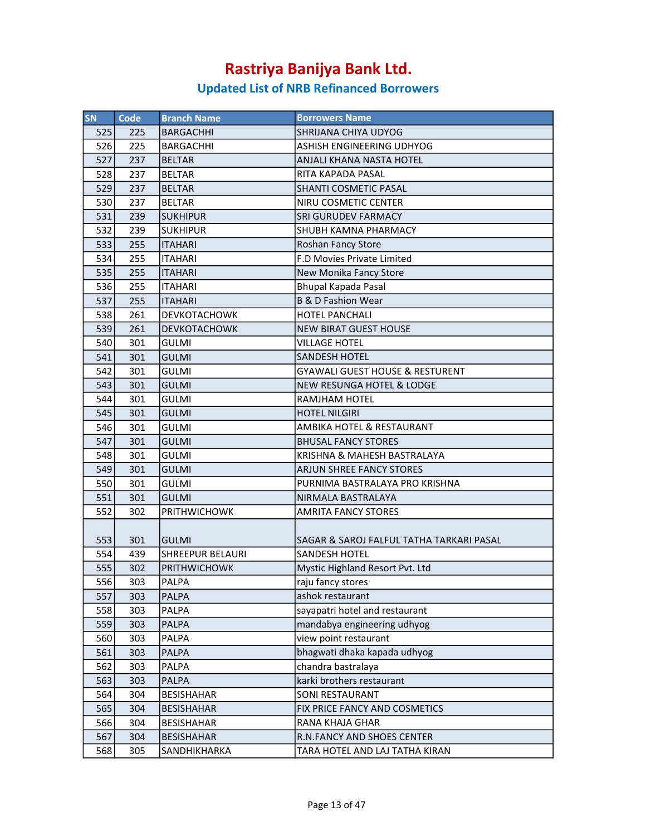| <b>SN</b> | Code | <b>Branch Name</b>      | <b>Borrowers Name</b>                      |
|-----------|------|-------------------------|--------------------------------------------|
| 525       | 225  | <b>BARGACHHI</b>        | SHRIJANA CHIYA UDYOG                       |
| 526       | 225  | <b>BARGACHHI</b>        | ASHISH ENGINEERING UDHYOG                  |
| 527       | 237  | <b>BELTAR</b>           | ANJALI KHANA NASTA HOTEL                   |
| 528       | 237  | <b>BELTAR</b>           | RITA KAPADA PASAL                          |
| 529       | 237  | <b>BELTAR</b>           | SHANTI COSMETIC PASAL                      |
| 530       | 237  | <b>BELTAR</b>           | NIRU COSMETIC CENTER                       |
| 531       | 239  | <b>SUKHIPUR</b>         | <b>SRI GURUDEV FARMACY</b>                 |
| 532       | 239  | <b>SUKHIPUR</b>         | SHUBH KAMNA PHARMACY                       |
| 533       | 255  | <b>ITAHARI</b>          | Roshan Fancy Store                         |
| 534       | 255  | <b>ITAHARI</b>          | F.D Movies Private Limited                 |
| 535       | 255  | <b>ITAHARI</b>          | New Monika Fancy Store                     |
| 536       | 255  | <b>ITAHARI</b>          | <b>Bhupal Kapada Pasal</b>                 |
| 537       | 255  | <b>ITAHARI</b>          | <b>B &amp; D Fashion Wear</b>              |
| 538       | 261  | <b>DEVKOTACHOWK</b>     | HOTEL PANCHALI                             |
| 539       | 261  | <b>DEVKOTACHOWK</b>     | <b>NEW BIRAT GUEST HOUSE</b>               |
| 540       | 301  | <b>GULMI</b>            | <b>VILLAGE HOTEL</b>                       |
| 541       | 301  | <b>GULMI</b>            | <b>SANDESH HOTEL</b>                       |
| 542       | 301  | <b>GULMI</b>            | <b>GYAWALI GUEST HOUSE &amp; RESTURENT</b> |
| 543       | 301  | <b>GULMI</b>            | <b>NEW RESUNGA HOTEL &amp; LODGE</b>       |
| 544       | 301  | <b>GULMI</b>            | RAMJHAM HOTEL                              |
| 545       | 301  | <b>GULMI</b>            | <b>HOTEL NILGIRI</b>                       |
| 546       | 301  | <b>GULMI</b>            | AMBIKA HOTEL & RESTAURANT                  |
| 547       | 301  | <b>GULMI</b>            | <b>BHUSAL FANCY STORES</b>                 |
| 548       | 301  | <b>GULMI</b>            | KRISHNA & MAHESH BASTRALAYA                |
| 549       | 301  | <b>GULMI</b>            | <b>ARJUN SHREE FANCY STORES</b>            |
| 550       | 301  | <b>GULMI</b>            | PURNIMA BASTRALAYA PRO KRISHNA             |
| 551       | 301  | <b>GULMI</b>            | NIRMALA BASTRALAYA                         |
| 552       | 302  | <b>PRITHWICHOWK</b>     | <b>AMRITA FANCY STORES</b>                 |
| 553       | 301  | <b>GULMI</b>            | SAGAR & SAROJ FALFUL TATHA TARKARI PASAL   |
| 554       | 439  | <b>SHREEPUR BELAURI</b> | <b>SANDESH HOTEL</b>                       |
| 555       | 302  | <b>PRITHWICHOWK</b>     | Mystic Highland Resort Pvt. Ltd            |
| 556       | 303  | PALPA                   | raju fancy stores                          |
| 557       | 303  | <b>PALPA</b>            | ashok restaurant                           |
| 558       | 303  | PALPA                   | sayapatri hotel and restaurant             |
| 559       | 303  | PALPA                   | mandabya engineering udhyog                |
| 560       | 303  | PALPA                   | view point restaurant                      |
| 561       | 303  | <b>PALPA</b>            | bhagwati dhaka kapada udhyog               |
| 562       | 303  | PALPA                   | chandra bastralaya                         |
| 563       | 303  | <b>PALPA</b>            | karki brothers restaurant                  |
| 564       | 304  | <b>BESISHAHAR</b>       | SONI RESTAURANT                            |
| 565       | 304  | <b>BESISHAHAR</b>       | FIX PRICE FANCY AND COSMETICS              |
| 566       | 304  | <b>BESISHAHAR</b>       | RANA KHAJA GHAR                            |
| 567       | 304  | <b>BESISHAHAR</b>       | R.N.FANCY AND SHOES CENTER                 |
| 568       | 305  | SANDHIKHARKA            | TARA HOTEL AND LAJ TATHA KIRAN             |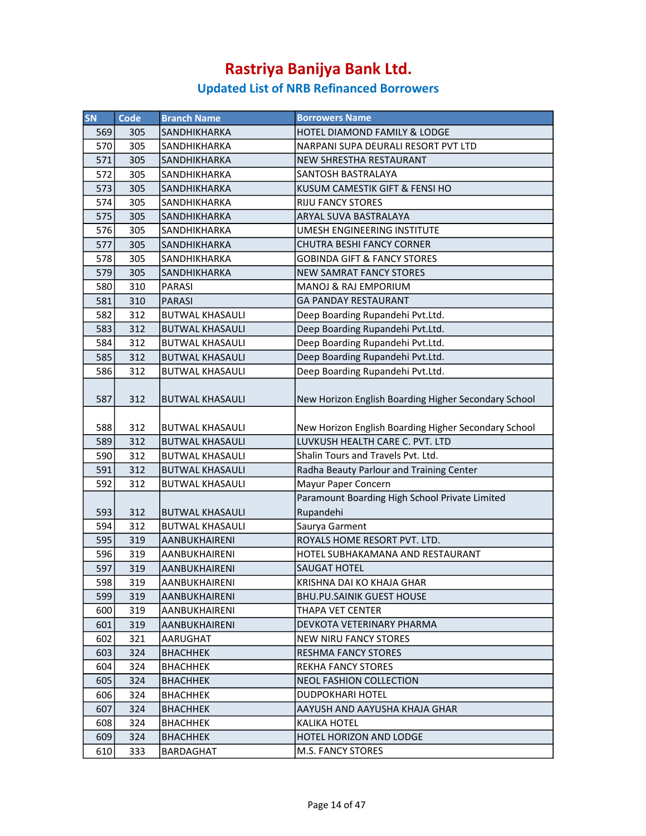| SN  | <b>Code</b> | <b>Branch Name</b>     | <b>Borrowers Name</b>                                |
|-----|-------------|------------------------|------------------------------------------------------|
| 569 |             |                        | HOTEL DIAMOND FAMILY & LODGE                         |
| 570 | 305         | <b>SANDHIKHARKA</b>    |                                                      |
|     | 305         | SANDHIKHARKA           | NARPANI SUPA DEURALI RESORT PVT LTD                  |
| 571 | 305         | SANDHIKHARKA           | NEW SHRESTHA RESTAURANT                              |
| 572 | 305         | SANDHIKHARKA           | SANTOSH BASTRALAYA                                   |
| 573 | 305         | <b>SANDHIKHARKA</b>    | KUSUM CAMESTIK GIFT & FENSI HO                       |
| 574 | 305         | SANDHIKHARKA           | <b>RIJU FANCY STORES</b>                             |
| 575 | 305         | <b>SANDHIKHARKA</b>    | ARYAL SUVA BASTRALAYA                                |
| 576 | 305         | SANDHIKHARKA           | UMESH ENGINEERING INSTITUTE                          |
| 577 | 305         | SANDHIKHARKA           | CHUTRA BESHI FANCY CORNER                            |
| 578 | 305         | <b>SANDHIKHARKA</b>    | <b>GOBINDA GIFT &amp; FANCY STORES</b>               |
| 579 | 305         | <b>SANDHIKHARKA</b>    | <b>NEW SAMRAT FANCY STORES</b>                       |
| 580 | 310         | <b>PARASI</b>          | MANOJ & RAJ EMPORIUM                                 |
| 581 | 310         | <b>PARASI</b>          | <b>GA PANDAY RESTAURANT</b>                          |
| 582 | 312         | <b>BUTWAL KHASAULI</b> | Deep Boarding Rupandehi Pvt.Ltd.                     |
| 583 | 312         | <b>BUTWAL KHASAULI</b> | Deep Boarding Rupandehi Pvt.Ltd.                     |
| 584 | 312         | <b>BUTWAL KHASAULI</b> | Deep Boarding Rupandehi Pvt.Ltd.                     |
| 585 | 312         | <b>BUTWAL KHASAULI</b> | Deep Boarding Rupandehi Pvt.Ltd.                     |
| 586 | 312         | <b>BUTWAL KHASAULI</b> | Deep Boarding Rupandehi Pvt.Ltd.                     |
|     |             |                        |                                                      |
| 587 | 312         | <b>BUTWAL KHASAULI</b> | New Horizon English Boarding Higher Secondary School |
|     |             |                        |                                                      |
| 588 | 312         | <b>BUTWAL KHASAULI</b> | New Horizon English Boarding Higher Secondary School |
| 589 | 312         | <b>BUTWAL KHASAULI</b> | LUVKUSH HEALTH CARE C. PVT. LTD                      |
| 590 | 312         | <b>BUTWAL KHASAULI</b> | Shalin Tours and Travels Pvt. Ltd.                   |
| 591 | 312         | <b>BUTWAL KHASAULI</b> | Radha Beauty Parlour and Training Center             |
| 592 | 312         | <b>BUTWAL KHASAULI</b> | Mayur Paper Concern                                  |
|     |             |                        | Paramount Boarding High School Private Limited       |
| 593 | 312         | <b>BUTWAL KHASAULI</b> | Rupandehi                                            |
| 594 | 312         | <b>BUTWAL KHASAULI</b> | Saurya Garment                                       |
| 595 | 319         | AANBUKHAIRENI          | ROYALS HOME RESORT PVT. LTD.                         |
| 596 | 319         | AANBUKHAIRENI          | HOTEL SUBHAKAMANA AND RESTAURANT                     |
| 597 | 319         | AANBUKHAIRENI          | <b>SAUGAT HOTEL</b>                                  |
| 598 | 319         | AANBUKHAIRENI          | KRISHNA DAI KO KHAJA GHAR                            |
| 599 | 319         | AANBUKHAIRENI          | <b>BHU.PU.SAINIK GUEST HOUSE</b>                     |
| 600 | 319         | AANBUKHAIRENI          | THAPA VET CENTER                                     |
| 601 | 319         | AANBUKHAIRENI          | DEVKOTA VETERINARY PHARMA                            |
| 602 | 321         | AARUGHAT               | <b>NEW NIRU FANCY STORES</b>                         |
| 603 | 324         | <b>BHACHHEK</b>        | <b>RESHMA FANCY STORES</b>                           |
| 604 | 324         | <b>BHACHHEK</b>        | REKHA FANCY STORES                                   |
| 605 | 324         | <b>BHACHHEK</b>        | <b>NEOL FASHION COLLECTION</b>                       |
| 606 | 324         | <b>BHACHHEK</b>        | <b>DUDPOKHARI HOTEL</b>                              |
| 607 | 324         | <b>BHACHHEK</b>        | AAYUSH AND AAYUSHA KHAJA GHAR                        |
| 608 | 324         | <b>BHACHHEK</b>        | <b>KALIKA HOTEL</b>                                  |
| 609 | 324         | <b>BHACHHEK</b>        | <b>HOTEL HORIZON AND LODGE</b>                       |
| 610 | 333         | BARDAGHAT              | <b>M.S. FANCY STORES</b>                             |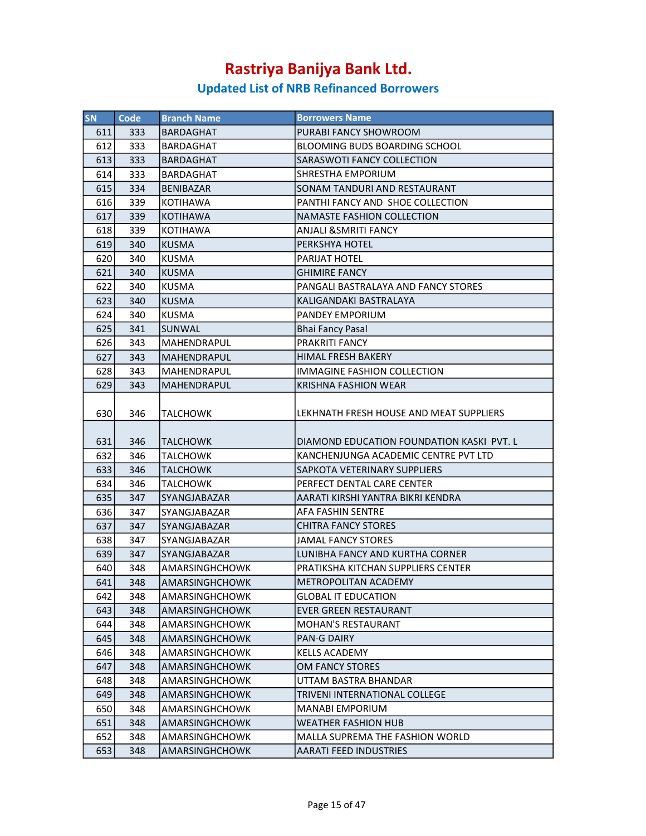| <b>SN</b>                                                                                                                                | Code                                                                                                                              | <b>Branch Name</b>                                                                                                                                                                                                                          | <b>Borrowers Name</b>                                                                                                                                                                                                                                                                                                                                                                                        |
|------------------------------------------------------------------------------------------------------------------------------------------|-----------------------------------------------------------------------------------------------------------------------------------|---------------------------------------------------------------------------------------------------------------------------------------------------------------------------------------------------------------------------------------------|--------------------------------------------------------------------------------------------------------------------------------------------------------------------------------------------------------------------------------------------------------------------------------------------------------------------------------------------------------------------------------------------------------------|
| 611                                                                                                                                      | 333                                                                                                                               | BARDAGHAT                                                                                                                                                                                                                                   | PURABI FANCY SHOWROOM                                                                                                                                                                                                                                                                                                                                                                                        |
| 612                                                                                                                                      | 333                                                                                                                               | BARDAGHAT                                                                                                                                                                                                                                   | <b>BLOOMING BUDS BOARDING SCHOOL</b>                                                                                                                                                                                                                                                                                                                                                                         |
| 613                                                                                                                                      | 333                                                                                                                               | <b>BARDAGHAT</b>                                                                                                                                                                                                                            | SARASWOTI FANCY COLLECTION                                                                                                                                                                                                                                                                                                                                                                                   |
| 614                                                                                                                                      | 333                                                                                                                               | <b>BARDAGHAT</b>                                                                                                                                                                                                                            | <b>SHRESTHA EMPORIUM</b>                                                                                                                                                                                                                                                                                                                                                                                     |
| 615                                                                                                                                      | 334                                                                                                                               | BENIBAZAR                                                                                                                                                                                                                                   | SONAM TANDURI AND RESTAURANT                                                                                                                                                                                                                                                                                                                                                                                 |
| 616                                                                                                                                      | 339                                                                                                                               | <b>KOTIHAWA</b>                                                                                                                                                                                                                             | PANTHI FANCY AND SHOE COLLECTION                                                                                                                                                                                                                                                                                                                                                                             |
| 617                                                                                                                                      | 339                                                                                                                               | <b>KOTIHAWA</b>                                                                                                                                                                                                                             | <b>NAMASTE FASHION COLLECTION</b>                                                                                                                                                                                                                                                                                                                                                                            |
| 618                                                                                                                                      | 339                                                                                                                               | KOTIHAWA                                                                                                                                                                                                                                    | ANJALI &SMRITI FANCY                                                                                                                                                                                                                                                                                                                                                                                         |
| 619                                                                                                                                      | 340                                                                                                                               | <b>KUSMA</b>                                                                                                                                                                                                                                | PERKSHYA HOTEL                                                                                                                                                                                                                                                                                                                                                                                               |
| 620                                                                                                                                      | 340                                                                                                                               | <b>KUSMA</b>                                                                                                                                                                                                                                | PARIJAT HOTEL                                                                                                                                                                                                                                                                                                                                                                                                |
| 621                                                                                                                                      | 340                                                                                                                               | <b>KUSMA</b>                                                                                                                                                                                                                                | <b>GHIMIRE FANCY</b>                                                                                                                                                                                                                                                                                                                                                                                         |
| 622                                                                                                                                      | 340                                                                                                                               | <b>KUSMA</b>                                                                                                                                                                                                                                | PANGALI BASTRALAYA AND FANCY STORES                                                                                                                                                                                                                                                                                                                                                                          |
| 623                                                                                                                                      | 340                                                                                                                               | <b>KUSMA</b>                                                                                                                                                                                                                                | KALIGANDAKI BASTRALAYA                                                                                                                                                                                                                                                                                                                                                                                       |
| 624                                                                                                                                      | 340                                                                                                                               | <b>KUSMA</b>                                                                                                                                                                                                                                | PANDEY EMPORIUM                                                                                                                                                                                                                                                                                                                                                                                              |
| 625                                                                                                                                      | 341                                                                                                                               | SUNWAL                                                                                                                                                                                                                                      | Bhai Fancy Pasal                                                                                                                                                                                                                                                                                                                                                                                             |
| 626                                                                                                                                      | 343                                                                                                                               | MAHENDRAPUL                                                                                                                                                                                                                                 | PRAKRITI FANCY                                                                                                                                                                                                                                                                                                                                                                                               |
| 627                                                                                                                                      | 343                                                                                                                               | MAHENDRAPUL                                                                                                                                                                                                                                 | HIMAL FRESH BAKERY                                                                                                                                                                                                                                                                                                                                                                                           |
| 628                                                                                                                                      | 343                                                                                                                               | <b>MAHENDRAPUL</b>                                                                                                                                                                                                                          | <b>IMMAGINE FASHION COLLECTION</b>                                                                                                                                                                                                                                                                                                                                                                           |
| 629                                                                                                                                      | 343                                                                                                                               | MAHENDRAPUL                                                                                                                                                                                                                                 | <b>KRISHNA FASHION WEAR</b>                                                                                                                                                                                                                                                                                                                                                                                  |
|                                                                                                                                          |                                                                                                                                   |                                                                                                                                                                                                                                             |                                                                                                                                                                                                                                                                                                                                                                                                              |
| 630                                                                                                                                      | 346                                                                                                                               | <b>TALCHOWK</b>                                                                                                                                                                                                                             | LEKHNATH FRESH HOUSE AND MEAT SUPPLIERS                                                                                                                                                                                                                                                                                                                                                                      |
|                                                                                                                                          |                                                                                                                                   |                                                                                                                                                                                                                                             |                                                                                                                                                                                                                                                                                                                                                                                                              |
| 631                                                                                                                                      | 346                                                                                                                               | <b>TALCHOWK</b>                                                                                                                                                                                                                             | DIAMOND EDUCATION FOUNDATION KASKI PVT. L                                                                                                                                                                                                                                                                                                                                                                    |
| 632                                                                                                                                      | 346                                                                                                                               | TALCHOWK                                                                                                                                                                                                                                    | KANCHENJUNGA ACADEMIC CENTRE PVT LTD                                                                                                                                                                                                                                                                                                                                                                         |
|                                                                                                                                          |                                                                                                                                   |                                                                                                                                                                                                                                             |                                                                                                                                                                                                                                                                                                                                                                                                              |
|                                                                                                                                          | 346                                                                                                                               | TALCHOWK                                                                                                                                                                                                                                    | PERFECT DENTAL CARE CENTER                                                                                                                                                                                                                                                                                                                                                                                   |
|                                                                                                                                          |                                                                                                                                   |                                                                                                                                                                                                                                             |                                                                                                                                                                                                                                                                                                                                                                                                              |
|                                                                                                                                          |                                                                                                                                   |                                                                                                                                                                                                                                             |                                                                                                                                                                                                                                                                                                                                                                                                              |
|                                                                                                                                          |                                                                                                                                   |                                                                                                                                                                                                                                             |                                                                                                                                                                                                                                                                                                                                                                                                              |
|                                                                                                                                          |                                                                                                                                   |                                                                                                                                                                                                                                             |                                                                                                                                                                                                                                                                                                                                                                                                              |
|                                                                                                                                          |                                                                                                                                   |                                                                                                                                                                                                                                             |                                                                                                                                                                                                                                                                                                                                                                                                              |
|                                                                                                                                          |                                                                                                                                   | AMARSINGHCHOWK                                                                                                                                                                                                                              | PRATIKSHA KITCHAN SUPPLIERS CENTER                                                                                                                                                                                                                                                                                                                                                                           |
|                                                                                                                                          |                                                                                                                                   |                                                                                                                                                                                                                                             |                                                                                                                                                                                                                                                                                                                                                                                                              |
|                                                                                                                                          |                                                                                                                                   |                                                                                                                                                                                                                                             |                                                                                                                                                                                                                                                                                                                                                                                                              |
|                                                                                                                                          |                                                                                                                                   | AMARSINGHCHOWK                                                                                                                                                                                                                              | EVER GREEN RESTAURANT                                                                                                                                                                                                                                                                                                                                                                                        |
|                                                                                                                                          |                                                                                                                                   | <b>AMARSINGHCHOWK</b>                                                                                                                                                                                                                       | <b>MOHAN'S RESTAURANT</b>                                                                                                                                                                                                                                                                                                                                                                                    |
|                                                                                                                                          | 348                                                                                                                               | AMARSINGHCHOWK                                                                                                                                                                                                                              | <b>PAN-G DAIRY</b>                                                                                                                                                                                                                                                                                                                                                                                           |
|                                                                                                                                          |                                                                                                                                   | AMARSINGHCHOWK                                                                                                                                                                                                                              | KELLS ACADEMY                                                                                                                                                                                                                                                                                                                                                                                                |
| 647                                                                                                                                      |                                                                                                                                   | AMARSINGHCHOWK                                                                                                                                                                                                                              |                                                                                                                                                                                                                                                                                                                                                                                                              |
|                                                                                                                                          |                                                                                                                                   | AMARSINGHCHOWK                                                                                                                                                                                                                              | UTTAM BASTRA BHANDAR                                                                                                                                                                                                                                                                                                                                                                                         |
|                                                                                                                                          |                                                                                                                                   |                                                                                                                                                                                                                                             |                                                                                                                                                                                                                                                                                                                                                                                                              |
|                                                                                                                                          |                                                                                                                                   |                                                                                                                                                                                                                                             |                                                                                                                                                                                                                                                                                                                                                                                                              |
|                                                                                                                                          |                                                                                                                                   |                                                                                                                                                                                                                                             |                                                                                                                                                                                                                                                                                                                                                                                                              |
|                                                                                                                                          |                                                                                                                                   |                                                                                                                                                                                                                                             |                                                                                                                                                                                                                                                                                                                                                                                                              |
|                                                                                                                                          |                                                                                                                                   |                                                                                                                                                                                                                                             |                                                                                                                                                                                                                                                                                                                                                                                                              |
| 633<br>634<br>635<br>636<br>637<br>638<br>639<br>640<br>641<br>642<br>643<br>644<br>645<br>646<br>648<br>649<br>650<br>651<br>652<br>653 | 346<br>347<br>347<br>347<br>347<br>347<br>348<br>348<br>348<br>348<br>348<br>348<br>348<br>348<br>348<br>348<br>348<br>348<br>348 | <b>TALCHOWK</b><br><b>SYANGJABAZAR</b><br>SYANGJABAZAR<br>SYANGJABAZAR<br><b>SYANGJABAZAR</b><br>SYANGJABAZAR<br>AMARSINGHCHOWK<br>AMARSINGHCHOWK<br>AMARSINGHCHOWK<br>AMARSINGHCHOWK<br>AMARSINGHCHOWK<br>AMARSINGHCHOWK<br>AMARSINGHCHOWK | <b>SAPKOTA VETERINARY SUPPLIERS</b><br>AARATI KIRSHI YANTRA BIKRI KENDRA<br><b>AFA FASHIN SENTRE</b><br>CHITRA FANCY STORES<br><b>JAMAL FANCY STORES</b><br>LUNIBHA FANCY AND KURTHA CORNER<br>METROPOLITAN ACADEMY<br><b>GLOBAL IT EDUCATION</b><br>OM FANCY STORES<br>TRIVENI INTERNATIONAL COLLEGE<br>MANABI EMPORIUM<br>WEATHER FASHION HUB<br>MALLA SUPREMA THE FASHION WORLD<br>AARATI FEED INDUSTRIES |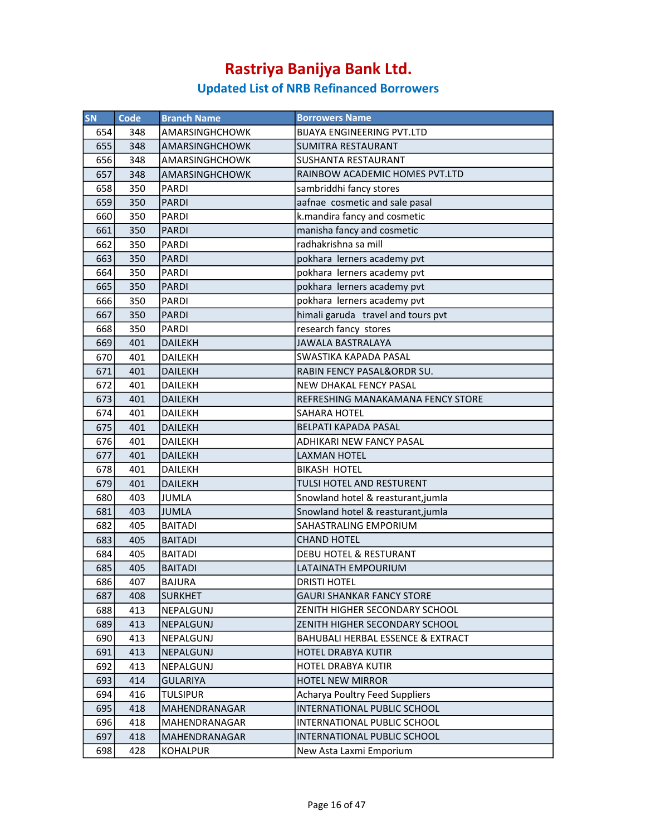| SN  | <b>Code</b> | <b>Branch Name</b>    | <b>Borrowers Name</b>              |
|-----|-------------|-----------------------|------------------------------------|
| 654 | 348         | AMARSINGHCHOWK        | <b>BIJAYA ENGINEERING PVT.LTD</b>  |
| 655 | 348         | AMARSINGHCHOWK        | <b>SUMITRA RESTAURANT</b>          |
| 656 | 348         | AMARSINGHCHOWK        | <b>SUSHANTA RESTAURANT</b>         |
| 657 | 348         | <b>AMARSINGHCHOWK</b> | RAINBOW ACADEMIC HOMES PVT.LTD     |
| 658 | 350         | <b>PARDI</b>          | sambriddhi fancy stores            |
| 659 | 350         | <b>PARDI</b>          | aafnae cosmetic and sale pasal     |
| 660 | 350         | <b>PARDI</b>          | k.mandira fancy and cosmetic       |
| 661 | 350         | <b>PARDI</b>          | manisha fancy and cosmetic         |
| 662 | 350         | <b>PARDI</b>          | radhakrishna sa mill               |
| 663 | 350         | <b>PARDI</b>          | pokhara lerners academy pvt        |
| 664 | 350         | <b>PARDI</b>          | pokhara lerners academy pvt        |
| 665 | 350         | <b>PARDI</b>          | pokhara lerners academy pvt        |
| 666 | 350         | PARDI                 | pokhara lerners academy pvt        |
| 667 | 350         | <b>PARDI</b>          | himali garuda travel and tours pvt |
| 668 | 350         | <b>PARDI</b>          | research fancy stores              |
| 669 | 401         | <b>DAILEKH</b>        | <b>JAWALA BASTRALAYA</b>           |
| 670 | 401         | DAILEKH               | SWASTIKA KAPADA PASAL              |
| 671 | 401         | <b>DAILEKH</b>        | RABIN FENCY PASAL&ORDR SU.         |
| 672 | 401         | <b>DAILEKH</b>        | NEW DHAKAL FENCY PASAL             |
| 673 | 401         | <b>DAILEKH</b>        | REFRESHING MANAKAMANA FENCY STORE  |
| 674 | 401         | <b>DAILEKH</b>        | SAHARA HOTEL                       |
| 675 | 401         | <b>DAILEKH</b>        | <b>BELPATI KAPADA PASAL</b>        |
| 676 | 401         | <b>DAILEKH</b>        | ADHIKARI NEW FANCY PASAL           |
| 677 | 401         | <b>DAILEKH</b>        | <b>LAXMAN HOTEL</b>                |
| 678 | 401         | <b>DAILEKH</b>        | <b>BIKASH HOTEL</b>                |
| 679 | 401         | <b>DAILEKH</b>        | TULSI HOTEL AND RESTURENT          |
| 680 | 403         | <b>JUMLA</b>          | Snowland hotel & reasturant, jumla |
| 681 | 403         | JUMLA                 | Snowland hotel & reasturant, jumla |
| 682 | 405         | <b>BAITADI</b>        | SAHASTRALING EMPORIUM              |
| 683 | 405         | <b>BAITADI</b>        | <b>CHAND HOTEL</b>                 |
| 684 | 405         | <b>BAITADI</b>        | DEBU HOTEL & RESTURANT             |
| 685 | 405         | <b>BAITADI</b>        | LATAINATH EMPOURIUM                |
| 686 | 407         | <b>BAJURA</b>         | <b>DRISTI HOTEL</b>                |
| 687 | 408         | <b>SURKHET</b>        | <b>GAURI SHANKAR FANCY STORE</b>   |
| 688 | 413         | NEPALGUNJ             | ZENITH HIGHER SECONDARY SCHOOL     |
| 689 | 413         | NEPALGUNJ             | ZENITH HIGHER SECONDARY SCHOOL     |
| 690 | 413         | NEPALGUNJ             | BAHUBALI HERBAL ESSENCE & EXTRACT  |
| 691 | 413         | NEPALGUNJ             | <b>HOTEL DRABYA KUTIR</b>          |
| 692 | 413         | NEPALGUNJ             | <b>HOTEL DRABYA KUTIR</b>          |
| 693 | 414         | <b>GULARIYA</b>       | <b>HOTEL NEW MIRROR</b>            |
| 694 | 416         | <b>TULSIPUR</b>       | Acharya Poultry Feed Suppliers     |
| 695 | 418         | MAHENDRANAGAR         | INTERNATIONAL PUBLIC SCHOOL        |
| 696 | 418         | MAHENDRANAGAR         | INTERNATIONAL PUBLIC SCHOOL        |
| 697 | 418         | MAHENDRANAGAR         | INTERNATIONAL PUBLIC SCHOOL        |
| 698 | 428         | <b>KOHALPUR</b>       | New Asta Laxmi Emporium            |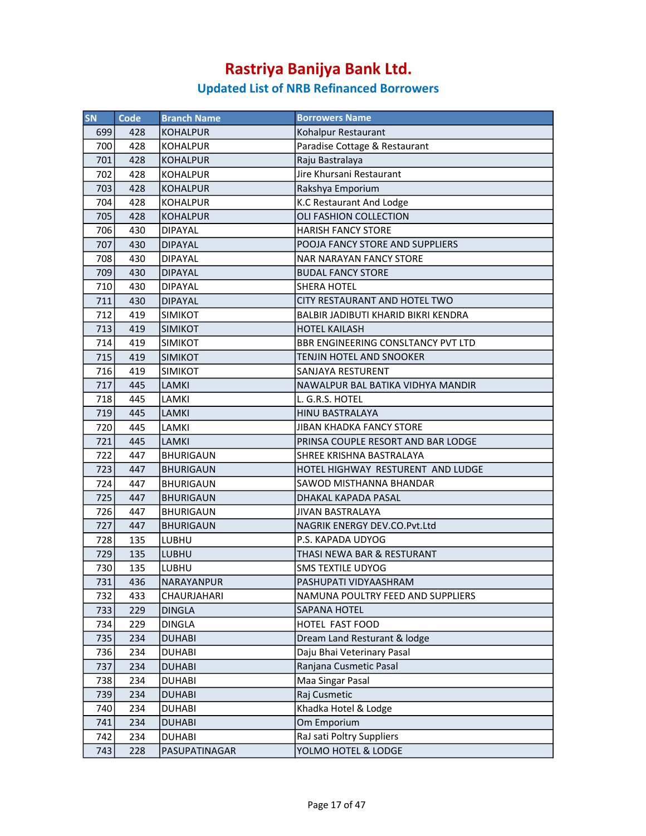| SN  | <b>Code</b> | <b>Branch Name</b> | <b>Borrowers Name</b>               |
|-----|-------------|--------------------|-------------------------------------|
| 699 | 428         | <b>KOHALPUR</b>    | Kohalpur Restaurant                 |
| 700 | 428         | KOHALPUR           | Paradise Cottage & Restaurant       |
| 701 | 428         | <b>KOHALPUR</b>    | Raju Bastralaya                     |
| 702 | 428         | <b>KOHALPUR</b>    | Jire Khursani Restaurant            |
| 703 | 428         | KOHALPUR           | Rakshya Emporium                    |
| 704 | 428         | KOHALPUR           | K.C Restaurant And Lodge            |
| 705 | 428         | <b>KOHALPUR</b>    | OLI FASHION COLLECTION              |
| 706 | 430         | <b>DIPAYAL</b>     | <b>HARISH FANCY STORE</b>           |
| 707 | 430         | <b>DIPAYAL</b>     | POOJA FANCY STORE AND SUPPLIERS     |
| 708 | 430         | <b>DIPAYAL</b>     | <b>NAR NARAYAN FANCY STORE</b>      |
| 709 | 430         | <b>DIPAYAL</b>     | <b>BUDAL FANCY STORE</b>            |
| 710 | 430         | <b>DIPAYAL</b>     | <b>SHERA HOTEL</b>                  |
| 711 | 430         | <b>DIPAYAL</b>     | CITY RESTAURANT AND HOTEL TWO       |
| 712 | 419         | <b>SIMIKOT</b>     | BALBIR JADIBUTI KHARID BIKRI KENDRA |
| 713 | 419         | <b>SIMIKOT</b>     | <b>HOTEL KAILASH</b>                |
| 714 | 419         | <b>SIMIKOT</b>     | BBR ENGINEERING CONSLTANCY PVT LTD  |
| 715 | 419         | <b>SIMIKOT</b>     | <b>TENJIN HOTEL AND SNOOKER</b>     |
| 716 | 419         | <b>SIMIKOT</b>     | SANJAYA RESTURENT                   |
| 717 | 445         | <b>LAMKI</b>       | NAWALPUR BAL BATIKA VIDHYA MANDIR   |
| 718 | 445         | LAMKI              | L. G.R.S. HOTEL                     |
| 719 | 445         | <b>LAMKI</b>       | <b>HINU BASTRALAYA</b>              |
| 720 | 445         | LAMKI              | <b>JIBAN KHADKA FANCY STORE</b>     |
| 721 | 445         | <b>LAMKI</b>       | PRINSA COUPLE RESORT AND BAR LODGE  |
| 722 | 447         | <b>BHURIGAUN</b>   | SHREE KRISHNA BASTRALAYA            |
| 723 | 447         | <b>BHURIGAUN</b>   | HOTEL HIGHWAY RESTURENT AND LUDGE   |
| 724 | 447         | <b>BHURIGAUN</b>   | SAWOD MISTHANNA BHANDAR             |
| 725 | 447         | <b>BHURIGAUN</b>   | DHAKAL KAPADA PASAL                 |
| 726 | 447         | BHURIGAUN          | <b>JIVAN BASTRALAYA</b>             |
| 727 | 447         | <b>BHURIGAUN</b>   | NAGRIK ENERGY DEV.CO.Pvt.Ltd        |
| 728 | 135         | LUBHU              | P.S. KAPADA UDYOG                   |
| 729 | 135         | <b>LUBHU</b>       | THASI NEWA BAR & RESTURANT          |
| 730 | 135         | <b>LUBHU</b>       | <b>SMS TEXTILE UDYOG</b>            |
| 731 | 436         | NARAYANPUR         | PASHUPATI VIDYAASHRAM               |
|     |             |                    |                                     |
| 732 | 433         | CHAURJAHARI        | NAMUNA POULTRY FEED AND SUPPLIERS   |
| 733 | 229         | <b>DINGLA</b>      | SAPANA HOTEL                        |
| 734 | 229         | <b>DINGLA</b>      | HOTEL FAST FOOD                     |
| 735 | 234         | <b>DUHABI</b>      | Dream Land Resturant & lodge        |
| 736 | 234         | <b>DUHABI</b>      | Daju Bhai Veterinary Pasal          |
| 737 | 234         | <b>DUHABI</b>      | Ranjana Cusmetic Pasal              |
| 738 | 234         | <b>DUHABI</b>      | Maa Singar Pasal                    |
| 739 | 234         | <b>DUHABI</b>      | Raj Cusmetic                        |
| 740 | 234         | <b>DUHABI</b>      | Khadka Hotel & Lodge                |
| 741 | 234         | <b>DUHABI</b>      | Om Emporium                         |
| 742 | 234         | <b>DUHABI</b>      | RaJ sati Poltry Suppliers           |
| 743 | 228         | PASUPATINAGAR      | YOLMO HOTEL & LODGE                 |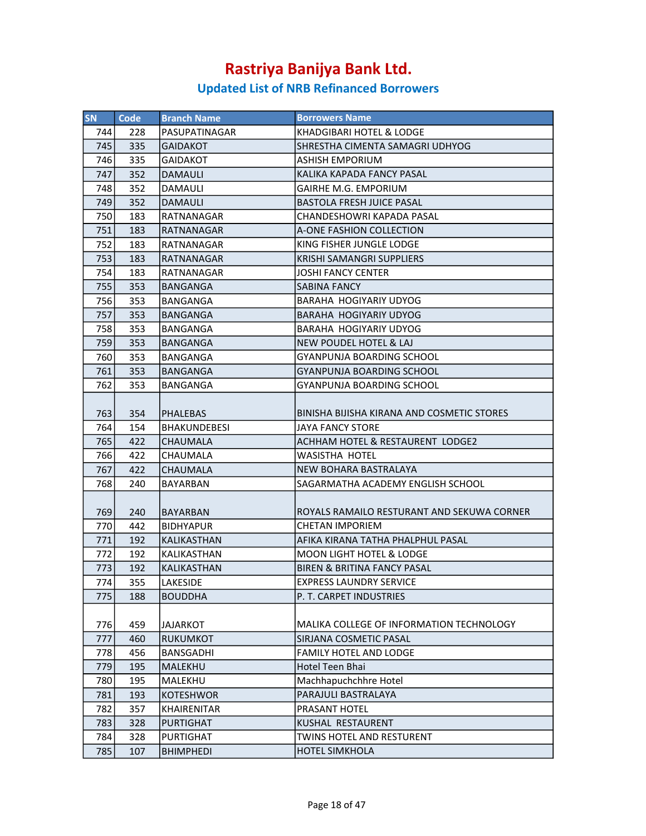| <b>SN</b> | Code | <b>Branch Name</b>  | <b>Borrowers Name</b>                      |
|-----------|------|---------------------|--------------------------------------------|
| 744       | 228  | PASUPATINAGAR       | KHADGIBARI HOTEL & LODGE                   |
| 745       | 335  | <b>GAIDAKOT</b>     | SHRESTHA CIMENTA SAMAGRI UDHYOG            |
| 746       | 335  | GAIDAKOT            | <b>ASHISH EMPORIUM</b>                     |
| 747       | 352  | <b>DAMAULI</b>      | KALIKA KAPADA FANCY PASAL                  |
| 748       | 352  | DAMAULI             | <b>GAIRHE M.G. EMPORIUM</b>                |
| 749       | 352  | <b>DAMAULI</b>      | <b>BASTOLA FRESH JUICE PASAL</b>           |
| 750       | 183  | RATNANAGAR          | CHANDESHOWRI KAPADA PASAL                  |
| 751       | 183  | RATNANAGAR          | A-ONE FASHION COLLECTION                   |
| 752       | 183  | RATNANAGAR          | KING FISHER JUNGLE LODGE                   |
| 753       | 183  | RATNANAGAR          | <b>KRISHI SAMANGRI SUPPLIERS</b>           |
| 754       | 183  | RATNANAGAR          | JOSHI FANCY CENTER                         |
| 755       | 353  | BANGANGA            | SABINA FANCY                               |
| 756       | 353  | BANGANGA            | <b>BARAHA HOGIYARIY UDYOG</b>              |
| 757       | 353  | <b>BANGANGA</b>     | BARAHA HOGIYARIY UDYOG                     |
| 758       | 353  | BANGANGA            | BARAHA HOGIYARIY UDYOG                     |
| 759       | 353  | <b>BANGANGA</b>     | NEW POUDEL HOTEL & LAJ                     |
| 760       | 353  | BANGANGA            | <b>GYANPUNJA BOARDING SCHOOL</b>           |
| 761       | 353  | <b>BANGANGA</b>     | <b>GYANPUNJA BOARDING SCHOOL</b>           |
| 762       | 353  | BANGANGA            | <b>GYANPUNJA BOARDING SCHOOL</b>           |
|           |      |                     |                                            |
| 763       | 354  | <b>PHALEBAS</b>     | BINISHA BIJISHA KIRANA AND COSMETIC STORES |
| 764       | 154  | <b>BHAKUNDEBESI</b> | <b>JAYA FANCY STORE</b>                    |
| 765       | 422  | <b>CHAUMALA</b>     | ACHHAM HOTEL & RESTAURENT LODGE2           |
| 766       | 422  | CHAUMALA            | <b>WASISTHA HOTEL</b>                      |
| 767       | 422  | CHAUMALA            | NEW BOHARA BASTRALAYA                      |
| 768       | 240  | BAYARBAN            | SAGARMATHA ACADEMY ENGLISH SCHOOL          |
| 769       | 240  | <b>BAYARBAN</b>     | ROYALS RAMAILO RESTURANT AND SEKUWA CORNER |
| 770       | 442  | <b>BIDHYAPUR</b>    | CHETAN IMPORIEM                            |
| 771       | 192  | <b>KALIKASTHAN</b>  | AFIKA KIRANA TATHA PHALPHUL PASAL          |
| 772       | 192  | KALIKASTHAN         | <b>MOON LIGHT HOTEL &amp; LODGE</b>        |
| 773       | 192  | <b>IKALIKASTHAN</b> | <b>BIREN &amp; BRITINA FANCY PASAL</b>     |
| 774       | 355  | LAKESIDE            | <b>EXPRESS LAUNDRY SERVICE</b>             |
| 775       | 188  | <b>BOUDDHA</b>      | P. T. CARPET INDUSTRIES                    |
| 776       | 459  | <b>JAJARKOT</b>     | MALIKA COLLEGE OF INFORMATION TECHNOLOGY   |
| 777       | 460  | <b>RUKUMKOT</b>     | SIRJANA COSMETIC PASAL                     |
| 778       | 456  | BANSGADHI           | <b>FAMILY HOTEL AND LODGE</b>              |
| 779       | 195  | MALEKHU             | Hotel Teen Bhai                            |
| 780       | 195  | MALEKHU             | Machhapuchchhre Hotel                      |
| 781       | 193  | <b>KOTESHWOR</b>    | PARAJULI BASTRALAYA                        |
| 782       | 357  | <b>KHAIRENITAR</b>  | PRASANT HOTEL                              |
| 783       | 328  | <b>PURTIGHAT</b>    | KUSHAL RESTAURENT                          |
| 784       | 328  | PURTIGHAT           | TWINS HOTEL AND RESTURENT                  |
| 785       | 107  | <b>BHIMPHEDI</b>    | <b>HOTEL SIMKHOLA</b>                      |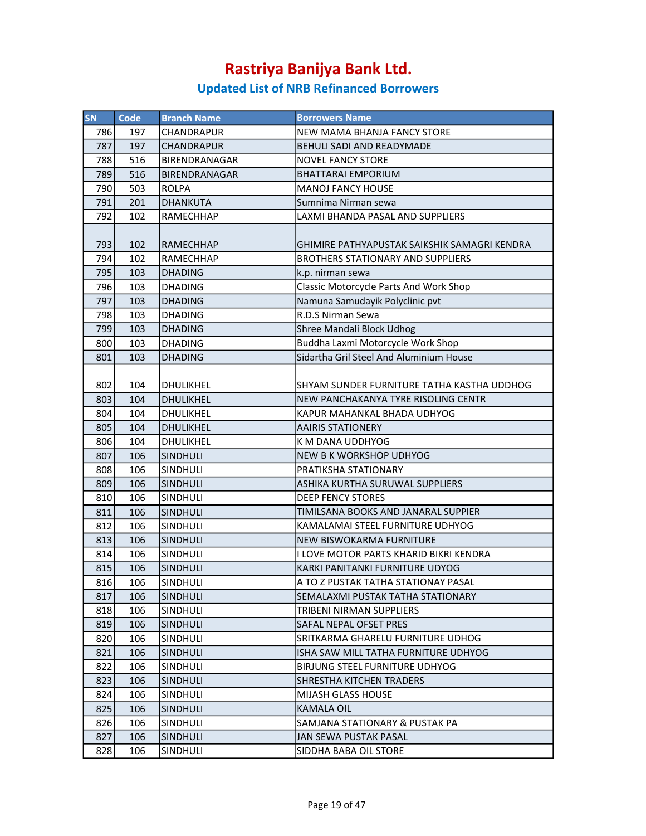| SN  | <b>Code</b> | <b>Branch Name</b>   | <b>Borrowers Name</b>                        |
|-----|-------------|----------------------|----------------------------------------------|
| 786 | 197         | CHANDRAPUR           | NEW MAMA BHANJA FANCY STORE                  |
| 787 | 197         | <b>CHANDRAPUR</b>    | <b>BEHULI SADI AND READYMADE</b>             |
| 788 | 516         | BIRENDRANAGAR        | <b>NOVEL FANCY STORE</b>                     |
| 789 | 516         | <b>BIRENDRANAGAR</b> | <b>BHATTARAI EMPORIUM</b>                    |
| 790 | 503         | <b>ROLPA</b>         | <b>MANOJ FANCY HOUSE</b>                     |
| 791 | 201         | <b>DHANKUTA</b>      | Sumnima Nirman sewa                          |
| 792 | 102         | RAMECHHAP            | LAXMI BHANDA PASAL AND SUPPLIERS             |
|     |             |                      |                                              |
| 793 | 102         | <b>RAMECHHAP</b>     | GHIMIRE PATHYAPUSTAK SAIKSHIK SAMAGRI KENDRA |
| 794 | 102         | <b>RAMECHHAP</b>     | <b>BROTHERS STATIONARY AND SUPPLIERS</b>     |
| 795 | 103         | <b>DHADING</b>       | k.p. nirman sewa                             |
| 796 | 103         | <b>DHADING</b>       | Classic Motorcycle Parts And Work Shop       |
| 797 | 103         | <b>DHADING</b>       | Namuna Samudayik Polyclinic pvt              |
| 798 | 103         | <b>DHADING</b>       | R.D.S Nirman Sewa                            |
| 799 | 103         | <b>DHADING</b>       | Shree Mandali Block Udhog                    |
| 800 | 103         | <b>DHADING</b>       | Buddha Laxmi Motorcycle Work Shop            |
| 801 | 103         | <b>DHADING</b>       | Sidartha Gril Steel And Aluminium House      |
|     |             |                      |                                              |
| 802 | 104         | <b>DHULIKHEL</b>     | SHYAM SUNDER FURNITURE TATHA KASTHA UDDHOG   |
| 803 | 104         | <b>DHULIKHEL</b>     | NEW PANCHAKANYA TYRE RISOLING CENTR          |
| 804 | 104         | DHULIKHEL            | KAPUR MAHANKAL BHADA UDHYOG                  |
| 805 | 104         | <b>DHULIKHEL</b>     | <b>AAIRIS STATIONERY</b>                     |
| 806 | 104         | <b>DHULIKHEL</b>     | K M DANA UDDHYOG                             |
| 807 | 106         | <b>SINDHULI</b>      | NEW B K WORKSHOP UDHYOG                      |
| 808 | 106         | <b>SINDHULI</b>      | PRATIKSHA STATIONARY                         |
| 809 | 106         | <b>SINDHULI</b>      | ASHIKA KURTHA SURUWAL SUPPLIERS              |
| 810 | 106         | SINDHULI             | <b>DEEP FENCY STORES</b>                     |
| 811 | 106         | <b>SINDHULI</b>      | TIMILSANA BOOKS AND JANARAL SUPPIER          |
| 812 | 106         | SINDHULI             | KAMALAMAI STEEL FURNITURE UDHYOG             |
| 813 | 106         | <b>SINDHULI</b>      | NEW BISWOKARMA FURNITURE                     |
| 814 | 106         | SINDHULI             | I LOVE MOTOR PARTS KHARID BIKRI KENDRA       |
| 815 | 106         | <b>SINDHULI</b>      | KARKI PANITANKI FURNITURE UDYOG              |
| 816 | 106         | <b>SINDHULI</b>      | A TO Z PUSTAK TATHA STATIONAY PASAL          |
| 817 | 106         | <b>SINDHULI</b>      | SEMALAXMI PUSTAK TATHA STATIONARY            |
| 818 | 106         | <b>SINDHULI</b>      | TRIBENI NIRMAN SUPPLIERS                     |
| 819 | 106         | <b>SINDHULI</b>      | SAFAL NEPAL OFSET PRES                       |
| 820 | 106         | SINDHULI             | SRITKARMA GHARELU FURNITURE UDHOG            |
| 821 | 106         | <b>SINDHULI</b>      | ISHA SAW MILL TATHA FURNITURE UDHYOG         |
| 822 | 106         | SINDHULI             | BIRJUNG STEEL FURNITURE UDHYOG               |
| 823 | 106         | <b>SINDHULI</b>      | SHRESTHA KITCHEN TRADERS                     |
| 824 | 106         | SINDHULI             | <b>MIJASH GLASS HOUSE</b>                    |
| 825 | 106         | <b>SINDHULI</b>      | <b>KAMALA OIL</b>                            |
| 826 | 106         | <b>SINDHULI</b>      | SAMJANA STATIONARY & PUSTAK PA               |
| 827 | 106         | <b>SINDHULI</b>      | JAN SEWA PUSTAK PASAL                        |
| 828 | 106         | SINDHULI             | SIDDHA BABA OIL STORE                        |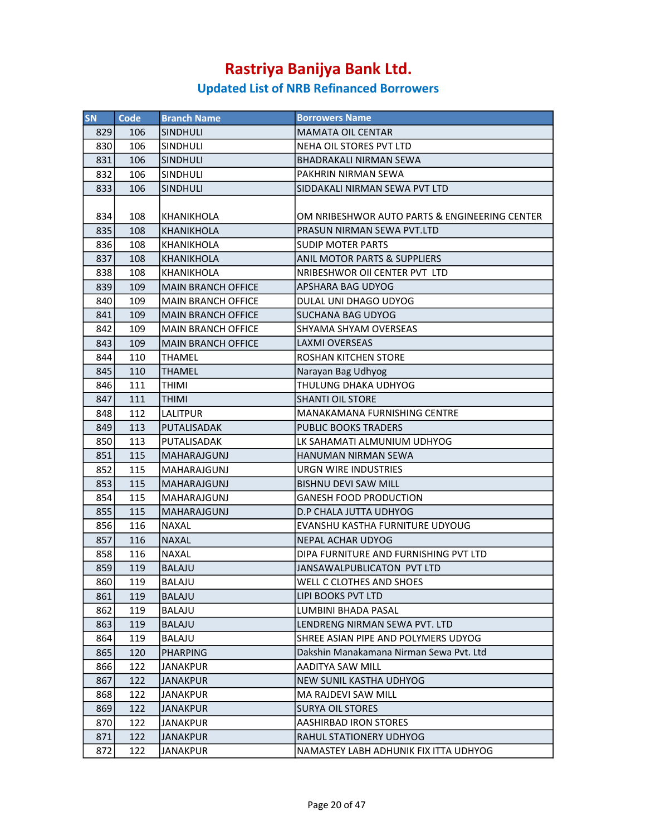| <b>SN</b> | Code | <b>Branch Name</b>        | <b>Borrowers Name</b>                         |
|-----------|------|---------------------------|-----------------------------------------------|
| 829       | 106  | <b>SINDHULI</b>           | <b>MAMATA OIL CENTAR</b>                      |
| 830       | 106  | SINDHULI                  | NEHA OIL STORES PVT LTD                       |
| 831       | 106  | <b>SINDHULI</b>           | <b>BHADRAKALI NIRMAN SEWA</b>                 |
| 832       | 106  | <b>SINDHULI</b>           | PAKHRIN NIRMAN SEWA                           |
| 833       | 106  | <b>SINDHULI</b>           | SIDDAKALI NIRMAN SEWA PVT LTD                 |
|           |      |                           |                                               |
| 834       | 108  | <b>KHANIKHOLA</b>         | OM NRIBESHWOR AUTO PARTS & ENGINEERING CENTER |
| 835       | 108  | <b>KHANIKHOLA</b>         | PRASUN NIRMAN SEWA PVT.LTD                    |
| 836       | 108  | <b>KHANIKHOLA</b>         | <b>SUDIP MOTER PARTS</b>                      |
| 837       | 108  | <b>KHANIKHOLA</b>         | <b>ANIL MOTOR PARTS &amp; SUPPLIERS</b>       |
| 838       | 108  | <b>KHANIKHOLA</b>         | NRIBESHWOR OII CENTER PVT LTD                 |
| 839       | 109  | <b>MAIN BRANCH OFFICE</b> | <b>APSHARA BAG UDYOG</b>                      |
| 840       | 109  | <b>MAIN BRANCH OFFICE</b> | DULAL UNI DHAGO UDYOG                         |
| 841       | 109  | <b>MAIN BRANCH OFFICE</b> | <b>SUCHANA BAG UDYOG</b>                      |
| 842       | 109  | <b>MAIN BRANCH OFFICE</b> | SHYAMA SHYAM OVERSEAS                         |
| 843       | 109  | <b>MAIN BRANCH OFFICE</b> | <b>LAXMI OVERSEAS</b>                         |
| 844       | 110  | <b>THAMEL</b>             | ROSHAN KITCHEN STORE                          |
| 845       | 110  | <b>THAMEL</b>             | Narayan Bag Udhyog                            |
| 846       | 111  | THIMI                     | THULUNG DHAKA UDHYOG                          |
| 847       | 111  | <b>THIMI</b>              | SHANTI OIL STORE                              |
| 848       | 112  | LALITPUR                  | <b>MANAKAMANA FURNISHING CENTRE</b>           |
| 849       | 113  | PUTALISADAK               | <b>PUBLIC BOOKS TRADERS</b>                   |
| 850       | 113  | PUTALISADAK               | LK SAHAMATI ALMUNIUM UDHYOG                   |
| 851       | 115  | <b>MAHARAJGUNJ</b>        | HANUMAN NIRMAN SEWA                           |
| 852       | 115  | <b>MAHARAJGUNJ</b>        | URGN WIRE INDUSTRIES                          |
| 853       | 115  | MAHARAJGUNJ               | <b>BISHNU DEVI SAW MILL</b>                   |
| 854       | 115  | MAHARAJGUNJ               | <b>GANESH FOOD PRODUCTION</b>                 |
| 855       | 115  | <b>MAHARAJGUNJ</b>        | D.P CHALA JUTTA UDHYOG                        |
| 856       | 116  | <b>NAXAL</b>              | EVANSHU KASTHA FURNITURE UDYOUG               |
| 857       | 116  | <b>NAXAL</b>              | <b>NEPAL ACHAR UDYOG</b>                      |
| 858       | 116  | <b>NAXAL</b>              | DIPA FURNITURE AND FURNISHING PVT LTD         |
| 859       | 119  | <b>BALAJU</b>             | JANSAWALPUBLICATON PVT LTD                    |
| 860       | 119  | BALAJU                    | <b>WELL C CLOTHES AND SHOES</b>               |
| 861       | 119  | <b>BALAJU</b>             | LIPI BOOKS PVT LTD                            |
| 862       | 119  | BALAJU                    | LUMBINI BHADA PASAL                           |
| 863       | 119  | <b>BALAJU</b>             | LENDRENG NIRMAN SEWA PVT. LTD                 |
| 864       | 119  | BALAJU                    | SHREE ASIAN PIPE AND POLYMERS UDYOG           |
| 865       | 120  | <b>PHARPING</b>           | Dakshin Manakamana Nirman Sewa Pvt. Ltd       |
| 866       | 122  | JANAKPUR                  | AADITYA SAW MILL                              |
| 867       | 122  | JANAKPUR                  | NEW SUNIL KASTHA UDHYOG                       |
| 868       | 122  | <b>JANAKPUR</b>           | MA RAJDEVI SAW MILL                           |
| 869       | 122  | JANAKPUR                  | <b>SURYA OIL STORES</b>                       |
| 870       | 122  | <b>JANAKPUR</b>           | <b>AASHIRBAD IRON STORES</b>                  |
| 871       | 122  | JANAKPUR                  | RAHUL STATIONERY UDHYOG                       |
| 872       | 122  | JANAKPUR                  | NAMASTEY LABH ADHUNIK FIX ITTA UDHYOG         |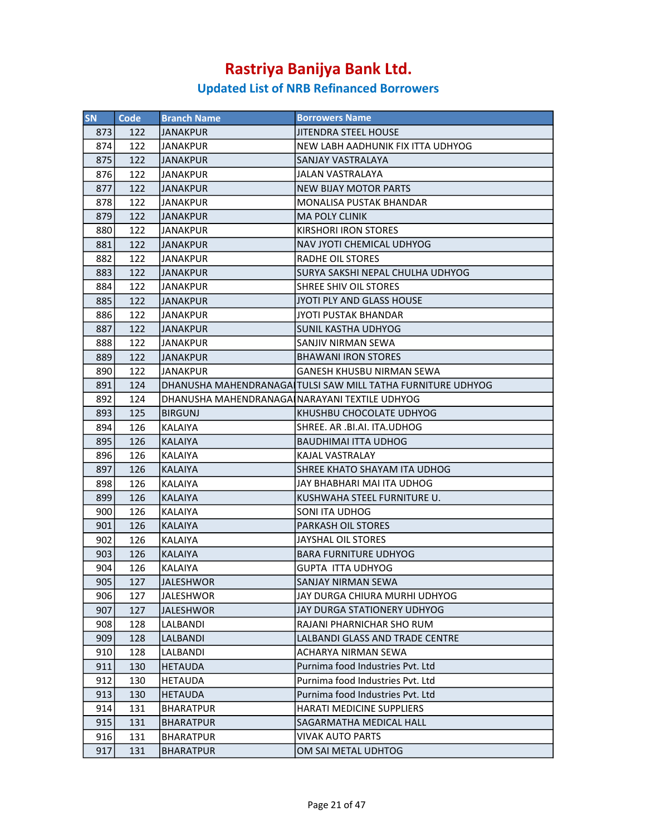| <b>SN</b> | Code | <b>Branch Name</b>                            | <b>Borrowers Name</b>                                       |
|-----------|------|-----------------------------------------------|-------------------------------------------------------------|
| 873       | 122  | IJANAKPUR                                     | <b>JITENDRA STEEL HOUSE</b>                                 |
| 874       | 122  | <b>JANAKPUR</b>                               | NEW LABH AADHUNIK FIX ITTA UDHYOG                           |
| 875       | 122  | <b>JANAKPUR</b>                               | SANJAY VASTRALAYA                                           |
| 876       | 122  | JANAKPUR                                      | JALAN VASTRALAYA                                            |
| 877       | 122  | <b>JANAKPUR</b>                               | <b>NEW BIJAY MOTOR PARTS</b>                                |
| 878       | 122  | JANAKPUR                                      | MONALISA PUSTAK BHANDAR                                     |
| 879       | 122  | <b>JANAKPUR</b>                               | <b>MA POLY CLINIK</b>                                       |
| 880       | 122  | JANAKPUR                                      | <b>KIRSHORI IRON STORES</b>                                 |
| 881       | 122  | <b>JANAKPUR</b>                               | NAV JYOTI CHEMICAL UDHYOG                                   |
| 882       | 122  | <b>JANAKPUR</b>                               | <b>RADHE OIL STORES</b>                                     |
| 883       | 122  | IJANAKPUR                                     | SURYA SAKSHI NEPAL CHULHA UDHYOG                            |
| 884       | 122  | <b>JANAKPUR</b>                               | SHREE SHIV OIL STORES                                       |
| 885       | 122  | JANAKPUR                                      | JYOTI PLY AND GLASS HOUSE                                   |
| 886       | 122  | JANAKPUR                                      | JYOTI PUSTAK BHANDAR                                        |
| 887       | 122  | IJANAKPUR                                     | <b>SUNIL KASTHA UDHYOG</b>                                  |
| 888       | 122  | <b>JANAKPUR</b>                               | SANJIV NIRMAN SEWA                                          |
| 889       | 122  | JANAKPUR                                      | <b>BHAWANI IRON STORES</b>                                  |
| 890       | 122  | JANAKPUR                                      | GANESH KHUSBU NIRMAN SEWA                                   |
| 891       | 124  |                                               | DHANUSHA MAHENDRANAGAITULSI SAW MILL TATHA FURNITURE UDHYOG |
| 892       | 124  | DHANUSHA MAHENDRANAGAINARAYANI TEXTILE UDHYOG |                                                             |
| 893       | 125  | <b>BIRGUNJ</b>                                | KHUSHBU CHOCOLATE UDHYOG                                    |
| 894       | 126  | KALAIYA                                       | SHREE. AR .BI.AI. ITA.UDHOG                                 |
| 895       | 126  | <b>KALAIYA</b>                                | <b>BAUDHIMAI ITTA UDHOG</b>                                 |
| 896       | 126  | KALAIYA                                       | KAJAL VASTRALAY                                             |
| 897       | 126  | <b>KALAIYA</b>                                | SHREE KHATO SHAYAM ITA UDHOG                                |
| 898       | 126  | KALAIYA                                       | JAY BHABHARI MAI ITA UDHOG                                  |
| 899       | 126  | <b>KALAIYA</b>                                | KUSHWAHA STEEL FURNITURE U.                                 |
| 900       | 126  | <b>KALAIYA</b>                                | <b>SONI ITA UDHOG</b>                                       |
| 901       | 126  | <b>KALAIYA</b>                                | <b>PARKASH OIL STORES</b>                                   |
| 902       | 126  | <b>KALAIYA</b>                                | JAYSHAL OIL STORES                                          |
| 903       | 126  | KALAIYA                                       | BARA FURNITURE UDHYOG                                       |
| 904       | 126  | <b>KALAIYA</b>                                | GUPTA ITTA UDHYOG                                           |
| 905       | 127  | <b>JALESHWOR</b>                              | SANJAY NIRMAN SEWA                                          |
| 906       | 127  | JALESHWOR                                     | JAY DURGA CHIURA MURHI UDHYOG                               |
| 907       | 127  | <b>JALESHWOR</b>                              | JAY DURGA STATIONERY UDHYOG                                 |
| 908       | 128  | LALBANDI                                      | RAJANI PHARNICHAR SHO RUM                                   |
| 909       | 128  | LALBANDI                                      | LALBANDI GLASS AND TRADE CENTRE                             |
| 910       | 128  | LALBANDI                                      | ACHARYA NIRMAN SEWA                                         |
| 911       | 130  | HETAUDA                                       | Purnima food Industries Pvt. Ltd                            |
| 912       | 130  | HETAUDA                                       | Purnima food Industries Pvt. Ltd                            |
| 913       | 130  | <b>HETAUDA</b>                                | Purnima food Industries Pvt. Ltd                            |
| 914       | 131  | <b>BHARATPUR</b>                              | HARATI MEDICINE SUPPLIERS                                   |
| 915       | 131  | <b>BHARATPUR</b>                              | SAGARMATHA MEDICAL HALL                                     |
| 916       | 131  | <b>BHARATPUR</b>                              | VIVAK AUTO PARTS                                            |
| 917       | 131  | <b>BHARATPUR</b>                              | OM SAI METAL UDHTOG                                         |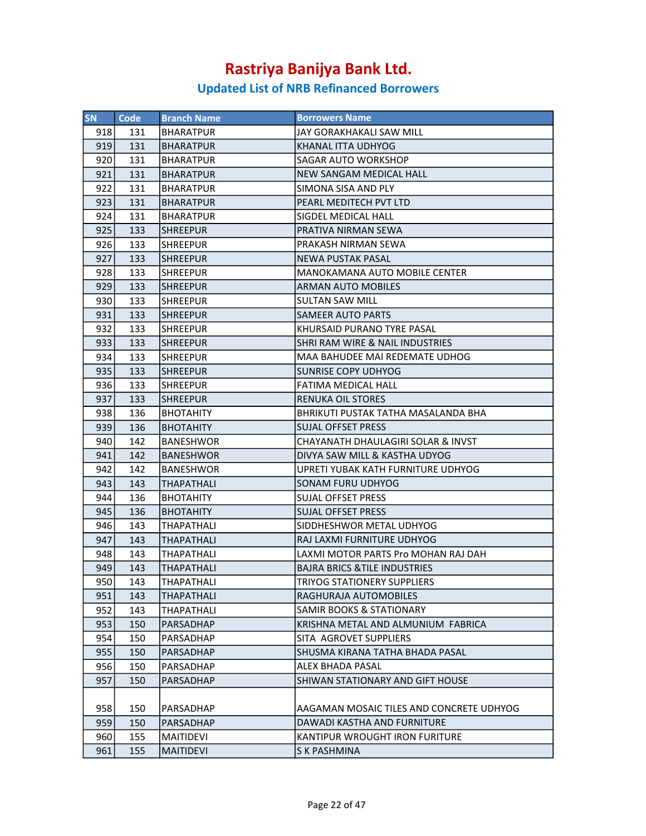| <b>SN</b> | Code | <b>Branch Name</b> | <b>Borrowers Name</b>                         |
|-----------|------|--------------------|-----------------------------------------------|
| 918       | 131  | BHARATPUR          | JAY GORAKHAKALI SAW MILL                      |
| 919       | 131  | <b>BHARATPUR</b>   | KHANAL ITTA UDHYOG                            |
| 920       | 131  | BHARATPUR          | <b>SAGAR AUTO WORKSHOP</b>                    |
| 921       | 131  | <b>BHARATPUR</b>   | NEW SANGAM MEDICAL HALL                       |
| 922       | 131  | <b>BHARATPUR</b>   | SIMONA SISA AND PLY                           |
| 923       | 131  | <b>BHARATPUR</b>   | PEARL MEDITECH PVT LTD                        |
| 924       | 131  | BHARATPUR          | SIGDEL MEDICAL HALL                           |
| 925       | 133  | <b>SHREEPUR</b>    | PRATIVA NIRMAN SEWA                           |
| 926       | 133  | <b>SHREEPUR</b>    | PRAKASH NIRMAN SEWA                           |
| 927       | 133  | <b>SHREEPUR</b>    | <b>NEWA PUSTAK PASAL</b>                      |
| 928       | 133  | <b>SHREEPUR</b>    | MANOKAMANA AUTO MOBILE CENTER                 |
| 929       | 133  | <b>SHREEPUR</b>    | <b>ARMAN AUTO MOBILES</b>                     |
| 930       | 133  | <b>SHREEPUR</b>    | SULTAN SAW MILL                               |
| 931       | 133  | <b>SHREEPUR</b>    | <b>SAMEER AUTO PARTS</b>                      |
| 932       | 133  | <b>SHREEPUR</b>    | KHURSAID PURANO TYRE PASAL                    |
| 933       | 133  | <b>SHREEPUR</b>    | <b>SHRI RAM WIRE &amp; NAIL INDUSTRIES</b>    |
| 934       | 133  | SHREEPUR           | MAA BAHUDEE MAI REDEMATE UDHOG                |
| 935       | 133  | <b>SHREEPUR</b>    | <b>SUNRISE COPY UDHYOG</b>                    |
| 936       | 133  | <b>SHREEPUR</b>    | <b>FATIMA MEDICAL HALL</b>                    |
| 937       | 133  | ISHREEPUR          | RENUKA OIL STORES                             |
| 938       | 136  | <b>BHOTAHITY</b>   | BHRIKUTI PUSTAK TATHA MASALANDA BHA           |
| 939       | 136  | <b>BHOTAHITY</b>   | <b>SUJAL OFFSET PRESS</b>                     |
| 940       | 142  | <b>BANESHWOR</b>   | <b>CHAYANATH DHAULAGIRI SOLAR &amp; INVST</b> |
| 941       | 142  | <b>BANESHWOR</b>   | DIVYA SAW MILL & KASTHA UDYOG                 |
| 942       | 142  | BANESHWOR          | UPRETI YUBAK KATH FURNITURE UDHYOG            |
| 943       | 143  | THAPATHALI         | SONAM FURU UDHYOG                             |
| 944       | 136  | <b>BHOTAHITY</b>   | SUJAL OFFSET PRESS                            |
| 945       | 136  | <b>BHOTAHITY</b>   | <b>SUJAL OFFSET PRESS</b>                     |
| 946       | 143  | THAPATHALI         | SIDDHESHWOR METAL UDHYOG                      |
| 947       | 143  | THAPATHALI         | RAJ LAXMI FURNITURE UDHYOG                    |
| 948       | 143  | THAPATHALI         | LAXMI MOTOR PARTS Pro MOHAN RAJ DAH           |
| 949       | 143  | <b>THAPATHALI</b>  | <b>BAJRA BRICS &amp; TILE INDUSTRIES</b>      |
| 950       | 143  | THAPATHALI         | <b>TRIYOG STATIONERY SUPPLIERS</b>            |
| 951       | 143  | THAPATHALI         | RAGHURAJA AUTOMOBILES                         |
| 952       | 143  | THAPATHALI         | <b>SAMIR BOOKS &amp; STATIONARY</b>           |
| 953       | 150  | PARSADHAP          | KRISHNA METAL AND ALMUNIUM FABRICA            |
| 954       | 150  | PARSADHAP          | SITA AGROVET SUPPLIERS                        |
| 955       | 150  | PARSADHAP          | SHUSMA KIRANA TATHA BHADA PASAL               |
| 956       | 150  | PARSADHAP          | <b>ALEX BHADA PASAL</b>                       |
| 957       | 150  | PARSADHAP          | SHIWAN STATIONARY AND GIFT HOUSE              |
|           |      |                    |                                               |
| 958       | 150  | PARSADHAP          | AAGAMAN MOSAIC TILES AND CONCRETE UDHYOG      |
| 959       | 150  | PARSADHAP          | DAWADI KASTHA AND FURNITURE                   |
| 960       | 155  | MAITIDEVI          | KANTIPUR WROUGHT IRON FURITURE                |
| 961       | 155  | <b>MAITIDEVI</b>   | S K PASHMINA                                  |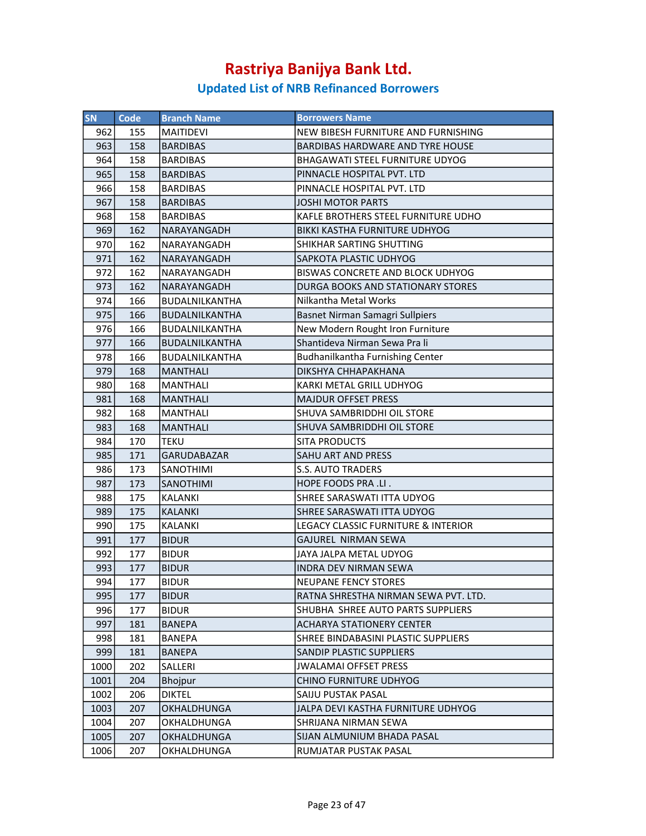| <b>SN</b> | <b>Code</b> | <b>Branch Name</b>    | <b>Borrowers Name</b>                   |
|-----------|-------------|-----------------------|-----------------------------------------|
| 962       | 155         | <b>MAITIDEVI</b>      | NEW BIBESH FURNITURE AND FURNISHING     |
| 963       | 158         | <b>BARDIBAS</b>       | <b>BARDIBAS HARDWARE AND TYRE HOUSE</b> |
| 964       | 158         | <b>BARDIBAS</b>       | BHAGAWATI STEEL FURNITURE UDYOG         |
| 965       | 158         | <b>BARDIBAS</b>       | PINNACLE HOSPITAL PVT. LTD              |
| 966       | 158         | <b>BARDIBAS</b>       | PINNACLE HOSPITAL PVT. LTD              |
| 967       | 158         | <b>BARDIBAS</b>       | <b>JOSHI MOTOR PARTS</b>                |
| 968       | 158         | <b>BARDIBAS</b>       | KAFLE BROTHERS STEEL FURNITURE UDHO     |
| 969       | 162         | <b>NARAYANGADH</b>    | <b>BIKKI KASTHA FURNITURE UDHYOG</b>    |
| 970       | 162         | NARAYANGADH           | SHIKHAR SARTING SHUTTING                |
| 971       | 162         | NARAYANGADH           | SAPKOTA PLASTIC UDHYOG                  |
| 972       | 162         | NARAYANGADH           | BISWAS CONCRETE AND BLOCK UDHYOG        |
| 973       | 162         | NARAYANGADH           | DURGA BOOKS AND STATIONARY STORES       |
| 974       | 166         | BUDALNILKANTHA        | Nilkantha Metal Works                   |
| 975       | 166         | <b>BUDALNILKANTHA</b> | Basnet Nirman Samagri Sullpiers         |
| 976       | 166         | BUDALNILKANTHA        | New Modern Rought Iron Furniture        |
| 977       | 166         | <b>BUDALNILKANTHA</b> | Shantideva Nirman Sewa Pra li           |
| 978       | 166         | <b>BUDALNILKANTHA</b> | Budhanilkantha Furnishing Center        |
| 979       | 168         | <b>MANTHALI</b>       | DIKSHYA CHHAPAKHANA                     |
| 980       | 168         | <b>MANTHALI</b>       | KARKI METAL GRILL UDHYOG                |
| 981       | 168         | <b>MANTHALI</b>       | <b>MAJDUR OFFSET PRESS</b>              |
| 982       | 168         | <b>MANTHALI</b>       | SHUVA SAMBRIDDHI OIL STORE              |
| 983       | 168         | <b>MANTHALI</b>       | SHUVA SAMBRIDDHI OIL STORE              |
| 984       | 170         | <b>TEKU</b>           | <b>SITA PRODUCTS</b>                    |
| 985       | 171         | <b>GARUDABAZAR</b>    | <b>SAHU ART AND PRESS</b>               |
| 986       | 173         | SANOTHIMI             | <b>S.S. AUTO TRADERS</b>                |
| 987       | 173         | <b>SANOTHIMI</b>      | HOPE FOODS PRA .LI.                     |
| 988       | 175         | <b>KALANKI</b>        | SHREE SARASWATI ITTA UDYOG              |
| 989       | 175         | <b>KALANKI</b>        | SHREE SARASWATI ITTA UDYOG              |
| 990       | 175         | <b>KALANKI</b>        | LEGACY CLASSIC FURNITURE & INTERIOR     |
| 991       | 177         | <b>BIDUR</b>          | GAJUREL NIRMAN SEWA                     |
| 992       | 177         | <b>BIDUR</b>          | JAYA JALPA METAL UDYOG                  |
| 993       | 177         | <b>BIDUR</b>          | INDRA DEV NIRMAN SEWA                   |
| 994       | 177         | <b>BIDUR</b>          | NEUPANE FENCY STORES                    |
| 995       | 177         | <b>BIDUR</b>          | RATNA SHRESTHA NIRMAN SEWA PVT. LTD.    |
| 996       | 177         | <b>BIDUR</b>          | SHUBHA SHREE AUTO PARTS SUPPLIERS       |
| 997       | 181         | <b>BANEPA</b>         | <b>ACHARYA STATIONERY CENTER</b>        |
| 998       | 181         | BANEPA                | SHREE BINDABASINI PLASTIC SUPPLIERS     |
| 999       | 181         | <b>BANEPA</b>         | <b>SANDIP PLASTIC SUPPLIERS</b>         |
| 1000      | 202         | SALLERI               | <b>JWALAMAI OFFSET PRESS</b>            |
| 1001      | 204         | <b>Bhojpur</b>        | CHINO FURNITURE UDHYOG                  |
| 1002      | 206         | <b>DIKTEL</b>         | SAIJU PUSTAK PASAL                      |
| 1003      | 207         | OKHALDHUNGA           | JALPA DEVI KASTHA FURNITURE UDHYOG      |
| 1004      | 207         | OKHALDHUNGA           | SHRIJANA NIRMAN SEWA                    |
| 1005      | 207         | OKHALDHUNGA           | SIJAN ALMUNIUM BHADA PASAL              |
| 1006      | 207         | <b>OKHALDHUNGA</b>    | RUMJATAR PUSTAK PASAL                   |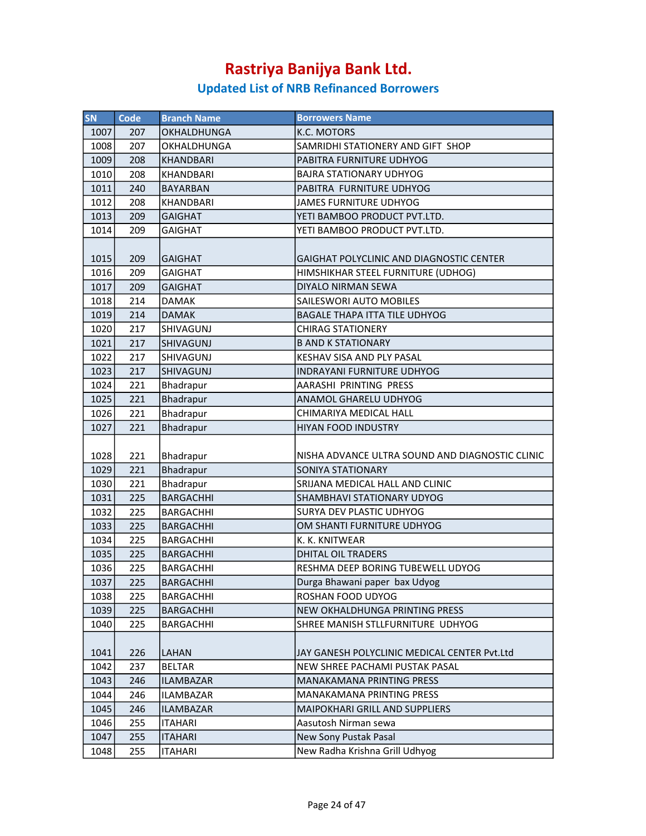| <b>SN</b> | <b>Code</b> | <b>Branch Name</b> | <b>Borrowers Name</b>                                |
|-----------|-------------|--------------------|------------------------------------------------------|
| 1007      | 207         | <b>OKHALDHUNGA</b> | <b>K.C. MOTORS</b>                                   |
| 1008      | 207         | <b>OKHALDHUNGA</b> | SAMRIDHI STATIONERY AND GIFT SHOP                    |
| 1009      | 208         | KHANDBARI          | PABITRA FURNITURE UDHYOG                             |
| 1010      | 208         | <b>KHANDBARI</b>   | <b>BAJRA STATIONARY UDHYOG</b>                       |
| 1011      | 240         | <b>BAYARBAN</b>    | PABITRA FURNITURE UDHYOG                             |
| 1012      | 208         | KHANDBARI          | <b>JAMES FURNITURE UDHYOG</b>                        |
| 1013      | 209         | <b>GAIGHAT</b>     | YETI BAMBOO PRODUCT PVT.LTD.                         |
| 1014      | 209         | <b>GAIGHAT</b>     | YETI BAMBOO PRODUCT PVT.LTD.                         |
|           |             |                    |                                                      |
| 1015      | 209         | <b>GAIGHAT</b>     | GAIGHAT POLYCLINIC AND DIAGNOSTIC CENTER             |
| 1016      | 209         | <b>GAIGHAT</b>     | HIMSHIKHAR STEEL FURNITURE (UDHOG)                   |
| 1017      | 209         | <b>GAIGHAT</b>     | DIYALO NIRMAN SEWA                                   |
| 1018      | 214         | <b>DAMAK</b>       | SAILESWORI AUTO MOBILES                              |
| 1019      | 214         | <b>DAMAK</b>       | <b>BAGALE THAPA ITTA TILE UDHYOG</b>                 |
| 1020      | 217         | <b>SHIVAGUNJ</b>   | <b>CHIRAG STATIONERY</b>                             |
| 1021      | 217         | <b>SHIVAGUNJ</b>   | <b>B AND K STATIONARY</b>                            |
| 1022      | 217         | <b>SHIVAGUNJ</b>   | KESHAV SISA AND PLY PASAL                            |
| 1023      |             |                    |                                                      |
| 1024      | 217         | <b>SHIVAGUNJ</b>   | INDRAYANI FURNITURE UDHYOG<br>AARASHI PRINTING PRESS |
|           | 221         | Bhadrapur          |                                                      |
| 1025      | 221         | Bhadrapur          | ANAMOL GHARELU UDHYOG                                |
| 1026      | 221         | Bhadrapur          | CHIMARIYA MEDICAL HALL                               |
| 1027      | 221         | Bhadrapur          | <b>HIYAN FOOD INDUSTRY</b>                           |
| 1028      | 221         | Bhadrapur          | NISHA ADVANCE ULTRA SOUND AND DIAGNOSTIC CLINIC      |
| 1029      | 221         | Bhadrapur          | SONIYA STATIONARY                                    |
| 1030      | 221         | Bhadrapur          | SRIJANA MEDICAL HALL AND CLINIC                      |
| 1031      | 225         | <b>BARGACHHI</b>   | <b>SHAMBHAVI STATIONARY UDYOG</b>                    |
| 1032      | 225         | <b>BARGACHHI</b>   | SURYA DEV PLASTIC UDHYOG                             |
| 1033      | 225         | <b>BARGACHHI</b>   | OM SHANTI FURNITURE UDHYOG                           |
| 1034      | 225         | <b>BARGACHHI</b>   | K. K. KNITWEAR                                       |
| 1035      | 225         | <b>BARGACHHI</b>   | <b>DHITAL OIL TRADERS</b>                            |
| 1036      | 225         | <b>BARGACHHI</b>   | RESHMA DEEP BORING TUBEWELL UDYOG                    |
| 1037      | 225         | BARGACHHI          | Durga Bhawani paper bax Udyog                        |
| 1038      | 225         | BARGACHHI          | ROSHAN FOOD UDYOG                                    |
| 1039      | 225         | <b>BARGACHHI</b>   | NEW OKHALDHUNGA PRINTING PRESS                       |
| 1040      | 225         | <b>BARGACHHI</b>   | SHREE MANISH STLLFURNITURE UDHYOG                    |
|           |             |                    |                                                      |
| 1041      | 226         | LAHAN              | JAY GANESH POLYCLINIC MEDICAL CENTER Pvt.Ltd         |
| 1042      | 237         | <b>BELTAR</b>      | <b>NEW SHREE PACHAMI PUSTAK PASAL</b>                |
| 1043      | 246         | <b>ILAMBAZAR</b>   | <b>MANAKAMANA PRINTING PRESS</b>                     |
| 1044      | 246         | <b>ILAMBAZAR</b>   | MANAKAMANA PRINTING PRESS                            |
| 1045      | 246         | <b>ILAMBAZAR</b>   | <b>MAIPOKHARI GRILL AND SUPPLIERS</b>                |
| 1046      | 255         | <b>ITAHARI</b>     | Aasutosh Nirman sewa                                 |
| 1047      | 255         | <b>ITAHARI</b>     | New Sony Pustak Pasal                                |
| 1048      | 255         | <b>ITAHARI</b>     | New Radha Krishna Grill Udhyog                       |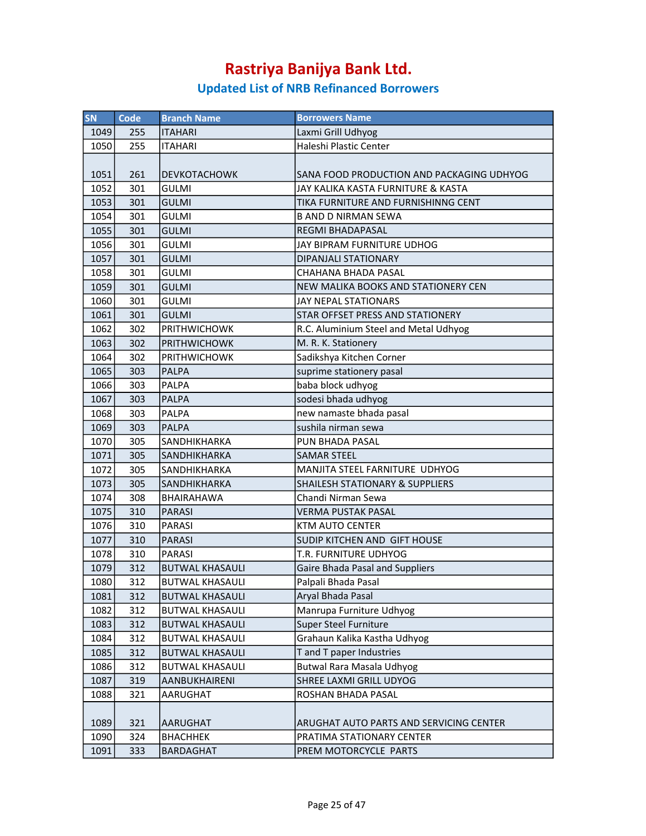| SN   | Code | <b>Branch Name</b>     | <b>Borrowers Name</b>                      |
|------|------|------------------------|--------------------------------------------|
| 1049 | 255  | <b>ITAHARI</b>         | Laxmi Grill Udhyog                         |
| 1050 | 255  | <b>ITAHARI</b>         | Haleshi Plastic Center                     |
|      |      |                        |                                            |
| 1051 | 261  | <b>DEVKOTACHOWK</b>    | SANA FOOD PRODUCTION AND PACKAGING UDHYOG  |
| 1052 | 301  | <b>GULMI</b>           | JAY KALIKA KASTA FURNITURE & KASTA         |
| 1053 | 301  | <b>GULMI</b>           | TIKA FURNITURE AND FURNISHINNG CENT        |
| 1054 | 301  | <b>GULMI</b>           | <b>B AND D NIRMAN SEWA</b>                 |
| 1055 | 301  | <b>GULMI</b>           | REGMI BHADAPASAL                           |
| 1056 | 301  | <b>GULMI</b>           | JAY BIPRAM FURNITURE UDHOG                 |
| 1057 | 301  | <b>GULMI</b>           | DIPANJALI STATIONARY                       |
| 1058 | 301  | <b>GULMI</b>           | CHAHANA BHADA PASAL                        |
| 1059 | 301  | <b>GULMI</b>           | NEW MALIKA BOOKS AND STATIONERY CEN        |
| 1060 | 301  | <b>GULMI</b>           | JAY NEPAL STATIONARS                       |
| 1061 | 301  | <b>GULMI</b>           | STAR OFFSET PRESS AND STATIONERY           |
| 1062 | 302  | <b>PRITHWICHOWK</b>    | R.C. Aluminium Steel and Metal Udhyog      |
| 1063 | 302  | <b>PRITHWICHOWK</b>    | M. R. K. Stationery                        |
| 1064 | 302  | <b>PRITHWICHOWK</b>    | Sadikshya Kitchen Corner                   |
| 1065 | 303  | <b>PALPA</b>           | suprime stationery pasal                   |
| 1066 | 303  | <b>PALPA</b>           | baba block udhyog                          |
| 1067 | 303  | <b>PALPA</b>           | sodesi bhada udhyog                        |
| 1068 | 303  | PALPA                  | new namaste bhada pasal                    |
| 1069 | 303  | <b>PALPA</b>           | sushila nirman sewa                        |
| 1070 | 305  | SANDHIKHARKA           | PUN BHADA PASAL                            |
| 1071 | 305  | <b>SANDHIKHARKA</b>    | <b>SAMAR STEEL</b>                         |
| 1072 | 305  | SANDHIKHARKA           | MANJITA STEEL FARNITURE UDHYOG             |
| 1073 | 305  | <b>SANDHIKHARKA</b>    | <b>SHAILESH STATIONARY &amp; SUPPLIERS</b> |
| 1074 | 308  | <b>BHAIRAHAWA</b>      | Chandi Nirman Sewa                         |
| 1075 | 310  | <b>PARASI</b>          | <b>VERMA PUSTAK PASAL</b>                  |
| 1076 | 310  | <b>PARASI</b>          | <b>KTM AUTO CENTER</b>                     |
| 1077 | 310  | <b>PARASI</b>          | SUDIP KITCHEN AND GIFT HOUSE               |
| 1078 | 310  | <b>PARASI</b>          | T.R. FURNITURE UDHYOG                      |
| 1079 | 312  | <b>BUTWAL KHASAULI</b> | Gaire Bhada Pasal and Suppliers            |
| 1080 | 312  | <b>BUTWAL KHASAULI</b> | Palpali Bhada Pasal                        |
| 1081 | 312  | <b>BUTWAL KHASAULI</b> | Aryal Bhada Pasal                          |
| 1082 | 312  | <b>BUTWAL KHASAULI</b> | Manrupa Furniture Udhyog                   |
| 1083 | 312  | <b>BUTWAL KHASAULI</b> | <b>Super Steel Furniture</b>               |
| 1084 | 312  | <b>BUTWAL KHASAULI</b> | Grahaun Kalika Kastha Udhyog               |
| 1085 | 312  | <b>BUTWAL KHASAULI</b> | T and T paper Industries                   |
| 1086 | 312  | <b>BUTWAL KHASAULI</b> | <b>Butwal Rara Masala Udhyog</b>           |
| 1087 | 319  | AANBUKHAIRENI          | SHREE LAXMI GRILL UDYOG                    |
| 1088 | 321  | AARUGHAT               | ROSHAN BHADA PASAL                         |
|      |      |                        |                                            |
| 1089 | 321  | AARUGHAT               | ARUGHAT AUTO PARTS AND SERVICING CENTER    |
| 1090 | 324  | <b>BHACHHEK</b>        | PRATIMA STATIONARY CENTER                  |
| 1091 | 333  | BARDAGHAT              | PREM MOTORCYCLE PARTS                      |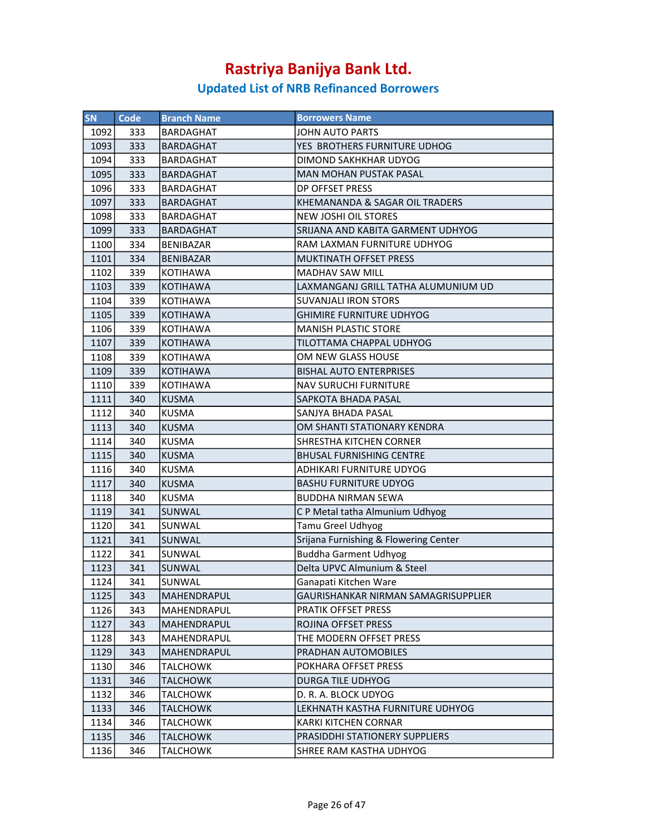| <b>SN</b> | Code | <b>Branch Name</b> | <b>Borrowers Name</b>                 |
|-----------|------|--------------------|---------------------------------------|
| 1092      | 333  | <b>BARDAGHAT</b>   | <b>JOHN AUTO PARTS</b>                |
| 1093      | 333  | BARDAGHAT          | YES BROTHERS FURNITURE UDHOG          |
| 1094      | 333  | BARDAGHAT          | DIMOND SAKHKHAR UDYOG                 |
| 1095      | 333  | <b>BARDAGHAT</b>   | <b>MAN MOHAN PUSTAK PASAL</b>         |
| 1096      | 333  | <b>BARDAGHAT</b>   | DP OFFSET PRESS                       |
| 1097      | 333  | <b>BARDAGHAT</b>   | KHEMANANDA & SAGAR OIL TRADERS        |
| 1098      | 333  | <b>BARDAGHAT</b>   | <b>NEW JOSHI OIL STORES</b>           |
| 1099      | 333  | <b>BARDAGHAT</b>   | SRIJANA AND KABITA GARMENT UDHYOG     |
| 1100      | 334  | <b>BENIBAZAR</b>   | RAM LAXMAN FURNITURE UDHYOG           |
| 1101      | 334  | <b>BENIBAZAR</b>   | MUKTINATH OFFSET PRESS                |
| 1102      | 339  | <b>KOTIHAWA</b>    | <b>MADHAV SAW MILL</b>                |
| 1103      | 339  | <b>KOTIHAWA</b>    | LAXMANGANJ GRILL TATHA ALUMUNIUM UD   |
| 1104      | 339  | <b>KOTIHAWA</b>    | <b>SUVANJALI IRON STORS</b>           |
| 1105      | 339  | <b>KOTIHAWA</b>    | <b>GHIMIRE FURNITURE UDHYOG</b>       |
| 1106      | 339  | <b>KOTIHAWA</b>    | <b>MANISH PLASTIC STORE</b>           |
| 1107      | 339  | <b>KOTIHAWA</b>    | TILOTTAMA CHAPPAL UDHYOG              |
| 1108      | 339  | <b>KOTIHAWA</b>    | OM NEW GLASS HOUSE                    |
| 1109      | 339  | <b>KOTIHAWA</b>    | <b>BISHAL AUTO ENTERPRISES</b>        |
| 1110      | 339  | <b>KOTIHAWA</b>    | <b>NAV SURUCHI FURNITURE</b>          |
| 1111      | 340  | <b>KUSMA</b>       | SAPKOTA BHADA PASAL                   |
| 1112      | 340  | <b>KUSMA</b>       | SANJYA BHADA PASAL                    |
| 1113      | 340  | <b>KUSMA</b>       | OM SHANTI STATIONARY KENDRA           |
| 1114      | 340  | <b>KUSMA</b>       | SHRESTHA KITCHEN CORNER               |
| 1115      | 340  | <b>KUSMA</b>       | <b>BHUSAL FURNISHING CENTRE</b>       |
| 1116      | 340  | <b>KUSMA</b>       | ADHIKARI FURNITURE UDYOG              |
| 1117      | 340  | <b>KUSMA</b>       | <b>BASHU FURNITURE UDYOG</b>          |
| 1118      | 340  | <b>KUSMA</b>       | <b>BUDDHA NIRMAN SEWA</b>             |
| 1119      | 341  | <b>SUNWAL</b>      | C P Metal tatha Almunium Udhyog       |
| 1120      | 341  | SUNWAL             | <b>Tamu Greel Udhyog</b>              |
| 1121      | 341  | SUNWAL             | Srijana Furnishing & Flowering Center |
| 1122      | 341  | SUNWAL             | <b>Buddha Garment Udhyog</b>          |
| 1123      | 341  | SUNWAL             | Delta UPVC Almunium & Steel           |
| 1124      | 341  | SUNWAL             | Ganapati Kitchen Ware                 |
| 1125      | 343  | MAHENDRAPUL        | GAURISHANKAR NIRMAN SAMAGRISUPPLIER   |
| 1126      | 343  | MAHENDRAPUL        | PRATIK OFFSET PRESS                   |
| 1127      | 343  | MAHENDRAPUL        | ROJINA OFFSET PRESS                   |
| 1128      | 343  | MAHENDRAPUL        | THE MODERN OFFSET PRESS               |
| 1129      | 343  | <b>MAHENDRAPUL</b> | PRADHAN AUTOMOBILES                   |
| 1130      | 346  | <b>TALCHOWK</b>    | POKHARA OFFSET PRESS                  |
| 1131      | 346  | <b>TALCHOWK</b>    | <b>DURGA TILE UDHYOG</b>              |
| 1132      | 346  | <b>TALCHOWK</b>    | D. R. A. BLOCK UDYOG                  |
| 1133      | 346  | <b>TALCHOWK</b>    | LEKHNATH KASTHA FURNITURE UDHYOG      |
| 1134      | 346  | TALCHOWK           | KARKI KITCHEN CORNAR                  |
| 1135      | 346  | TALCHOWK           | PRASIDDHI STATIONERY SUPPLIERS        |
| 1136      | 346  | TALCHOWK           | SHREE RAM KASTHA UDHYOG               |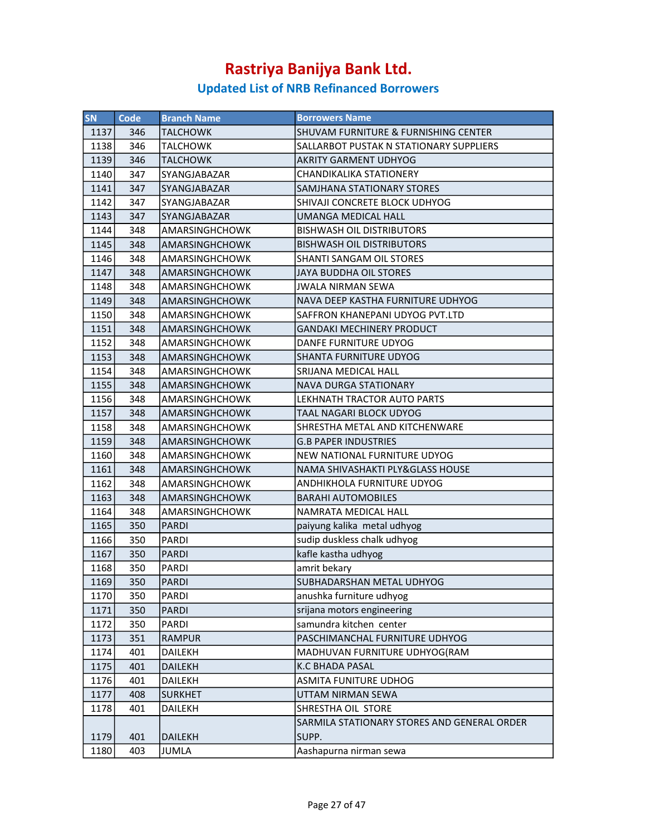| <b>SN</b> | Code | <b>Branch Name</b>    | <b>Borrowers Name</b>                       |
|-----------|------|-----------------------|---------------------------------------------|
| 1137      | 346  | <b>TALCHOWK</b>       | SHUVAM FURNITURE & FURNISHING CENTER        |
| 1138      | 346  | <b>TALCHOWK</b>       | SALLARBOT PUSTAK N STATIONARY SUPPLIERS     |
| 1139      | 346  | <b>TALCHOWK</b>       | <b>AKRITY GARMENT UDHYOG</b>                |
| 1140      | 347  | <b>SYANGJABAZAR</b>   | <b>CHANDIKALIKA STATIONERY</b>              |
| 1141      | 347  | <b>SYANGJABAZAR</b>   | SAMJHANA STATIONARY STORES                  |
| 1142      | 347  | SYANGJABAZAR          | SHIVAJI CONCRETE BLOCK UDHYOG               |
| 1143      | 347  | <b>SYANGJABAZAR</b>   | UMANGA MEDICAL HALL                         |
| 1144      | 348  | AMARSINGHCHOWK        | <b>BISHWASH OIL DISTRIBUTORS</b>            |
| 1145      | 348  | <b>AMARSINGHCHOWK</b> | <b>BISHWASH OIL DISTRIBUTORS</b>            |
| 1146      | 348  | AMARSINGHCHOWK        | SHANTI SANGAM OIL STORES                    |
| 1147      | 348  | <b>AMARSINGHCHOWK</b> | <b>JAYA BUDDHA OIL STORES</b>               |
| 1148      | 348  | AMARSINGHCHOWK        | <b>JWALA NIRMAN SEWA</b>                    |
| 1149      | 348  | AMARSINGHCHOWK        | NAVA DEEP KASTHA FURNITURE UDHYOG           |
| 1150      | 348  | AMARSINGHCHOWK        | SAFFRON KHANEPANI UDYOG PVT.LTD             |
| 1151      | 348  | AMARSINGHCHOWK        | <b>GANDAKI MECHINERY PRODUCT</b>            |
| 1152      | 348  | <b>AMARSINGHCHOWK</b> | <b>DANFE FURNITURE UDYOG</b>                |
| 1153      | 348  | <b>AMARSINGHCHOWK</b> | <b>SHANTA FURNITURE UDYOG</b>               |
| 1154      | 348  | AMARSINGHCHOWK        | <b>SRIJANA MEDICAL HALL</b>                 |
| 1155      | 348  | <b>AMARSINGHCHOWK</b> | <b>NAVA DURGA STATIONARY</b>                |
| 1156      | 348  | <b>AMARSINGHCHOWK</b> | LEKHNATH TRACTOR AUTO PARTS                 |
| 1157      | 348  | AMARSINGHCHOWK        | TAAL NAGARI BLOCK UDYOG                     |
| 1158      | 348  | AMARSINGHCHOWK        | SHRESTHA METAL AND KITCHENWARE              |
| 1159      | 348  | AMARSINGHCHOWK        | <b>G.B PAPER INDUSTRIES</b>                 |
| 1160      | 348  | AMARSINGHCHOWK        | NEW NATIONAL FURNITURE UDYOG                |
| 1161      | 348  | <b>AMARSINGHCHOWK</b> | NAMA SHIVASHAKTI PLY&GLASS HOUSE            |
| 1162      | 348  | <b>AMARSINGHCHOWK</b> | ANDHIKHOLA FURNITURE UDYOG                  |
| 1163      | 348  | <b>AMARSINGHCHOWK</b> | <b>BARAHI AUTOMOBILES</b>                   |
| 1164      | 348  | AMARSINGHCHOWK        | NAMRATA MEDICAL HALL                        |
| 1165      | 350  | <b>PARDI</b>          | paiyung kalika metal udhyog                 |
| 1166      | 350  | <b>PARDI</b>          | sudip duskless chalk udhyog                 |
| 1167      | 350  | <b>PARDI</b>          | kafle kastha udhyog                         |
| 1168      | 350  | <b>PARDI</b>          | amrit bekary                                |
| 1169      | 350  | PARDI                 | SUBHADARSHAN METAL UDHYOG                   |
| 1170      | 350  | PARDI                 | anushka furniture udhyog                    |
| 1171      | 350  | PARDI                 | srijana motors engineering                  |
| 1172      | 350  | PARDI                 | samundra kitchen center                     |
| 1173      | 351  | <b>RAMPUR</b>         | PASCHIMANCHAL FURNITURE UDHYOG              |
| 1174      | 401  | DAILEKH               | MADHUVAN FURNITURE UDHYOG(RAM               |
| 1175      | 401  | DAILEKH               | K.C BHADA PASAL                             |
| 1176      | 401  | DAILEKH               | <b>ASMITA FUNITURE UDHOG</b>                |
| 1177      | 408  | <b>SURKHET</b>        | UTTAM NIRMAN SEWA                           |
| 1178      | 401  | DAILEKH               | SHRESTHA OIL STORE                          |
|           |      |                       | SARMILA STATIONARY STORES AND GENERAL ORDER |
| 1179      | 401  | <b>DAILEKH</b>        | SUPP.                                       |
| 1180      | 403  | <b>JUMLA</b>          | Aashapurna nirman sewa                      |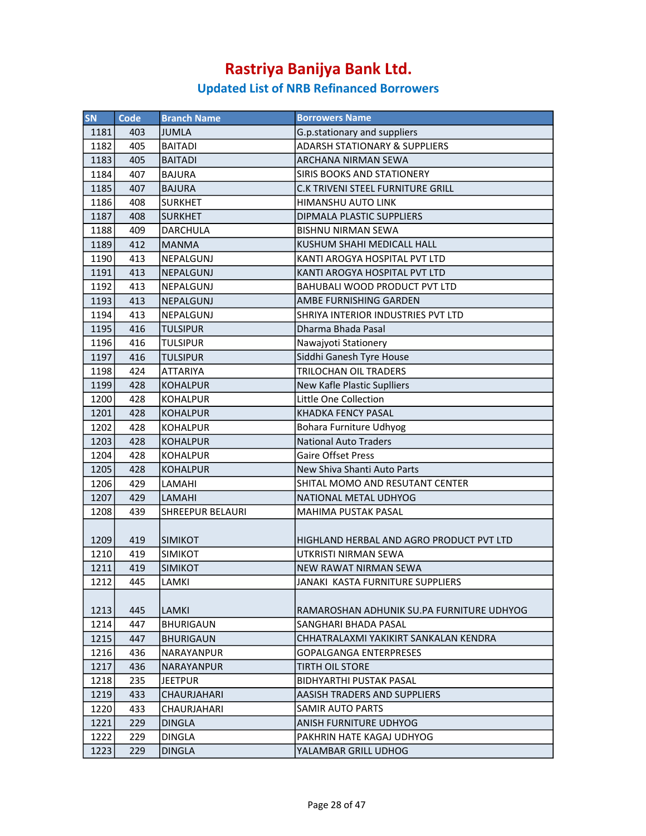| <b>SN</b> | Code | <b>Branch Name</b>      | <b>Borrowers Name</b>                     |
|-----------|------|-------------------------|-------------------------------------------|
| 1181      | 403  | <b>JUMLA</b>            | G.p.stationary and suppliers              |
| 1182      | 405  | <b>BAITADI</b>          | <b>ADARSH STATIONARY &amp; SUPPLIERS</b>  |
| 1183      | 405  | <b>BAITADI</b>          | ARCHANA NIRMAN SEWA                       |
| 1184      | 407  | <b>BAJURA</b>           | SIRIS BOOKS AND STATIONERY                |
| 1185      | 407  | <b>BAJURA</b>           | C.K TRIVENI STEEL FURNITURE GRILL         |
| 1186      | 408  | <b>SURKHET</b>          | HIMANSHU AUTO LINK                        |
| 1187      | 408  | SURKHET                 | DIPMALA PLASTIC SUPPLIERS                 |
| 1188      | 409  | <b>DARCHULA</b>         | <b>BISHNU NIRMAN SEWA</b>                 |
| 1189      | 412  | <b>MANMA</b>            | KUSHUM SHAHI MEDICALL HALL                |
| 1190      | 413  | <b>NEPALGUNJ</b>        | KANTI AROGYA HOSPITAL PVT LTD             |
| 1191      | 413  | NEPALGUNJ               | KANTI AROGYA HOSPITAL PVT LTD             |
| 1192      | 413  | NEPALGUNJ               | BAHUBALI WOOD PRODUCT PVT LTD             |
| 1193      | 413  | NEPALGUNJ               | AMBE FURNISHING GARDEN                    |
| 1194      | 413  | NEPALGUNJ               | SHRIYA INTERIOR INDUSTRIES PVT LTD        |
| 1195      | 416  | <b>TULSIPUR</b>         | Dharma Bhada Pasal                        |
| 1196      | 416  | <b>TULSIPUR</b>         | Nawajyoti Stationery                      |
| 1197      | 416  | <b>TULSIPUR</b>         | Siddhi Ganesh Tyre House                  |
| 1198      | 424  | <b>ATTARIYA</b>         | TRILOCHAN OIL TRADERS                     |
| 1199      | 428  | <b>KOHALPUR</b>         | New Kafle Plastic Suplliers               |
| 1200      | 428  | <b>KOHALPUR</b>         | Little One Collection                     |
| 1201      | 428  | <b>KOHALPUR</b>         | <b>KHADKA FENCY PASAL</b>                 |
| 1202      | 428  | KOHALPUR                | Bohara Furniture Udhyog                   |
| 1203      | 428  | <b>KOHALPUR</b>         | <b>National Auto Traders</b>              |
| 1204      | 428  | KOHALPUR                | Gaire Offset Press                        |
| 1205      | 428  | KOHALPUR                | New Shiva Shanti Auto Parts               |
| 1206      | 429  | LAMAHI                  | SHITAL MOMO AND RESUTANT CENTER           |
| 1207      | 429  | <b>LAMAHI</b>           | NATIONAL METAL UDHYOG                     |
| 1208      | 439  | <b>SHREEPUR BELAURI</b> | MAHIMA PUSTAK PASAL                       |
| 1209      | 419  | <b>SIMIKOT</b>          | HIGHLAND HERBAL AND AGRO PRODUCT PVT LTD  |
| 1210      | 419  | <b>SIMIKOT</b>          | UTKRISTI NIRMAN SEWA                      |
| 1211      | 419  | <b>SIMIKOT</b>          | NEW RAWAT NIRMAN SEWA                     |
| 1212      | 445  | LAMKI                   | JANAKI KASTA FURNITURE SUPPLIERS          |
| 1213      | 445  | <b>LAMKI</b>            | RAMAROSHAN ADHUNIK SU.PA FURNITURE UDHYOG |
| 1214      | 447  | <b>BHURIGAUN</b>        | SANGHARI BHADA PASAL                      |
| 1215      | 447  | <b>BHURIGAUN</b>        | CHHATRALAXMI YAKIKIRT SANKALAN KENDRA     |
| 1216      | 436  | INARAYANPUR             | <b>GOPALGANGA ENTERPRESES</b>             |
| 1217      | 436  | NARAYANPUR              | <b>TIRTH OIL STORE</b>                    |
| 1218      | 235  | <b>JEETPUR</b>          | <b>BIDHYARTHI PUSTAK PASAL</b>            |
| 1219      | 433  | <b>CHAURJAHARI</b>      | AASISH TRADERS AND SUPPLIERS              |
| 1220      | 433  | <b>CHAURJAHARI</b>      | SAMIR AUTO PARTS                          |
| 1221      | 229  | <b>DINGLA</b>           | ANISH FURNITURE UDHYOG                    |
| 1222      | 229  | <b>DINGLA</b>           | PAKHRIN HATE KAGAJ UDHYOG                 |
| 1223      | 229  | <b>DINGLA</b>           | YALAMBAR GRILL UDHOG                      |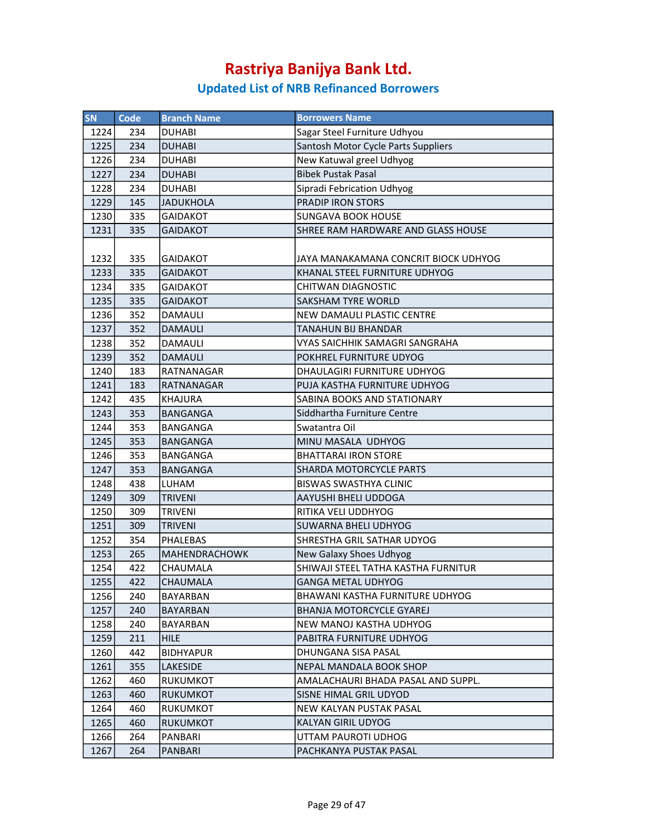| SN   | Code | <b>Branch Name</b>   | <b>Borrowers Name</b>                |
|------|------|----------------------|--------------------------------------|
| 1224 | 234  | <b>DUHABI</b>        | Sagar Steel Furniture Udhyou         |
| 1225 | 234  | <b>DUHABI</b>        | Santosh Motor Cycle Parts Suppliers  |
| 1226 | 234  | <b>DUHABI</b>        | New Katuwal greel Udhyog             |
| 1227 | 234  | <b>DUHABI</b>        | <b>Bibek Pustak Pasal</b>            |
| 1228 | 234  | <b>DUHABI</b>        | Sipradi Febrication Udhyog           |
| 1229 | 145  | <b>JADUKHOLA</b>     | <b>PRADIP IRON STORS</b>             |
| 1230 | 335  | <b>GAIDAKOT</b>      | <b>SUNGAVA BOOK HOUSE</b>            |
| 1231 | 335  | <b>GAIDAKOT</b>      | SHREE RAM HARDWARE AND GLASS HOUSE   |
|      |      |                      |                                      |
| 1232 | 335  | <b>GAIDAKOT</b>      | JAYA MANAKAMANA CONCRIT BIOCK UDHYOG |
| 1233 | 335  | <b>GAIDAKOT</b>      | KHANAL STEEL FURNITURE UDHYOG        |
| 1234 | 335  | <b>GAIDAKOT</b>      | CHITWAN DIAGNOSTIC                   |
| 1235 | 335  | <b>GAIDAKOT</b>      | <b>SAKSHAM TYRE WORLD</b>            |
| 1236 | 352  | DAMAULI              | NEW DAMAULI PLASTIC CENTRE           |
| 1237 | 352  | <b>DAMAULI</b>       | <b>TANAHUN BIJ BHANDAR</b>           |
| 1238 | 352  | DAMAULI              | VYAS SAICHHIK SAMAGRI SANGRAHA       |
| 1239 | 352  | <b>DAMAULI</b>       | POKHREL FURNITURE UDYOG              |
| 1240 | 183  | <b>RATNANAGAR</b>    | DHAULAGIRI FURNITURE UDHYOG          |
| 1241 | 183  | <b>RATNANAGAR</b>    | PUJA KASTHA FURNITURE UDHYOG         |
| 1242 | 435  | <b>KHAJURA</b>       | SABINA BOOKS AND STATIONARY          |
| 1243 | 353  | <b>BANGANGA</b>      | Siddhartha Furniture Centre          |
| 1244 | 353  | BANGANGA             | Swatantra Oil                        |
| 1245 | 353  | <b>BANGANGA</b>      | MINU MASALA UDHYOG                   |
| 1246 | 353  | <b>BANGANGA</b>      | <b>BHATTARAI IRON STORE</b>          |
| 1247 | 353  | <b>BANGANGA</b>      | <b>SHARDA MOTORCYCLE PARTS</b>       |
| 1248 | 438  | LUHAM                | <b>BISWAS SWASTHYA CLINIC</b>        |
| 1249 | 309  | <b>TRIVENI</b>       | AAYUSHI BHELI UDDOGA                 |
| 1250 | 309  | <b>TRIVENI</b>       | RITIKA VELI UDDHYOG                  |
| 1251 | 309  | <b>TRIVENI</b>       | <b>SUWARNA BHELI UDHYOG</b>          |
| 1252 | 354  | <b>PHALEBAS</b>      | SHRESTHA GRIL SATHAR UDYOG           |
| 1253 | 265  | <b>MAHENDRACHOWK</b> | <b>New Galaxy Shoes Udhyog</b>       |
| 1254 | 422  | CHAUMALA             | SHIWAJI STEEL TATHA KASTHA FURNITUR  |
| 1255 | 422  | <b>CHAUMALA</b>      | <b>GANGA METAL UDHYOG</b>            |
| 1256 | 240  | BAYARBAN             | BHAWANI KASTHA FURNITURE UDHYOG      |
| 1257 | 240  | BAYARBAN             | BHANJA MOTORCYCLE GYAREJ             |
| 1258 | 240  | BAYARBAN             | NEW MANOJ KASTHA UDHYOG              |
| 1259 | 211  | <b>HILE</b>          | PABITRA FURNITURE UDHYOG             |
| 1260 | 442  | <b>BIDHYAPUR</b>     | DHUNGANA SISA PASAL                  |
| 1261 | 355  | LAKESIDE             | NEPAL MANDALA BOOK SHOP              |
| 1262 | 460  | RUKUMKOT             | AMALACHAURI BHADA PASAL AND SUPPL.   |
| 1263 | 460  | <b>RUKUMKOT</b>      | <b>SISNE HIMAL GRIL UDYOD</b>        |
| 1264 | 460  | RUKUMKOT             | NEW KALYAN PUSTAK PASAL              |
| 1265 | 460  | <b>RUKUMKOT</b>      | <b>KALYAN GIRIL UDYOG</b>            |
| 1266 | 264  | PANBARI              | UTTAM PAUROTI UDHOG                  |
| 1267 | 264  | PANBARI              | PACHKANYA PUSTAK PASAL               |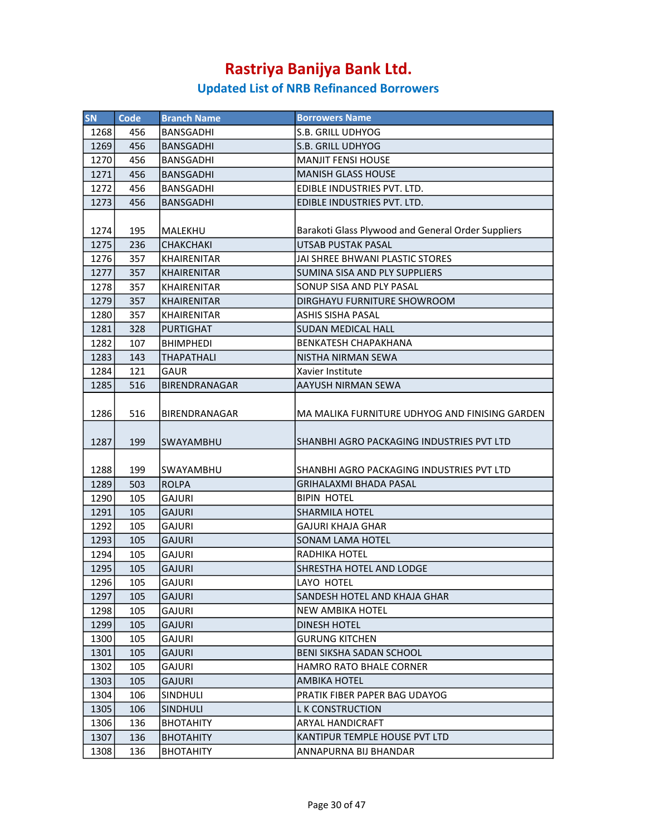| <b>SN</b> | <b>Code</b> | <b>Branch Name</b>   | <b>Borrowers Name</b>                              |
|-----------|-------------|----------------------|----------------------------------------------------|
| 1268      | 456         | <b>BANSGADHI</b>     | <b>S.B. GRILL UDHYOG</b>                           |
| 1269      | 456         | <b>BANSGADHI</b>     | <b>S.B. GRILL UDHYOG</b>                           |
| 1270      | 456         | BANSGADHI            | <b>MANJIT FENSI HOUSE</b>                          |
| 1271      | 456         | <b>BANSGADHI</b>     | <b>MANISH GLASS HOUSE</b>                          |
| 1272      | 456         | <b>BANSGADHI</b>     | EDIBLE INDUSTRIES PVT. LTD.                        |
| 1273      | 456         | <b>BANSGADHI</b>     | EDIBLE INDUSTRIES PVT. LTD.                        |
|           |             |                      |                                                    |
| 1274      | 195         | MALEKHU              | Barakoti Glass Plywood and General Order Suppliers |
| 1275      | 236         | <b>CHAKCHAKI</b>     | <b>UTSAB PUSTAK PASAL</b>                          |
| 1276      | 357         | <b>KHAIRENITAR</b>   | JAI SHREE BHWANI PLASTIC STORES                    |
| 1277      | 357         | <b>KHAIRENITAR</b>   | SUMINA SISA AND PLY SUPPLIERS                      |
| 1278      | 357         | KHAIRENITAR          | SONUP SISA AND PLY PASAL                           |
| 1279      | 357         | <b>KHAIRENITAR</b>   | DIRGHAYU FURNITURE SHOWROOM                        |
| 1280      | 357         | KHAIRENITAR          | <b>ASHIS SISHA PASAL</b>                           |
| 1281      | 328         | <b>PURTIGHAT</b>     | <b>SUDAN MEDICAL HALL</b>                          |
| 1282      | 107         | <b>BHIMPHEDI</b>     | <b>BENKATESH CHAPAKHANA</b>                        |
| 1283      | 143         | <b>THAPATHALI</b>    | NISTHA NIRMAN SEWA                                 |
| 1284      | 121         | GAUR                 | Xavier Institute                                   |
| 1285      | 516         | <b>BIRENDRANAGAR</b> | <b>AAYUSH NIRMAN SEWA</b>                          |
|           |             |                      |                                                    |
| 1286      | 516         | BIRENDRANAGAR        | MA MALIKA FURNITURE UDHYOG AND FINISING GARDEN     |
|           |             |                      |                                                    |
| 1287      | 199         | SWAYAMBHU            | SHANBHI AGRO PACKAGING INDUSTRIES PVT LTD          |
|           |             |                      |                                                    |
| 1288      | 199         | SWAYAMBHU            | SHANBHI AGRO PACKAGING INDUSTRIES PVT LTD          |
| 1289      | 503         | <b>ROLPA</b>         | GRIHALAXMI BHADA PASAL                             |
| 1290      | 105         | <b>GAJURI</b>        | <b>BIPIN HOTEL</b>                                 |
| 1291      | 105         | <b>GAJURI</b>        | <b>SHARMILA HOTEL</b>                              |
| 1292      | 105         | <b>GAJURI</b>        | <b>GAJURI KHAJA GHAR</b>                           |
| 1293      | 105         | <b>GAJURI</b>        | <b>SONAM LAMA HOTEL</b>                            |
| 1294      | 105         | <b>GAJURI</b>        | RADHIKA HOTEL                                      |
| 1295      | 105         | <b>GAJURI</b>        | SHRESTHA HOTEL AND LODGE                           |
| 1296      | 105         | <b>GAJURI</b>        | LAYO HOTEL                                         |
| 1297      | 105         | <b>GAJURI</b>        | SANDESH HOTEL AND KHAJA GHAR                       |
| 1298      | 105         | GAJURI               | <b>NEW AMBIKA HOTEL</b>                            |
| 1299      | 105         | <b>GAJURI</b>        | DINESH HOTEL                                       |
| 1300      | 105         | GAJURI               | <b>GURUNG KITCHEN</b>                              |
| 1301      | 105         | <b>GAJURI</b>        | <b>BENI SIKSHA SADAN SCHOOL</b>                    |
| 1302      | 105         | GAJURI               | HAMRO RATO BHALE CORNER                            |
| 1303      | 105         | <b>GAJURI</b>        | AMBIKA HOTEL                                       |
| 1304      | 106         | SINDHULI             | PRATIK FIBER PAPER BAG UDAYOG                      |
| 1305      | 106         | <b>SINDHULI</b>      | <b>LK CONSTRUCTION</b>                             |
| 1306      | 136         | <b>BHOTAHITY</b>     | ARYAL HANDICRAFT                                   |
| 1307      | 136         | <b>BHOTAHITY</b>     | KANTIPUR TEMPLE HOUSE PVT LTD                      |
| 1308      | 136         | <b>BHOTAHITY</b>     | ANNAPURNA BIJ BHANDAR                              |
|           |             |                      |                                                    |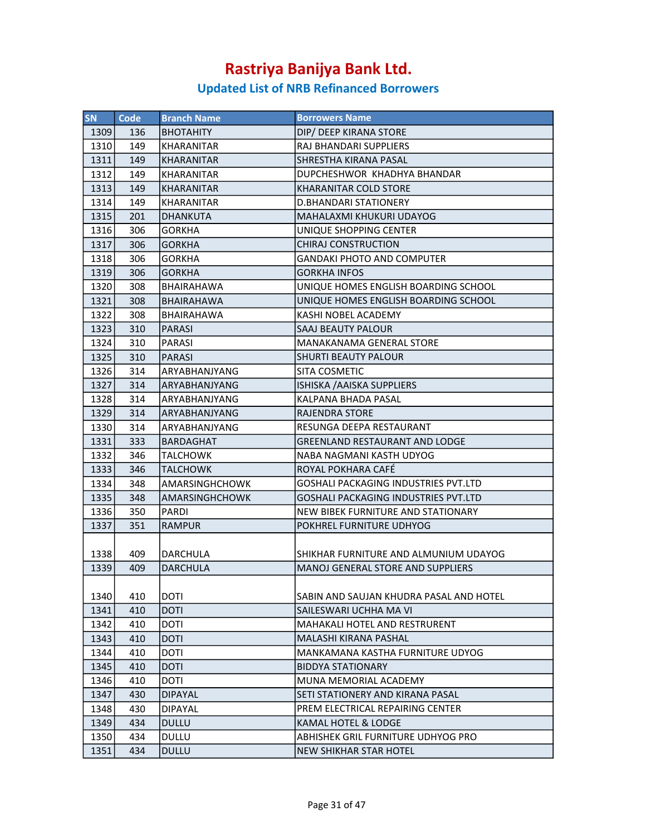| <b>SN</b> | <b>Code</b> | <b>Branch Name</b>    | <b>Borrowers Name</b>                    |
|-----------|-------------|-----------------------|------------------------------------------|
| 1309      | 136         | <b>BHOTAHITY</b>      | DIP/ DEEP KIRANA STORE                   |
| 1310      | 149         | KHARANITAR            | RAJ BHANDARI SUPPLIERS                   |
| 1311      | 149         | KHARANITAR            | SHRESTHA KIRANA PASAL                    |
| 1312      | 149         | <b>KHARANITAR</b>     | DUPCHESHWOR KHADHYA BHANDAR              |
| 1313      | 149         | <b>KHARANITAR</b>     | <b>KHARANITAR COLD STORE</b>             |
| 1314      | 149         | KHARANITAR            | D.BHANDARI STATIONERY                    |
| 1315      | 201         | <b>DHANKUTA</b>       | MAHALAXMI KHUKURI UDAYOG                 |
| 1316      | 306         | GORKHA                | UNIQUE SHOPPING CENTER                   |
| 1317      | 306         | <b>GORKHA</b>         | <b>CHIRAJ CONSTRUCTION</b>               |
| 1318      | 306         | <b>GORKHA</b>         | <b>GANDAKI PHOTO AND COMPUTER</b>        |
| 1319      | 306         | <b>GORKHA</b>         | GORKHA INFOS                             |
| 1320      | 308         | BHAIRAHAWA            | UNIQUE HOMES ENGLISH BOARDING SCHOOL     |
| 1321      | 308         | <b>BHAIRAHAWA</b>     | UNIQUE HOMES ENGLISH BOARDING SCHOOL     |
| 1322      | 308         | <b>BHAIRAHAWA</b>     | KASHI NOBEL ACADEMY                      |
| 1323      | 310         | <b>PARASI</b>         | SAAJ BEAUTY PALOUR                       |
| 1324      | 310         | <b>PARASI</b>         | MANAKANAMA GENERAL STORE                 |
| 1325      | 310         | <b>PARASI</b>         | SHURTI BEAUTY PALOUR                     |
| 1326      | 314         | ARYABHANJYANG         | SITA COSMETIC                            |
| 1327      | 314         | ARYABHANJYANG         | ISHISKA / AAISKA SUPPLIERS               |
| 1328      | 314         | ARYABHANJYANG         | KALPANA BHADA PASAL                      |
| 1329      | 314         | ARYABHANJYANG         | <b>RAJENDRA STORE</b>                    |
| 1330      | 314         | ARYABHANJYANG         | RESUNGA DEEPA RESTAURANT                 |
| 1331      | 333         | <b>BARDAGHAT</b>      | <b>GREENLAND RESTAURANT AND LODGE</b>    |
| 1332      | 346         | <b>TALCHOWK</b>       | NABA NAGMANI KASTH UDYOG                 |
| 1333      | 346         | <b>TALCHOWK</b>       | ROYAL POKHARA CAFÉ                       |
| 1334      | 348         | AMARSINGHCHOWK        | GOSHALI PACKAGING INDUSTRIES PVT.LTD     |
| 1335      | 348         | <b>AMARSINGHCHOWK</b> | GOSHALI PACKAGING INDUSTRIES PVT.LTD     |
| 1336      | 350         | PARDI                 | NEW BIBEK FURNITURE AND STATIONARY       |
| 1337      | 351         | <b>RAMPUR</b>         | POKHREL FURNITURE UDHYOG                 |
| 1338      | 409         | DARCHULA              | SHIKHAR FURNITURE AND ALMUNIUM UDAYOG    |
| 1339      | 409         | <b>DARCHULA</b>       | <b>MANOJ GENERAL STORE AND SUPPLIERS</b> |
| 1340      | 410         | <b>DOTI</b>           | SABIN AND SAUJAN KHUDRA PASAL AND HOTEL  |
| 1341      | 410         | DOTI                  | SAILESWARI UCHHA MA VI                   |
| 1342      | 410         | <b>DOTI</b>           | <b>MAHAKALI HOTEL AND RESTRURENT</b>     |
| 1343      | 410         | <b>DOTI</b>           | MALASHI KIRANA PASHAL                    |
| 1344      | 410         | <b>DOTI</b>           | MANKAMANA KASTHA FURNITURE UDYOG         |
| 1345      | 410         | <b>DOTI</b>           | <b>BIDDYA STATIONARY</b>                 |
| 1346      | 410         | DOTI                  | MUNA MEMORIAL ACADEMY                    |
| 1347      | 430         | <b>DIPAYAL</b>        | SETI STATIONERY AND KIRANA PASAL         |
| 1348      | 430         | <b>DIPAYAL</b>        | PREM ELECTRICAL REPAIRING CENTER         |
| 1349      | 434         | <b>DULLU</b>          | KAMAL HOTEL & LODGE                      |
| 1350      | 434         | DULLU                 | ABHISHEK GRIL FURNITURE UDHYOG PRO       |
| 1351      | 434         | <b>DULLU</b>          | <b>NEW SHIKHAR STAR HOTEL</b>            |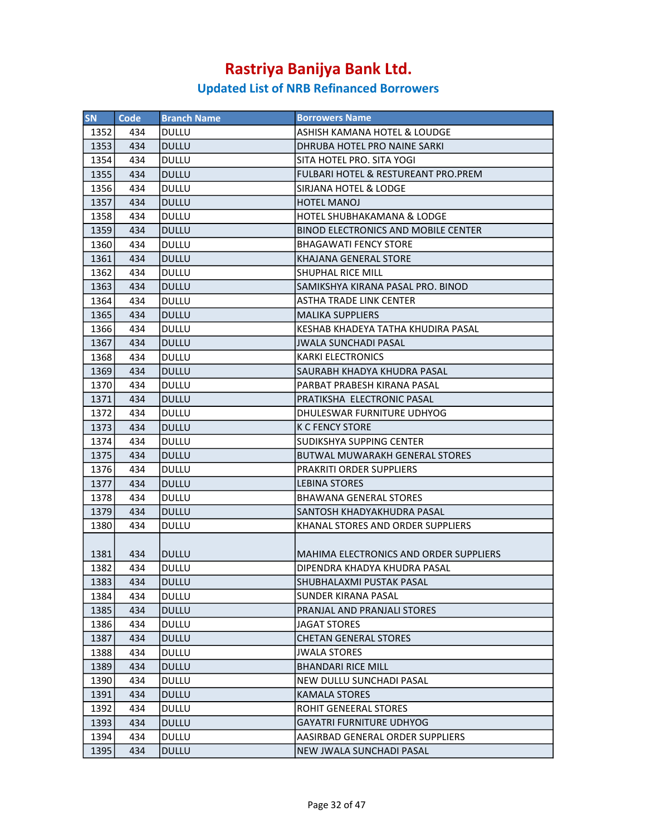| <b>SN</b> | Code | <b>Branch Name</b> | <b>Borrowers Name</b>                         |
|-----------|------|--------------------|-----------------------------------------------|
| 1352      | 434  | <b>DULLU</b>       | ASHISH KAMANA HOTEL & LOUDGE                  |
| 1353      | 434  | <b>DULLU</b>       | DHRUBA HOTEL PRO NAINE SARKI                  |
| 1354      | 434  | <b>DULLU</b>       | SITA HOTEL PRO. SITA YOGI                     |
| 1355      | 434  | <b>DULLU</b>       | FULBARI HOTEL & RESTUREANT PRO.PREM           |
| 1356      | 434  | <b>DULLU</b>       | SIRJANA HOTEL & LODGE                         |
| 1357      | 434  | <b>DULLU</b>       | <b>HOTEL MANOJ</b>                            |
| 1358      | 434  | <b>DULLU</b>       | HOTEL SHUBHAKAMANA & LODGE                    |
| 1359      | 434  | <b>DULLU</b>       | <b>BINOD ELECTRONICS AND MOBILE CENTER</b>    |
| 1360      | 434  | <b>DULLU</b>       | <b>BHAGAWATI FENCY STORE</b>                  |
| 1361      | 434  | <b>DULLU</b>       | KHAJANA GENERAL STORE                         |
| 1362      | 434  | <b>DULLU</b>       | <b>SHUPHAL RICE MILL</b>                      |
| 1363      | 434  | <b>DULLU</b>       | SAMIKSHYA KIRANA PASAL PRO. BINOD             |
|           |      |                    |                                               |
| 1364      | 434  | <b>DULLU</b>       | ASTHA TRADE LINK CENTER                       |
| 1365      | 434  | <b>DULLU</b>       | <b>MALIKA SUPPLIERS</b>                       |
| 1366      | 434  | DULLU              | KESHAB KHADEYA TATHA KHUDIRA PASAL            |
| 1367      | 434  | <b>DULLU</b>       | <b>JWALA SUNCHADI PASAL</b>                   |
| 1368      | 434  | <b>DULLU</b>       | <b>KARKI ELECTRONICS</b>                      |
| 1369      | 434  | <b>DULLU</b>       | SAURABH KHADYA KHUDRA PASAL                   |
| 1370      | 434  | <b>DULLU</b>       | PARBAT PRABESH KIRANA PASAL                   |
| 1371      | 434  | <b>DULLU</b>       | PRATIKSHA ELECTRONIC PASAL                    |
| 1372      | 434  | <b>DULLU</b>       | DHULESWAR FURNITURE UDHYOG                    |
| 1373      | 434  | <b>DULLU</b>       | <b>K C FENCY STORE</b>                        |
| 1374      | 434  | <b>DULLU</b>       | SUDIKSHYA SUPPING CENTER                      |
| 1375      | 434  | <b>DULLU</b>       | <b>BUTWAL MUWARAKH GENERAL STORES</b>         |
| 1376      | 434  | DULLU              | <b>PRAKRITI ORDER SUPPLIERS</b>               |
| 1377      | 434  | <b>DULLU</b>       | <b>LEBINA STORES</b>                          |
| 1378      | 434  | <b>DULLU</b>       | <b>BHAWANA GENERAL STORES</b>                 |
| 1379      | 434  | <b>DULLU</b>       | SANTOSH KHADYAKHUDRA PASAL                    |
| 1380      | 434  | <b>DULLU</b>       | KHANAL STORES AND ORDER SUPPLIERS             |
|           |      |                    |                                               |
| 1381      | 434  | <b>DULLU</b>       | <b>MAHIMA ELECTRONICS AND ORDER SUPPLIERS</b> |
| 1382      | 434  | <b>DULLU</b>       | DIPENDRA KHADYA KHUDRA PASAL                  |
| 1383      | 434  | <b>DULLU</b>       | SHUBHALAXMI PUSTAK PASAL                      |
| 1384      | 434  | DULLU              | <b>SUNDER KIRANA PASAL</b>                    |
| 1385      | 434  | <b>DULLU</b>       | PRANJAL AND PRANJALI STORES                   |
| 1386      | 434  | DULLU              | <b>JAGAT STORES</b>                           |
| 1387      | 434  | <b>DULLU</b>       | <b>CHETAN GENERAL STORES</b>                  |
| 1388      | 434  | DULLU              | <b>JWALA STORES</b>                           |
| 1389      | 434  | <b>DULLU</b>       | <b>BHANDARI RICE MILL</b>                     |
| 1390      | 434  | DULLU              | NEW DULLU SUNCHADI PASAL                      |
| 1391      | 434  | <b>DULLU</b>       | <b>KAMALA STORES</b>                          |
| 1392      | 434  | DULLU              | ROHIT GENEERAL STORES                         |
| 1393      | 434  | <b>DULLU</b>       | <b>GAYATRI FURNITURE UDHYOG</b>               |
| 1394      | 434  | DULLU              | AASIRBAD GENERAL ORDER SUPPLIERS              |
| 1395      | 434  | <b>DULLU</b>       | NEW JWALA SUNCHADI PASAL                      |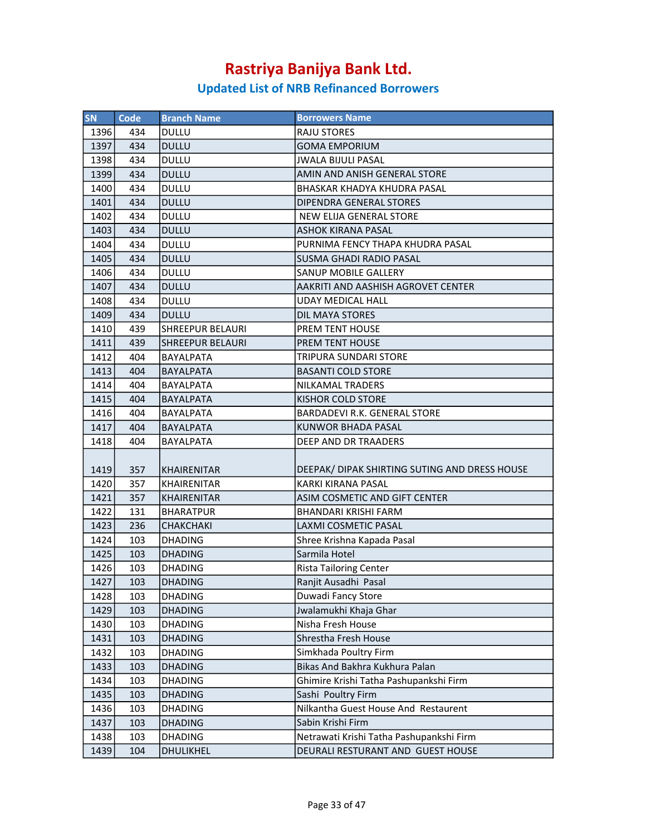| SN           | Code       | <b>Branch Name</b>      | <b>Borrowers Name</b>                         |
|--------------|------------|-------------------------|-----------------------------------------------|
| 1396         | 434        | DULLU                   | <b>RAJU STORES</b>                            |
| 1397         | 434        | <b>DULLU</b>            | <b>GOMA EMPORIUM</b>                          |
| 1398         | 434        | <b>DULLU</b>            | <b>JWALA BIJULI PASAL</b>                     |
| 1399         | 434        | <b>DULLU</b>            | AMIN AND ANISH GENERAL STORE                  |
| 1400         | 434        | DULLU                   | BHASKAR KHADYA KHUDRA PASAL                   |
| 1401         | 434        | <b>DULLU</b>            | DIPENDRA GENERAL STORES                       |
| 1402         | 434        | <b>DULLU</b>            | NEW ELIJA GENERAL STORE                       |
| 1403         | 434        | <b>DULLU</b>            | <b>ASHOK KIRANA PASAL</b>                     |
| 1404         | 434        | DULLU                   | PURNIMA FENCY THAPA KHUDRA PASAL              |
| 1405         | 434        | <b>DULLU</b>            | <b>SUSMA GHADI RADIO PASAL</b>                |
| 1406         | 434        | <b>DULLU</b>            | SANUP MOBILE GALLERY                          |
| 1407         | 434        | <b>DULLU</b>            | AAKRITI AND AASHISH AGROVET CENTER            |
| 1408         | 434        | <b>DULLU</b>            | <b>UDAY MEDICAL HALL</b>                      |
| 1409         | 434        | <b>DULLU</b>            | DIL MAYA STORES                               |
| 1410         | 439        | <b>SHREEPUR BELAURI</b> | PREM TENT HOUSE                               |
| 1411         | 439        | <b>SHREEPUR BELAURI</b> | PREM TENT HOUSE                               |
| 1412         | 404        | BAYALPATA               | TRIPURA SUNDARI STORE                         |
| 1413         | 404        | <b>BAYALPATA</b>        | <b>BASANTI COLD STORE</b>                     |
| 1414         | 404        | <b>BAYALPATA</b>        | NILKAMAL TRADERS                              |
| 1415         | 404        | <b>BAYALPATA</b>        | <b>KISHOR COLD STORE</b>                      |
| 1416         | 404        | <b>BAYALPATA</b>        | <b>BARDADEVI R.K. GENERAL STORE</b>           |
| 1417         | 404        | <b>BAYALPATA</b>        | <b>KUNWOR BHADA PASAL</b>                     |
| 1418         | 404        | BAYALPATA               | DEEP AND DR TRAADERS                          |
|              |            |                         |                                               |
|              |            | KHAIRENITAR             | DEEPAK/ DIPAK SHIRTING SUTING AND DRESS HOUSE |
| 1419<br>1420 | 357<br>357 | <b>KHAIRENITAR</b>      | KARKI KIRANA PASAL                            |
| 1421         | 357        | <b>KHAIRENITAR</b>      | ASIM COSMETIC AND GIFT CENTER                 |
|              |            |                         |                                               |
| 1422         | 131        | <b>BHARATPUR</b>        | BHANDARI KRISHI FARM<br>LAXMI COSMETIC PASAL  |
| 1423         | 236        | <b>CHAKCHAKI</b>        |                                               |
| 1424         | 103        | <b>DHADING</b>          | Shree Krishna Kapada Pasal<br>Sarmila Hotel   |
| 1425         | 103        | <b>DHADING</b>          |                                               |
| 1426         | 103        | <b>DHADING</b>          | <b>Rista Tailoring Center</b>                 |
| 1427         | 103        | DHADING                 | Ranjit Ausadhi Pasal                          |
| 1428         | 103        | <b>DHADING</b>          | Duwadi Fancy Store                            |
| 1429         | 103        | <b>DHADING</b>          | Jwalamukhi Khaja Ghar                         |
| 1430         | 103        | <b>DHADING</b>          | Nisha Fresh House                             |
| 1431         | 103        | <b>DHADING</b>          | Shrestha Fresh House                          |
| 1432         | 103        | <b>DHADING</b>          | Simkhada Poultry Firm                         |
| 1433         | 103        | <b>DHADING</b>          | Bikas And Bakhra Kukhura Palan                |
| 1434         | 103        | DHADING                 | Ghimire Krishi Tatha Pashupankshi Firm        |
| 1435         | 103        | <b>DHADING</b>          | Sashi Poultry Firm                            |
| 1436         | 103        | <b>DHADING</b>          | Nilkantha Guest House And Restaurent          |
| 1437         | 103        | <b>DHADING</b>          | Sabin Krishi Firm                             |
| 1438         | 103        | <b>DHADING</b>          | Netrawati Krishi Tatha Pashupankshi Firm      |
| 1439         | 104        | DHULIKHEL               | DEURALI RESTURANT AND GUEST HOUSE             |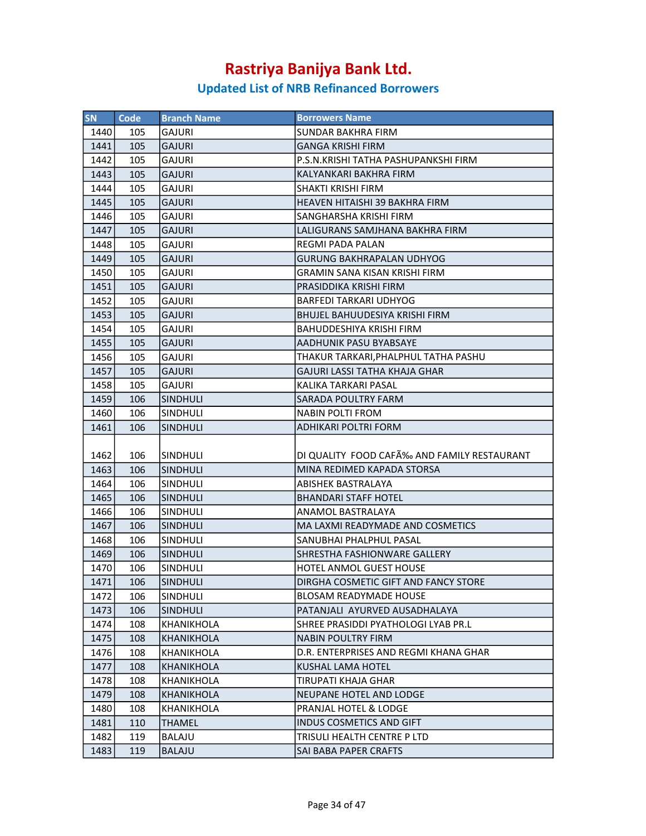| <b>SN</b> | <b>Code</b> | <b>Branch Name</b> | <b>Borrowers Name</b>                      |
|-----------|-------------|--------------------|--------------------------------------------|
| 1440      | 105         | <b>GAJURI</b>      | SUNDAR BAKHRA FIRM                         |
| 1441      | 105         | <b>GAJURI</b>      | <b>GANGA KRISHI FIRM</b>                   |
| 1442      | 105         | GAJURI             | P.S.N.KRISHI TATHA PASHUPANKSHI FIRM       |
| 1443      | 105         | <b>GAJURI</b>      | KALYANKARI BAKHRA FIRM                     |
| 1444      | 105         | <b>GAJURI</b>      | SHAKTI KRISHI FIRM                         |
| 1445      | 105         | <b>GAJURI</b>      | HEAVEN HITAISHI 39 BAKHRA FIRM             |
| 1446      | 105         | <b>GAJURI</b>      | SANGHARSHA KRISHI FIRM                     |
| 1447      | 105         | <b>GAJURI</b>      | LALIGURANS SAMJHANA BAKHRA FIRM            |
| 1448      | 105         | <b>GAJURI</b>      | <b>REGMI PADA PALAN</b>                    |
| 1449      | 105         | <b>GAJURI</b>      | <b>GURUNG BAKHRAPALAN UDHYOG</b>           |
| 1450      | 105         | <b>GAJURI</b>      | <b>GRAMIN SANA KISAN KRISHI FIRM</b>       |
| 1451      | 105         | <b>GAJURI</b>      | PRASIDDIKA KRISHI FIRM                     |
| 1452      | 105         | GAJURI             | <b>BARFEDI TARKARI UDHYOG</b>              |
| 1453      | 105         | <b>GAJURI</b>      | <b>BHUJEL BAHUUDESIYA KRISHI FIRM</b>      |
| 1454      | 105         | <b>GAJURI</b>      | <b>BAHUDDESHIYA KRISHI FIRM</b>            |
| 1455      | 105         | <b>GAJURI</b>      | AADHUNIK PASU BYABSAYE                     |
| 1456      | 105         | GAJURI             | THAKUR TARKARI, PHALPHUL TATHA PASHU       |
| 1457      | 105         | <b>GAJURI</b>      | GAJURI LASSI TATHA KHAJA GHAR              |
| 1458      | 105         | <b>GAJURI</b>      | KALIKA TARKARI PASAL                       |
| 1459      | 106         | <b>SINDHULI</b>    | <b>SARADA POULTRY FARM</b>                 |
| 1460      | 106         | SINDHULI           | <b>NABIN POLTI FROM</b>                    |
| 1461      | 106         | <b>SINDHULI</b>    | ADHIKARI POLTRI FORM                       |
|           |             |                    |                                            |
| 1462      | 106         | <b>SINDHULI</b>    | DI QUALITY FOOD CAFÉ AND FAMILY RESTAURANT |
| 1463      | 106         | <b>SINDHULI</b>    | MINA REDIMED KAPADA STORSA                 |
| 1464      | 106         | <b>SINDHULI</b>    | ABISHEK BASTRALAYA                         |
| 1465      | 106         | <b>SINDHULI</b>    | <b>BHANDARI STAFF HOTEL</b>                |
| 1466      | 106         | <b>SINDHULI</b>    | ANAMOL BASTRALAYA                          |
| 1467      | 106         | <b>SINDHULI</b>    | MA LAXMI READYMADE AND COSMETICS           |
| 1468      | 106         | SINDHULI           | SANUBHAI PHALPHUL PASAL                    |
| 1469      | 106         | <b>SINDHULI</b>    | SHRESTHA FASHIONWARE GALLERY               |
| 1470      | 106         | SINDHULI           | HOTEL ANMOL GUEST HOUSE                    |
| 1471      | 106         | SINDHULI           | DIRGHA COSMETIC GIFT AND FANCY STORE       |
| 1472      | 106         | <b>SINDHULI</b>    | <b>BLOSAM READYMADE HOUSE</b>              |
| 1473      | 106         | <b>SINDHULI</b>    | PATANJALI AYURVED AUSADHALAYA              |
| 1474      | 108         | KHANIKHOLA         | SHREE PRASIDDI PYATHOLOGI LYAB PR.L        |
| 1475      | 108         | <b>KHANIKHOLA</b>  | <b>NABIN POULTRY FIRM</b>                  |
| 1476      | 108         | <b>KHANIKHOLA</b>  | D.R. ENTERPRISES AND REGMI KHANA GHAR      |
| 1477      | 108         | KHANIKHOLA         | KUSHAL LAMA HOTEL                          |
| 1478      | 108         | KHANIKHOLA         | TIRUPATI KHAJA GHAR                        |
| 1479      | 108         | KHANIKHOLA         | <b>NEUPANE HOTEL AND LODGE</b>             |
| 1480      | 108         | KHANIKHOLA         | PRANJAL HOTEL & LODGE                      |
| 1481      | 110         | THAMEL             | INDUS COSMETICS AND GIFT                   |
| 1482      | 119         | BALAJU             | TRISULI HEALTH CENTRE P LTD                |
| 1483      | 119         | <b>BALAJU</b>      | SAI BABA PAPER CRAFTS                      |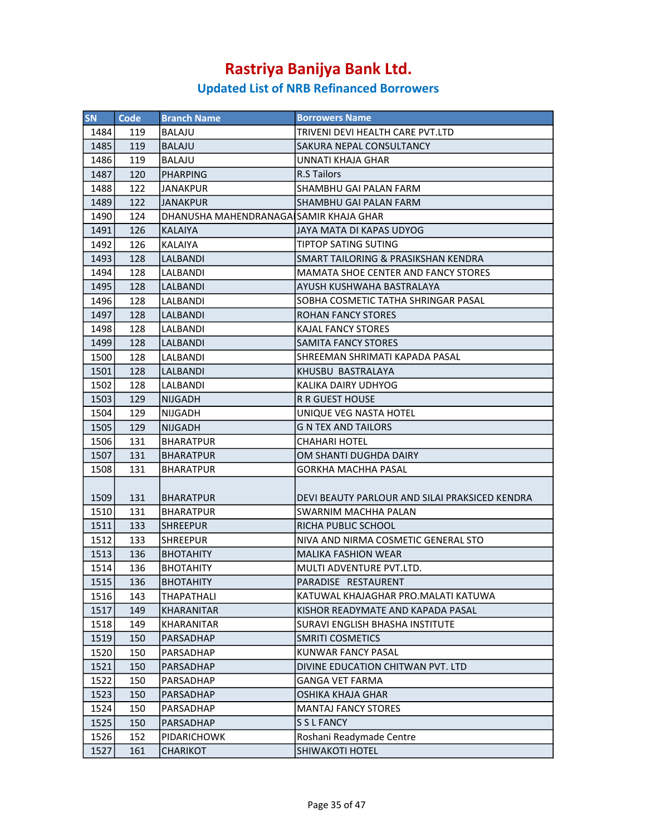| <b>SN</b> | Code | <b>Branch Name</b>                      | <b>Borrowers Name</b>                                             |
|-----------|------|-----------------------------------------|-------------------------------------------------------------------|
| 1484      | 119  | BALAJU                                  | TRIVENI DEVI HEALTH CARE PVT.LTD                                  |
| 1485      | 119  | BALAJU                                  | <b>SAKURA NEPAL CONSULTANCY</b>                                   |
| 1486      | 119  | <b>BALAJU</b>                           | UNNATI KHAJA GHAR                                                 |
| 1487      | 120  | PHARPING                                | <b>R.S Tailors</b>                                                |
| 1488      | 122  | JANAKPUR                                | SHAMBHU GAI PALAN FARM                                            |
| 1489      | 122  | IJANAKPUR                               | SHAMBHU GAI PALAN FARM                                            |
| 1490      | 124  | DHANUSHA MAHENDRANAGAI SAMIR KHAJA GHAR |                                                                   |
| 1491      | 126  | KALAIYA                                 | JAYA MATA DI KAPAS UDYOG                                          |
| 1492      | 126  | <b>KALAIYA</b>                          | <b>TIPTOP SATING SUTING</b>                                       |
| 1493      | 128  | LALBANDI                                | SMART TAILORING & PRASIKSHAN KENDRA                               |
| 1494      | 128  | <b>LALBANDI</b>                         | MAMATA SHOE CENTER AND FANCY STORES                               |
| 1495      | 128  | LALBANDI                                | AYUSH KUSHWAHA BASTRALAYA                                         |
| 1496      | 128  | LALBANDI                                | SOBHA COSMETIC TATHA SHRINGAR PASAL                               |
| 1497      | 128  | <b>LALBANDI</b>                         | <b>ROHAN FANCY STORES</b>                                         |
| 1498      | 128  | LALBANDI                                | <b>KAJAL FANCY STORES</b>                                         |
| 1499      | 128  | LALBANDI                                | <b>SAMITA FANCY STORES</b>                                        |
| 1500      | 128  | LALBANDI                                | SHREEMAN SHRIMATI KAPADA PASAL                                    |
| 1501      | 128  | LALBANDI                                | KHUSBU BASTRALAYA                                                 |
| 1502      | 128  | ILALBANDI                               | KALIKA DAIRY UDHYOG                                               |
| 1503      | 129  | <b>NIJGADH</b>                          | R R GUEST HOUSE                                                   |
| 1504      | 129  | NIJGADH                                 | UNIQUE VEG NASTA HOTEL                                            |
| 1505      | 129  | NIJGADH                                 | <b>G N TEX AND TAILORS</b>                                        |
| 1506      | 131  | <b>BHARATPUR</b>                        | <b>CHAHARI HOTEL</b>                                              |
| 1507      | 131  | <b>BHARATPUR</b>                        | OM SHANTI DUGHDA DAIRY                                            |
| 1508      | 131  | <b>BHARATPUR</b>                        | GORKHA MACHHA PASAL                                               |
|           |      |                                         |                                                                   |
| 1509      | 131  | <b>BHARATPUR</b>                        | DEVI BEAUTY PARLOUR AND SILAI PRAKSICED KENDRA                    |
|           | 131  |                                         |                                                                   |
| 1510      |      | <b>BHARATPUR</b>                        | SWARNIM MACHHA PALAN<br>RICHA PUBLIC SCHOOL                       |
| 1511      | 133  | <b>SHREEPUR</b>                         |                                                                   |
| 1512      | 133  | <b>SHREEPUR</b>                         | NIVA AND NIRMA COSMETIC GENERAL STO<br><b>MALIKA FASHION WEAR</b> |
| 1513      | 136  | <b>BHOTAHITY</b>                        |                                                                   |
| 1514      | 136  | <b>BHOTAHITY</b>                        | MULTI ADVENTURE PVT.LTD.                                          |
| 1515      | 136  | <b>BHOTAHITY</b>                        | PARADISE RESTAURENT                                               |
| 1516      | 143  | THAPATHALI                              | KATUWAL KHAJAGHAR PRO.MALATI KATUWA                               |
| 1517      | 149  | KHARANITAR                              | KISHOR READYMATE AND KAPADA PASAL                                 |
| 1518      | 149  | KHARANITAR                              | SURAVI ENGLISH BHASHA INSTITUTE                                   |
| 1519      | 150  | <b>PARSADHAP</b>                        | <b>SMRITI COSMETICS</b>                                           |
| 1520      | 150  | PARSADHAP                               | KUNWAR FANCY PASAL                                                |
| 1521      | 150  | PARSADHAP                               | DIVINE EDUCATION CHITWAN PVT. LTD                                 |
| 1522      | 150  | PARSADHAP                               | <b>GANGA VET FARMA</b>                                            |
| 1523      | 150  | PARSADHAP                               | <b>OSHIKA KHAJA GHAR</b>                                          |
| 1524      | 150  | PARSADHAP                               | <b>MANTAJ FANCY STORES</b>                                        |
| 1525      | 150  | PARSADHAP                               | S S L FANCY                                                       |
| 1526      | 152  | PIDARICHOWK                             | Roshani Readymade Centre                                          |
| 1527      | 161  | CHARIKOT                                | SHIWAKOTI HOTEL                                                   |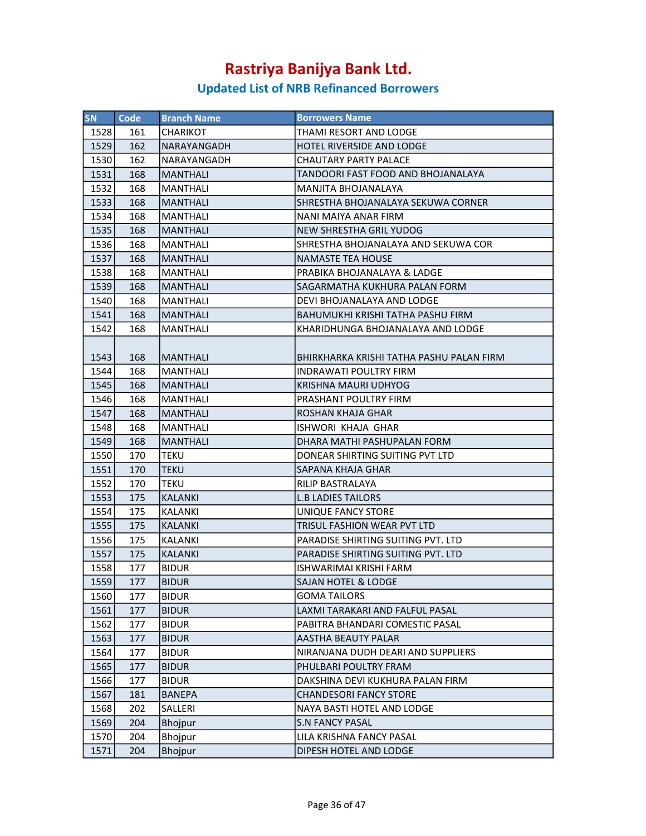| <b>SN</b> | Code | <b>Branch Name</b> | <b>Borrowers Name</b>                    |
|-----------|------|--------------------|------------------------------------------|
| 1528      | 161  | CHARIKOT           | THAMI RESORT AND LODGE                   |
| 1529      | 162  | NARAYANGADH        | <b>HOTEL RIVERSIDE AND LODGE</b>         |
| 1530      | 162  | NARAYANGADH        | CHAUTARY PARTY PALACE                    |
| 1531      | 168  | <b>MANTHALI</b>    | TANDOORI FAST FOOD AND BHOJANALAYA       |
| 1532      | 168  | MANTHALI           | MANJITA BHOJANALAYA                      |
| 1533      | 168  | <b>MANTHALI</b>    | SHRESTHA BHOJANALAYA SEKUWA CORNER       |
| 1534      | 168  | <b>MANTHALI</b>    | NANI MAIYA ANAR FIRM                     |
| 1535      | 168  | MANTHALI           | NEW SHRESTHA GRIL YUDOG                  |
| 1536      | 168  | <b>MANTHALI</b>    | SHRESTHA BHOJANALAYA AND SEKUWA COR      |
| 1537      | 168  | <b>MANTHALI</b>    | <b>NAMASTE TEA HOUSE</b>                 |
| 1538      | 168  | MANTHALI           | PRABIKA BHOJANALAYA & LADGE              |
| 1539      | 168  | <b>MANTHALI</b>    | SAGARMATHA KUKHURA PALAN FORM            |
| 1540      | 168  | <b>MANTHALI</b>    | DEVI BHOJANALAYA AND LODGE               |
| 1541      | 168  | <b>MANTHALI</b>    | BAHUMUKHI KRISHI TATHA PASHU FIRM        |
| 1542      | 168  | MANTHALI           | KHARIDHUNGA BHOJANALAYA AND LODGE        |
|           |      |                    |                                          |
| 1543      | 168  | MANTHALI           | BHIRKHARKA KRISHI TATHA PASHU PALAN FIRM |
| 1544      | 168  | <b>MANTHALI</b>    | INDRAWATI POULTRY FIRM                   |
| 1545      | 168  | <b>MANTHALI</b>    | <b>KRISHNA MAURI UDHYOG</b>              |
| 1546      | 168  | MANTHALI           | PRASHANT POULTRY FIRM                    |
| 1547      | 168  | <b>MANTHALI</b>    | <b>ROSHAN KHAJA GHAR</b>                 |
| 1548      | 168  | MANTHALI           | ISHWORI KHAJA GHAR                       |
| 1549      | 168  | <b>MANTHALI</b>    | DHARA MATHI PASHUPALAN FORM              |
| 1550      | 170  | <b>TEKU</b>        | DONEAR SHIRTING SUITING PVT LTD          |
| 1551      | 170  | <b>TEKU</b>        | SAPANA KHAJA GHAR                        |
| 1552      | 170  | TEKU               | RILIP BASTRALAYA                         |
| 1553      | 175  | <b>KALANKI</b>     | <b>L.B LADIES TAILORS</b>                |
| 1554      | 175  | KALANKI            | UNIQUE FANCY STORE                       |
| 1555      | 175  | <b>KALANKI</b>     | TRISUL FASHION WEAR PVT LTD              |
| 1556      | 175  | <b>KALANKI</b>     | PARADISE SHIRTING SUITING PVT. LTD       |
| 1557      | 175  | <b>KALANKI</b>     | PARADISE SHIRTING SUITING PVT. LTD       |
| 1558      | 177  | <b>BIDUR</b>       | ISHWARIMAI KRISHI FARM                   |
| 1559      | 177  | <b>BIDUR</b>       | SAJAN HOTEL & LODGE                      |
| 1560      | 177  | <b>BIDUR</b>       | <b>GOMA TAILORS</b>                      |
| 1561      | 177  | <b>BIDUR</b>       | LAXMI TARAKARI AND FALFUL PASAL          |
| 1562      | 177  | <b>BIDUR</b>       | PABITRA BHANDARI COMESTIC PASAL          |
| 1563      | 177  | <b>BIDUR</b>       | <b>AASTHA BEAUTY PALAR</b>               |
| 1564      | 177  | <b>BIDUR</b>       | NIRANJANA DUDH DEARI AND SUPPLIERS       |
| 1565      | 177  | <b>BIDUR</b>       | PHULBARI POULTRY FRAM                    |
| 1566      | 177  | <b>BIDUR</b>       | DAKSHINA DEVI KUKHURA PALAN FIRM         |
| 1567      | 181  | <b>BANEPA</b>      | <b>CHANDESORI FANCY STORE</b>            |
| 1568      | 202  | SALLERI            | NAYA BASTI HOTEL AND LODGE               |
| 1569      | 204  | <b>Bhojpur</b>     | <b>S.N FANCY PASAL</b>                   |
| 1570      | 204  | Bhojpur            | LILA KRISHNA FANCY PASAL                 |
| 1571      | 204  | Bhojpur            | DIPESH HOTEL AND LODGE                   |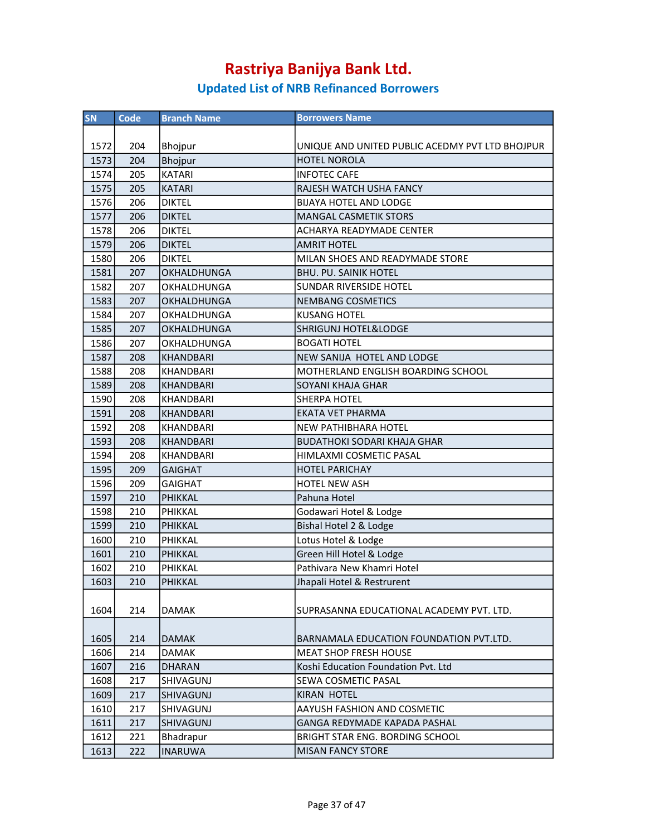| SN   | Code | <b>Branch Name</b> | <b>Borrowers Name</b>                           |
|------|------|--------------------|-------------------------------------------------|
|      |      |                    |                                                 |
| 1572 | 204  | Bhojpur            | UNIQUE AND UNITED PUBLIC ACEDMY PVT LTD BHOJPUR |
| 1573 | 204  | Bhojpur            | <b>HOTEL NOROLA</b>                             |
| 1574 | 205  | <b>KATARI</b>      | <b>INFOTEC CAFE</b>                             |
| 1575 | 205  | <b>KATARI</b>      | RAJESH WATCH USHA FANCY                         |
| 1576 | 206  | <b>DIKTEL</b>      | <b>BIJAYA HOTEL AND LODGE</b>                   |
| 1577 | 206  | <b>DIKTEL</b>      | <b>MANGAL CASMETIK STORS</b>                    |
| 1578 | 206  | <b>DIKTEL</b>      | <b>ACHARYA READYMADE CENTER</b>                 |
| 1579 | 206  | <b>DIKTEL</b>      | <b>AMRIT HOTEL</b>                              |
| 1580 | 206  | <b>DIKTEL</b>      | MILAN SHOES AND READYMADE STORE                 |
| 1581 | 207  | OKHALDHUNGA        | <b>BHU. PU. SAINIK HOTEL</b>                    |
| 1582 | 207  | OKHALDHUNGA        | SUNDAR RIVERSIDE HOTEL                          |
| 1583 | 207  | <b>OKHALDHUNGA</b> | NEMBANG COSMETICS                               |
| 1584 | 207  | OKHALDHUNGA        | <b>KUSANG HOTEL</b>                             |
| 1585 | 207  | OKHALDHUNGA        | <b>SHRIGUNJ HOTEL&amp;LODGE</b>                 |
| 1586 | 207  | OKHALDHUNGA        | <b>BOGATI HOTEL</b>                             |
| 1587 | 208  | <b>KHANDBARI</b>   | NEW SANIJA HOTEL AND LODGE                      |
| 1588 | 208  | <b>KHANDBARI</b>   | MOTHERLAND ENGLISH BOARDING SCHOOL              |
| 1589 | 208  | <b>KHANDBARI</b>   | <b>SOYANI KHAJA GHAR</b>                        |
| 1590 | 208  | KHANDBARI          | <b>SHERPA HOTEL</b>                             |
| 1591 | 208  | <b>KHANDBARI</b>   | <b>EKATA VET PHARMA</b>                         |
| 1592 | 208  | KHANDBARI          | NEW PATHIBHARA HOTEL                            |
| 1593 | 208  | <b>KHANDBARI</b>   | <b>BUDATHOKI SODARI KHAJA GHAR</b>              |
| 1594 | 208  | KHANDBARI          | HIMLAXMI COSMETIC PASAL                         |
| 1595 | 209  | <b>GAIGHAT</b>     | <b>HOTEL PARICHAY</b>                           |
| 1596 | 209  | <b>GAIGHAT</b>     | HOTEL NEW ASH                                   |
| 1597 | 210  | PHIKKAL            | Pahuna Hotel                                    |
| 1598 | 210  | PHIKKAL            | Godawari Hotel & Lodge                          |
| 1599 | 210  | PHIKKAL            | Bishal Hotel 2 & Lodge                          |
| 1600 | 210  | PHIKKAL            | Lotus Hotel & Lodge                             |
| 1601 | 210  | PHIKKAL            | Green Hill Hotel & Lodge                        |
| 1602 | 210  | PHIKKAL            | Pathivara New Khamri Hotel                      |
| 1603 | 210  | PHIKKAL            | Jhapali Hotel & Restrurent                      |
|      |      |                    |                                                 |
| 1604 | 214  | <b>DAMAK</b>       | SUPRASANNA EDUCATIONAL ACADEMY PVT. LTD.        |
|      |      |                    |                                                 |
| 1605 | 214  | <b>DAMAK</b>       | BARNAMALA EDUCATION FOUNDATION PVT.LTD.         |
| 1606 | 214  | <b>DAMAK</b>       | <b>MEAT SHOP FRESH HOUSE</b>                    |
| 1607 | 216  | <b>DHARAN</b>      | Koshi Education Foundation Pvt. Ltd             |
| 1608 | 217  | SHIVAGUNJ          | SEWA COSMETIC PASAL                             |
| 1609 | 217  | <b>SHIVAGUNJ</b>   | KIRAN HOTEL                                     |
| 1610 | 217  | SHIVAGUNJ          | AAYUSH FASHION AND COSMETIC                     |
| 1611 | 217  | <b>SHIVAGUNJ</b>   | GANGA REDYMADE KAPADA PASHAL                    |
| 1612 | 221  | Bhadrapur          | BRIGHT STAR ENG. BORDING SCHOOL                 |
| 1613 | 222  | <b>INARUWA</b>     | <b>MISAN FANCY STORE</b>                        |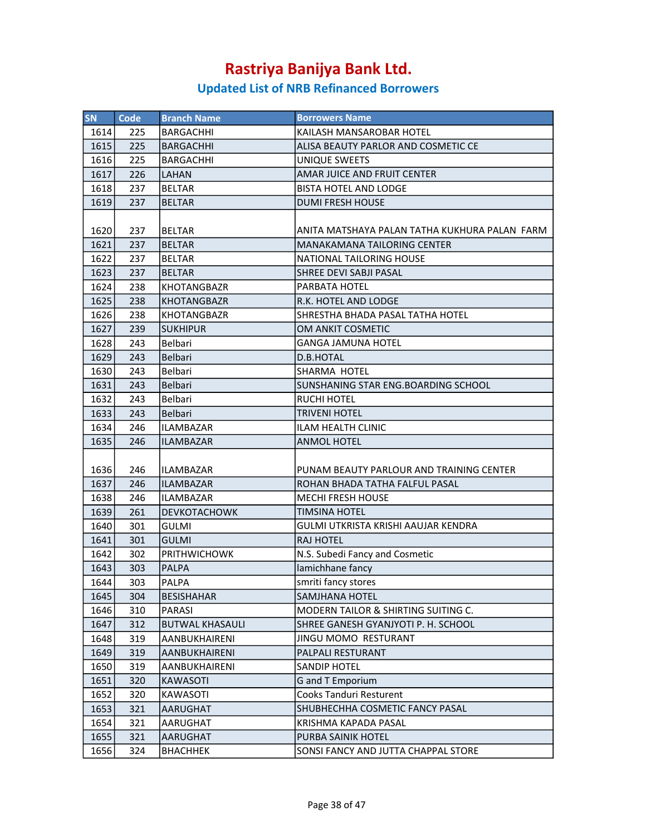| <b>SN</b> | Code | <b>Branch Name</b>     | <b>Borrowers Name</b>                          |
|-----------|------|------------------------|------------------------------------------------|
| 1614      | 225  | <b>BARGACHHI</b>       | KAILASH MANSAROBAR HOTEL                       |
| 1615      | 225  | <b>BARGACHHI</b>       | ALISA BEAUTY PARLOR AND COSMETIC CE            |
| 1616      | 225  | <b>BARGACHHI</b>       | UNIQUE SWEETS                                  |
| 1617      | 226  | LAHAN                  | AMAR JUICE AND FRUIT CENTER                    |
| 1618      | 237  | <b>BELTAR</b>          | <b>BISTA HOTEL AND LODGE</b>                   |
| 1619      | 237  | <b>BELTAR</b>          | <b>DUMI FRESH HOUSE</b>                        |
|           |      |                        |                                                |
| 1620      | 237  | <b>BELTAR</b>          | ANITA MATSHAYA PALAN TATHA KUKHURA PALAN FARM  |
| 1621      | 237  | <b>BELTAR</b>          | <b>MANAKAMANA TAILORING CENTER</b>             |
| 1622      | 237  | <b>BELTAR</b>          | NATIONAL TAILORING HOUSE                       |
| 1623      | 237  | <b>BELTAR</b>          | SHREE DEVI SABJI PASAL                         |
| 1624      | 238  | <b>KHOTANGBAZR</b>     | PARBATA HOTEL                                  |
| 1625      | 238  | <b>KHOTANGBAZR</b>     | R.K. HOTEL AND LODGE                           |
| 1626      | 238  | <b>KHOTANGBAZR</b>     | SHRESTHA BHADA PASAL TATHA HOTEL               |
| 1627      | 239  | <b>SUKHIPUR</b>        | OM ANKIT COSMETIC                              |
| 1628      | 243  | Belbari                | <b>GANGA JAMUNA HOTEL</b>                      |
| 1629      | 243  | <b>Belbari</b>         | D.B.HOTAL                                      |
| 1630      | 243  | Belbari                | SHARMA HOTEL                                   |
| 1631      | 243  | Belbari                | SUNSHANING STAR ENG. BOARDING SCHOOL           |
| 1632      | 243  | Belbari                | <b>RUCHI HOTEL</b>                             |
| 1633      | 243  | Belbari                | <b>TRIVENI HOTEL</b>                           |
| 1634      | 246  | <b>ILAMBAZAR</b>       | <b>ILAM HEALTH CLINIC</b>                      |
| 1635      | 246  | <b>ILAMBAZAR</b>       | <b>ANMOL HOTEL</b>                             |
|           |      |                        |                                                |
| 1636      | 246  | <b>ILAMBAZAR</b>       | PUNAM BEAUTY PARLOUR AND TRAINING CENTER       |
| 1637      | 246  | <b>ILAMBAZAR</b>       | ROHAN BHADA TATHA FALFUL PASAL                 |
| 1638      | 246  | <b>ILAMBAZAR</b>       | <b>MECHI FRESH HOUSE</b>                       |
| 1639      | 261  | <b>DEVKOTACHOWK</b>    | <b>TIMSINA HOTEL</b>                           |
| 1640      | 301  | <b>GULMI</b>           | GULMI UTKRISTA KRISHI AAUJAR KENDRA            |
| 1641      | 301  | <b>GULMI</b>           | <b>RAJ HOTEL</b>                               |
| 1642      | 302  | <b>PRITHWICHOWK</b>    | N.S. Subedi Fancy and Cosmetic                 |
| 1643      | 303  | <b>PALPA</b>           | lamichhane fancy                               |
| 1644      | 303  | PALPA                  | smriti fancy stores                            |
| 1645      | 304  | <b>BESISHAHAR</b>      | <b>SAMJHANA HOTEL</b>                          |
| 1646      | 310  | PARASI                 | <b>MODERN TAILOR &amp; SHIRTING SUITING C.</b> |
| 1647      | 312  | <b>BUTWAL KHASAULI</b> | SHREE GANESH GYANJYOTI P. H. SCHOOL            |
| 1648      | 319  | AANBUKHAIRENI          | JINGU MOMO RESTURANT                           |
| 1649      | 319  | <b>AANBUKHAIRENI</b>   | PALPALI RESTURANT                              |
| 1650      | 319  | AANBUKHAIRENI          | SANDIP HOTEL                                   |
| 1651      | 320  | <b>KAWASOTI</b>        | <b>G</b> and T Emporium                        |
| 1652      | 320  | KAWASOTI               | <b>Cooks Tanduri Resturent</b>                 |
| 1653      | 321  | AARUGHAT               | SHUBHECHHA COSMETIC FANCY PASAL                |
| 1654      | 321  | AARUGHAT               | KRISHMA KAPADA PASAL                           |
| 1655      | 321  | AARUGHAT               | PURBA SAINIK HOTEL                             |
| 1656      | 324  | <b>BHACHHEK</b>        | SONSI FANCY AND JUTTA CHAPPAL STORE            |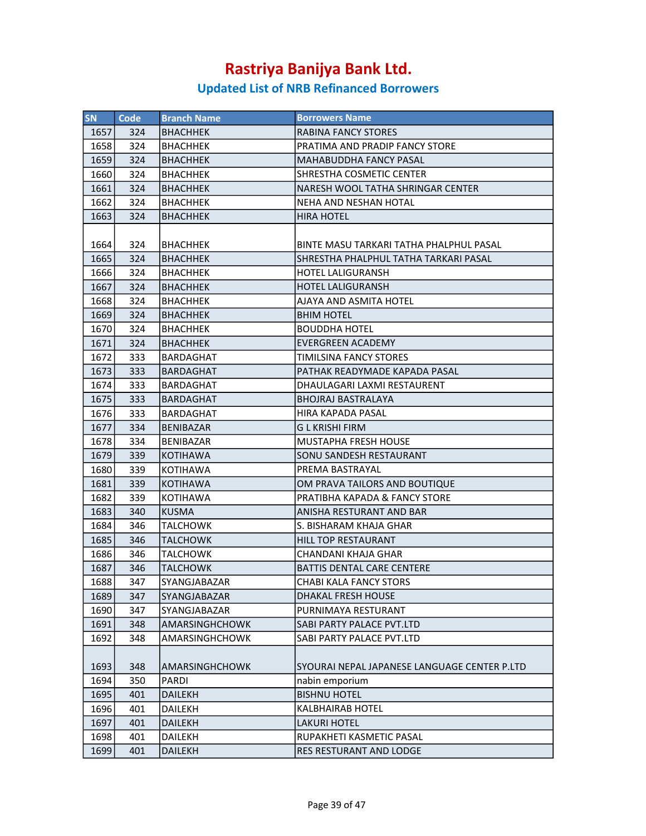| <b>SN</b> | Code | <b>Branch Name</b>    | <b>Borrowers Name</b>                        |
|-----------|------|-----------------------|----------------------------------------------|
| 1657      | 324  | BHACHHEK              | <b>RABINA FANCY STORES</b>                   |
| 1658      | 324  | <b>BHACHHEK</b>       | PRATIMA AND PRADIP FANCY STORE               |
| 1659      | 324  | <b>BHACHHEK</b>       | <b>MAHABUDDHA FANCY PASAL</b>                |
| 1660      | 324  | <b>BHACHHEK</b>       | SHRESTHA COSMETIC CENTER                     |
| 1661      | 324  | <b>BHACHHEK</b>       | NARESH WOOL TATHA SHRINGAR CENTER            |
| 1662      | 324  | BHACHHEK              | NEHA AND NESHAN HOTAL                        |
| 1663      | 324  | BHACHHEK              | HIRA HOTEL                                   |
|           |      |                       |                                              |
| 1664      | 324  | BHACHHEK              | BINTE MASU TARKARI TATHA PHALPHUL PASAL      |
| 1665      | 324  |                       | SHRESTHA PHALPHUL TATHA TARKARI PASAL        |
| 1666      | 324  | <b>BHACHHEK</b>       | <b>HOTEL LALIGURANSH</b>                     |
|           |      | BHACHHEK              |                                              |
| 1667      | 324  | <b>BHACHHEK</b>       | HOTEL LALIGURANSH                            |
| 1668      | 324  | <b>BHACHHEK</b>       | AJAYA AND ASMITA HOTEL                       |
| 1669      | 324  | <b>BHACHHEK</b>       | <b>BHIM HOTEL</b>                            |
| 1670      | 324  | BHACHHEK              | <b>BOUDDHA HOTEL</b>                         |
| 1671      | 324  | <b>BHACHHEK</b>       | <b>EVERGREEN ACADEMY</b>                     |
| 1672      | 333  | BARDAGHAT             | <b>TIMILSINA FANCY STORES</b>                |
| 1673      | 333  | <b>BARDAGHAT</b>      | PATHAK READYMADE KAPADA PASAL                |
| 1674      | 333  | BARDAGHAT             | DHAULAGARI LAXMI RESTAURENT                  |
| 1675      | 333  | BARDAGHAT             | <b>BHOJRAJ BASTRALAYA</b>                    |
| 1676      | 333  | BARDAGHAT             | HIRA KAPADA PASAL                            |
| 1677      | 334  | <b>BENIBAZAR</b>      | <b>GLKRISHI FIRM</b>                         |
| 1678      | 334  | BENIBAZAR             | MUSTAPHA FRESH HOUSE                         |
| 1679      | 339  | KOTIHAWA              | SONU SANDESH RESTAURANT                      |
| 1680      | 339  | KOTIHAWA              | PREMA BASTRAYAL                              |
| 1681      | 339  | KOTIHAWA              | OM PRAVA TAILORS AND BOUTIQUE                |
| 1682      | 339  | <b>KOTIHAWA</b>       | PRATIBHA KAPADA & FANCY STORE                |
| 1683      | 340  | <b>KUSMA</b>          | ANISHA RESTURANT AND BAR                     |
| 1684      | 346  | <b>TALCHOWK</b>       | S. BISHARAM KHAJA GHAR                       |
| 1685      | 346  | TALCHOWK              | <b>HILL TOP RESTAURANT</b>                   |
| 1686      | 346  | <b>TALCHOWK</b>       | CHANDANI KHAJA GHAR                          |
| 1687      | 346  | <b>TALCHOWK</b>       | <b>BATTIS DENTAL CARE CENTERE</b>            |
| 1688      | 347  | SYANGJABAZAR          | <b>CHABI KALA FANCY STORS</b>                |
| 1689      | 347  | SYANGJABAZAR          | DHAKAL FRESH HOUSE                           |
| 1690      | 347  | SYANGJABAZAR          | PURNIMAYA RESTURANT                          |
| 1691      | 348  | AMARSINGHCHOWK        | <b>SABI PARTY PALACE PVT.LTD</b>             |
| 1692      | 348  | <b>AMARSINGHCHOWK</b> | SABI PARTY PALACE PVT.LTD                    |
|           |      |                       |                                              |
| 1693      | 348  | AMARSINGHCHOWK        | SYOURAI NEPAL JAPANESE LANGUAGE CENTER P.LTD |
| 1694      | 350  | PARDI                 | nabin emporium                               |
| 1695      | 401  | <b>DAILEKH</b>        | <b>BISHNU HOTEL</b>                          |
| 1696      | 401  | DAILEKH               | <b>KALBHAIRAB HOTEL</b>                      |
| 1697      | 401  | <b>DAILEKH</b>        | <b>LAKURI HOTEL</b>                          |
| 1698      | 401  | DAILEKH               | RUPAKHETI KASMETIC PASAL                     |
| 1699      | 401  | <b>DAILEKH</b>        | RES RESTURANT AND LODGE                      |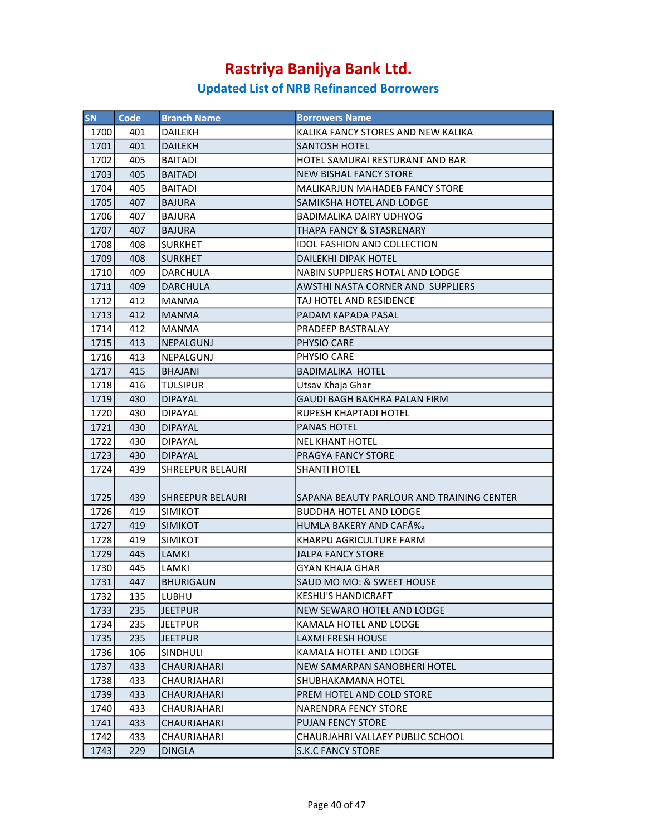| <b>SN</b> | Code | <b>Branch Name</b>      | <b>Borrowers Name</b>                     |
|-----------|------|-------------------------|-------------------------------------------|
| 1700      | 401  | <b>DAILEKH</b>          | KALIKA FANCY STORES AND NEW KALIKA        |
| 1701      | 401  | <b>DAILEKH</b>          | SANTOSH HOTEL                             |
| 1702      | 405  | <b>BAITADI</b>          | HOTEL SAMURAI RESTURANT AND BAR           |
| 1703      | 405  | <b>BAITADI</b>          | <b>NEW BISHAL FANCY STORE</b>             |
| 1704      | 405  | <b>BAITADI</b>          | MALIKARJUN MAHADEB FANCY STORE            |
| 1705      | 407  | <b>BAJURA</b>           | <b>SAMIKSHA HOTEL AND LODGE</b>           |
| 1706      | 407  | <b>BAJURA</b>           | <b>BADIMALIKA DAIRY UDHYOG</b>            |
| 1707      | 407  | <b>BAJURA</b>           | <b>THAPA FANCY &amp; STASRENARY</b>       |
| 1708      | 408  | <b>SURKHET</b>          | <b>IDOL FASHION AND COLLECTION</b>        |
| 1709      | 408  | <b>SURKHET</b>          | <b>DAILEKHI DIPAK HOTEL</b>               |
| 1710      | 409  | DARCHULA                | <b>NABIN SUPPLIERS HOTAL AND LODGE</b>    |
| 1711      | 409  | <b>DARCHULA</b>         | AWSTHI NASTA CORNER AND SUPPLIERS         |
| 1712      | 412  | <b>MANMA</b>            | TAJ HOTEL AND RESIDENCE                   |
| 1713      | 412  | <b>MANMA</b>            | PADAM KAPADA PASAL                        |
| 1714      | 412  | <b>MANMA</b>            | PRADEEP BASTRALAY                         |
| 1715      | 413  | <b>NEPALGUNJ</b>        | PHYSIO CARE                               |
| 1716      | 413  | NEPALGUNJ               | PHYSIO CARE                               |
| 1717      | 415  | <b>BHAJANI</b>          | <b>BADIMALIKA HOTEL</b>                   |
| 1718      | 416  | <b>TULSIPUR</b>         | Utsav Khaja Ghar                          |
| 1719      | 430  | <b>DIPAYAL</b>          | <b>GAUDI BAGH BAKHRA PALAN FIRM</b>       |
| 1720      | 430  | <b>DIPAYAL</b>          | <b>RUPESH KHAPTADI HOTEL</b>              |
| 1721      | 430  | <b>DIPAYAL</b>          | <b>PANAS HOTEL</b>                        |
| 1722      | 430  | DIPAYAL                 | <b>NEL KHANT HOTEL</b>                    |
| 1723      | 430  | <b>DIPAYAL</b>          | <b>PRAGYA FANCY STORE</b>                 |
| 1724      | 439  | <b>SHREEPUR BELAURI</b> | <b>SHANTI HOTEL</b>                       |
|           |      |                         |                                           |
| 1725      | 439  | SHREEPUR BELAURI        | SAPANA BEAUTY PARLOUR AND TRAINING CENTER |
| 1726      | 419  | <b>SIMIKOT</b>          | <b>BUDDHA HOTEL AND LODGE</b>             |
| 1727      | 419  | <b>SIMIKOT</b>          | HUMLA BAKERY AND CAFÉ                     |
| 1728      | 419  | <b>SIMIKOT</b>          | KHARPU AGRICULTURE FARM                   |
| 1729      | 445  | <b>LAMKI</b>            | <b>JALPA FANCY STORE</b>                  |
| 1730      | 445  | LAMKI                   | <b>GYAN KHAJA GHAR</b>                    |
| 1731      | 447  | <b>BHURIGAUN</b>        | SAUD MO MO: & SWEET HOUSE                 |
| 1732      | 135  | LUBHU                   | <b>KESHU'S HANDICRAFT</b>                 |
| 1733      | 235  | <b>JEETPUR</b>          | NEW SEWARO HOTEL AND LODGE                |
| 1734      | 235  | <b>JEETPUR</b>          | KAMALA HOTEL AND LODGE                    |
| 1735      | 235  | JEETPUR                 | LAXMI FRESH HOUSE                         |
| 1736      | 106  | SINDHULI                | KAMALA HOTEL AND LODGE                    |
| 1737      | 433  | CHAURJAHARI             | NEW SAMARPAN SANOBHERI HOTEL              |
| 1738      | 433  | CHAURJAHARI             | SHUBHAKAMANA HOTEL                        |
| 1739      | 433  | CHAURJAHARI             | PREM HOTEL AND COLD STORE                 |
| 1740      | 433  | CHAURJAHARI             | <b>NARENDRA FENCY STORE</b>               |
| 1741      | 433  | CHAURJAHARI             | <b>PUJAN FENCY STORE</b>                  |
| 1742      | 433  | CHAURJAHARI             | CHAURJAHRI VALLAEY PUBLIC SCHOOL          |
| 1743      | 229  | <b>DINGLA</b>           | <b>S.K.C FANCY STORE</b>                  |
|           |      |                         |                                           |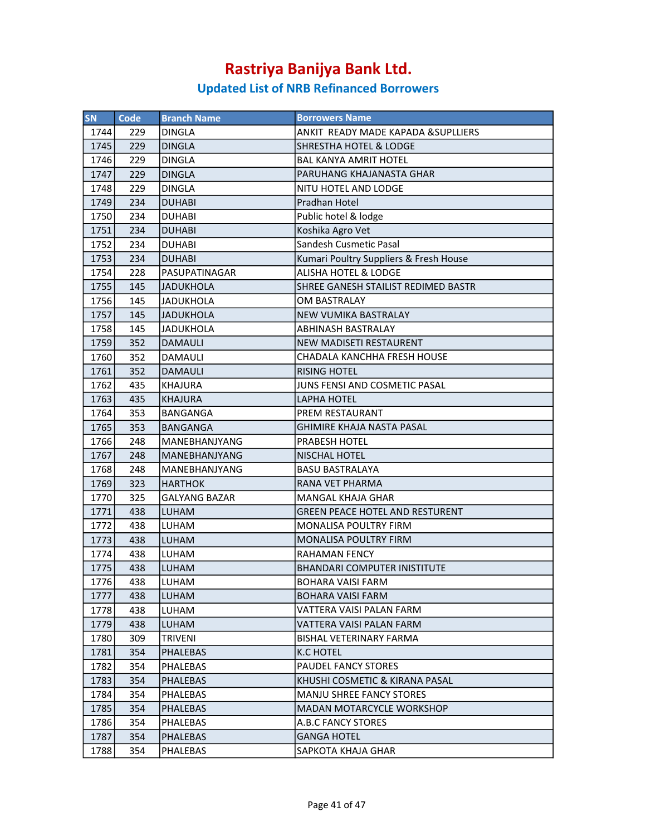| <b>SN</b> | <b>Code</b> | <b>Branch Name</b>   | <b>Borrowers Name</b>                  |
|-----------|-------------|----------------------|----------------------------------------|
| 1744      | 229         | <b>DINGLA</b>        | ANKIT READY MADE KAPADA & SUPLLIERS    |
| 1745      | 229         | <b>DINGLA</b>        | <b>SHRESTHA HOTEL &amp; LODGE</b>      |
| 1746      | 229         | <b>DINGLA</b>        | <b>BAL KANYA AMRIT HOTEL</b>           |
| 1747      | 229         | <b>DINGLA</b>        | PARUHANG KHAJANASTA GHAR               |
| 1748      | 229         | <b>DINGLA</b>        | NITU HOTEL AND LODGE                   |
| 1749      | 234         | <b>DUHABI</b>        | Pradhan Hotel                          |
| 1750      | 234         | <b>DUHABI</b>        | Public hotel & lodge                   |
| 1751      | 234         | <b>DUHABI</b>        | Koshika Agro Vet                       |
| 1752      | 234         | <b>DUHABI</b>        | Sandesh Cusmetic Pasal                 |
| 1753      | 234         | <b>DUHABI</b>        | Kumari Poultry Suppliers & Fresh House |
| 1754      | 228         | PASUPATINAGAR        | ALISHA HOTEL & LODGE                   |
| 1755      | 145         | <b>JADUKHOLA</b>     | SHREE GANESH STAILIST REDIMED BASTR    |
| 1756      | 145         | <b>JADUKHOLA</b>     | OM BASTRALAY                           |
| 1757      | 145         | <b>JADUKHOLA</b>     | <b>NEW VUMIKA BASTRALAY</b>            |
| 1758      | 145         | JADUKHOLA            | <b>ABHINASH BASTRALAY</b>              |
| 1759      | 352         | <b>DAMAULI</b>       | NEW MADISETI RESTAURENT                |
| 1760      | 352         | DAMAULI              | CHADALA KANCHHA FRESH HOUSE            |
| 1761      | 352         | <b>DAMAULI</b>       | <b>RISING HOTEL</b>                    |
| 1762      | 435         | <b>KHAJURA</b>       | JUNS FENSI AND COSMETIC PASAL          |
| 1763      | 435         | <b>KHAJURA</b>       | LAPHA HOTEL                            |
| 1764      | 353         | BANGANGA             | <b>PREM RESTAURANT</b>                 |
| 1765      | 353         | <b>BANGANGA</b>      | <b>GHIMIRE KHAJA NASTA PASAL</b>       |
| 1766      | 248         | MANEBHANJYANG        | PRABESH HOTEL                          |
| 1767      | 248         | MANEBHANJYANG        | <b>NISCHAL HOTEL</b>                   |
| 1768      | 248         | MANEBHANJYANG        | <b>BASU BASTRALAYA</b>                 |
| 1769      | 323         | <b>HARTHOK</b>       | RANA VET PHARMA                        |
| 1770      | 325         | <b>GALYANG BAZAR</b> | <b>MANGAL KHAJA GHAR</b>               |
| 1771      | 438         | LUHAM                | <b>GREEN PEACE HOTEL AND RESTURENT</b> |
| 1772      | 438         | LUHAM                | <b>MONALISA POULTRY FIRM</b>           |
| 1773      | 438         | LUHAM                | MONALISA POULTRY FIRM                  |
| 1774      | 438         | LUHAM                | <b>RAHAMAN FENCY</b>                   |
| 1775      | 438         | <b>LUHAM</b>         | <b>BHANDARI COMPUTER INISTITUTE</b>    |
| 1776      | 438         | LUHAM                | BOHARA VAISI FARM                      |
| 1777      | 438         | LUHAM                | BOHARA VAISI FARM                      |
| 1778      | 438         | LUHAM                | VATTERA VAISI PALAN FARM               |
| 1779      | 438         | LUHAM                | VATTERA VAISI PALAN FARM               |
| 1780      | 309         | <b>TRIVENI</b>       | <b>BISHAL VETERINARY FARMA</b>         |
| 1781      | 354         | PHALEBAS             | K.C HOTEL                              |
| 1782      | 354         | PHALEBAS             | PAUDEL FANCY STORES                    |
| 1783      | 354         | <b>PHALEBAS</b>      | KHUSHI COSMETIC & KIRANA PASAL         |
| 1784      | 354         | <b>PHALEBAS</b>      | <b>MANJU SHREE FANCY STORES</b>        |
| 1785      | 354         | <b>PHALEBAS</b>      | <b>MADAN MOTARCYCLE WORKSHOP</b>       |
| 1786      | 354         | <b>PHALEBAS</b>      | A.B.C FANCY STORES                     |
| 1787      | 354         | <b>PHALEBAS</b>      | <b>GANGA HOTEL</b>                     |
| 1788      | 354         | <b>PHALEBAS</b>      | SAPKOTA KHAJA GHAR                     |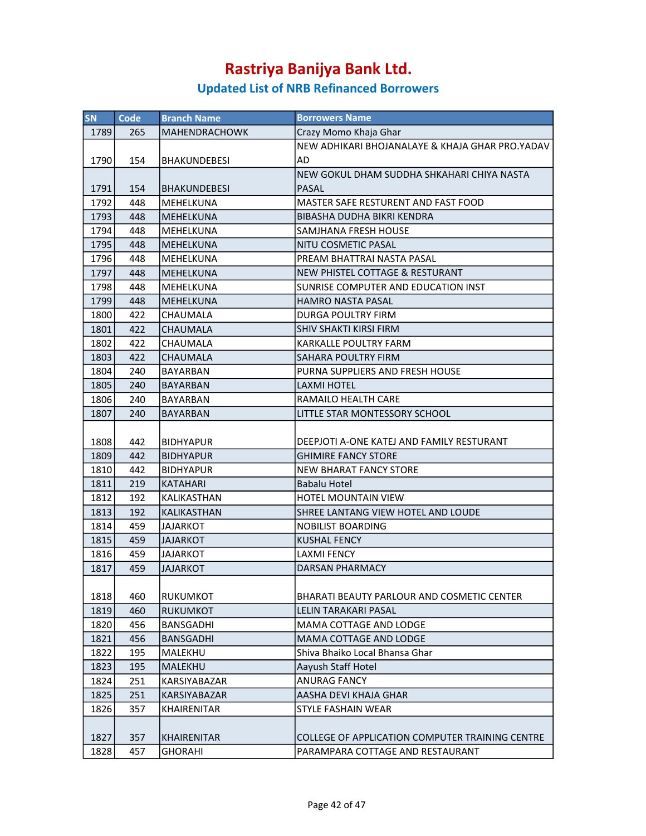| SN   | <b>Code</b> | <b>Branch Name</b>   | <b>Borrowers Name</b>                           |
|------|-------------|----------------------|-------------------------------------------------|
| 1789 | 265         | <b>MAHENDRACHOWK</b> | Crazy Momo Khaja Ghar                           |
|      |             |                      | NEW ADHIKARI BHOJANALAYE & KHAJA GHAR PRO.YADAV |
| 1790 | 154         | BHAKUNDEBESI         | AD                                              |
|      |             |                      | NEW GOKUL DHAM SUDDHA SHKAHARI CHIYA NASTA      |
| 1791 | 154         | <b>BHAKUNDEBESI</b>  | PASAL                                           |
| 1792 | 448         | MEHELKUNA            | MASTER SAFE RESTURENT AND FAST FOOD             |
| 1793 | 448         | <b>MEHELKUNA</b>     | <b>BIBASHA DUDHA BIKRI KENDRA</b>               |
| 1794 | 448         | MEHELKUNA            | SAMJHANA FRESH HOUSE                            |
| 1795 | 448         | <b>MEHELKUNA</b>     | NITU COSMETIC PASAL                             |
| 1796 | 448         | MEHELKUNA            | PREAM BHATTRAI NASTA PASAL                      |
|      |             |                      | NEW PHISTEL COTTAGE & RESTURANT                 |
| 1797 | 448         | <b>MEHELKUNA</b>     |                                                 |
| 1798 | 448         | MEHELKUNA            | SUNRISE COMPUTER AND EDUCATION INST             |
| 1799 | 448         | <b>MEHELKUNA</b>     | <b>HAMRO NASTA PASAL</b>                        |
| 1800 | 422         | CHAUMALA             | <b>DURGA POULTRY FIRM</b>                       |
| 1801 | 422         | <b>CHAUMALA</b>      | <b>SHIV SHAKTI KIRSI FIRM</b>                   |
| 1802 | 422         | CHAUMALA             | <b>KARKALLE POULTRY FARM</b>                    |
| 1803 | 422         | CHAUMALA             | <b>SAHARA POULTRY FIRM</b>                      |
| 1804 | 240         | BAYARBAN             | PURNA SUPPLIERS AND FRESH HOUSE                 |
| 1805 | 240         | <b>BAYARBAN</b>      | LAXMI HOTEL                                     |
| 1806 | 240         | <b>BAYARBAN</b>      | RAMAILO HEALTH CARE                             |
| 1807 | 240         | <b>BAYARBAN</b>      | LITTLE STAR MONTESSORY SCHOOL                   |
|      |             |                      |                                                 |
| 1808 | 442         | <b>BIDHYAPUR</b>     | DEEPJOTI A-ONE KATEJ AND FAMILY RESTURANT       |
| 1809 | 442         | <b>BIDHYAPUR</b>     | <b>GHIMIRE FANCY STORE</b>                      |
| 1810 | 442         | <b>BIDHYAPUR</b>     | <b>NEW BHARAT FANCY STORE</b>                   |
| 1811 | 219         | <b>KATAHARI</b>      | <b>Babalu Hotel</b>                             |
| 1812 | 192         | KALIKASTHAN          | <b>HOTEL MOUNTAIN VIEW</b>                      |
| 1813 | 192         | KALIKASTHAN          | SHREE LANTANG VIEW HOTEL AND LOUDE              |
| 1814 | 459         | <b>JAJARKOT</b>      | <b>NOBILIST BOARDING</b>                        |
| 1815 | 459         | JAJARKOT             | <b>KUSHAL FENCY</b>                             |
| 1816 | 459         | JAJARKOT             | <b>LAXMI FENCY</b>                              |
| 1817 | 459         | JAJARKOT             | <b>DARSAN PHARMACY</b>                          |
|      |             |                      |                                                 |
| 1818 | 460         | RUKUMKOT             | BHARATI BEAUTY PARLOUR AND COSMETIC CENTER      |
| 1819 | 460         | <b>RUKUMKOT</b>      | LELIN TARAKARI PASAL                            |
| 1820 | 456         | BANSGADHI            | MAMA COTTAGE AND LODGE                          |
| 1821 | 456         | <b>BANSGADHI</b>     | <b>MAMA COTTAGE AND LODGE</b>                   |
| 1822 | 195         | MALEKHU              | Shiva Bhaiko Local Bhansa Ghar                  |
| 1823 | 195         | <b>MALEKHU</b>       | Aayush Staff Hotel                              |
| 1824 | 251         | KARSIYABAZAR         | <b>ANURAG FANCY</b>                             |
| 1825 | 251         | <b>KARSIYABAZAR</b>  | AASHA DEVI KHAJA GHAR                           |
| 1826 | 357         | <b>KHAIRENITAR</b>   | <b>STYLE FASHAIN WEAR</b>                       |
|      |             |                      |                                                 |
| 1827 | 357         | <b>KHAIRENITAR</b>   | COLLEGE OF APPLICATION COMPUTER TRAINING CENTRE |
| 1828 | 457         | <b>GHORAHI</b>       | PARAMPARA COTTAGE AND RESTAURANT                |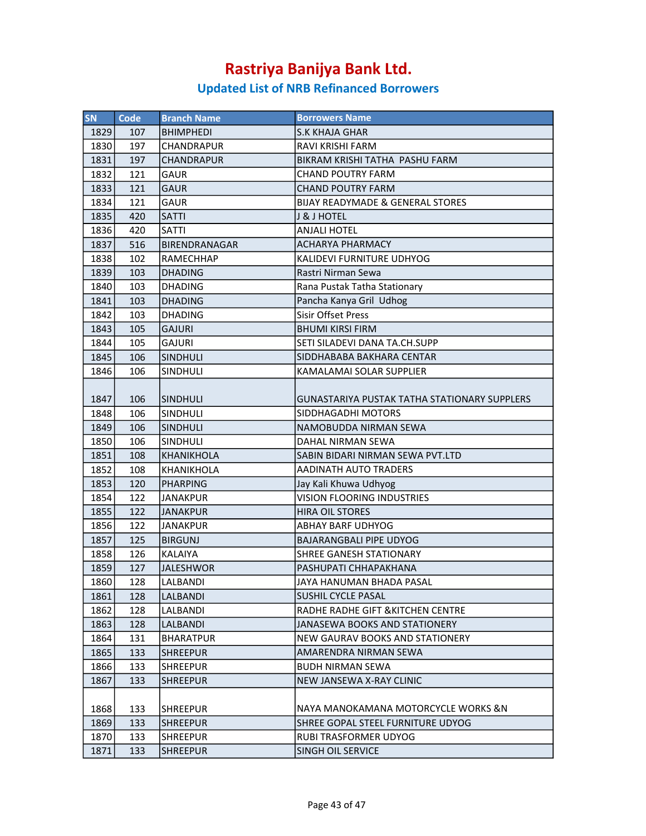| <b>SN</b> | <b>Code</b> | <b>Branch Name</b>   | <b>Borrowers Name</b>                               |
|-----------|-------------|----------------------|-----------------------------------------------------|
| 1829      | 107         | <b>BHIMPHEDI</b>     | <b>S.K KHAJA GHAR</b>                               |
| 1830      | 197         | CHANDRAPUR           | RAVI KRISHI FARM                                    |
| 1831      | 197         | <b>CHANDRAPUR</b>    | BIKRAM KRISHI TATHA PASHU FARM                      |
| 1832      | 121         | <b>GAUR</b>          | <b>CHAND POUTRY FARM</b>                            |
| 1833      | 121         | <b>GAUR</b>          | <b>CHAND POUTRY FARM</b>                            |
| 1834      | 121         | GAUR                 | <b>BIJAY READYMADE &amp; GENERAL STORES</b>         |
| 1835      | 420         | <b>SATTI</b>         | J & J HOTEL                                         |
| 1836      | 420         | SATTI                | <b>ANJALI HOTEL</b>                                 |
| 1837      | 516         | <b>BIRENDRANAGAR</b> | <b>ACHARYA PHARMACY</b>                             |
| 1838      | 102         | <b>RAMECHHAP</b>     | KALIDEVI FURNITURE UDHYOG                           |
| 1839      | 103         | <b>DHADING</b>       | Rastri Nirman Sewa                                  |
| 1840      | 103         | <b>DHADING</b>       | Rana Pustak Tatha Stationary                        |
| 1841      | 103         | <b>DHADING</b>       | Pancha Kanya Gril Udhog                             |
| 1842      | 103         | <b>DHADING</b>       | Sisir Offset Press                                  |
| 1843      | 105         | <b>GAJURI</b>        | <b>BHUMI KIRSI FIRM</b>                             |
| 1844      | 105         | <b>GAJURI</b>        | SETI SILADEVI DANA TA.CH.SUPP                       |
| 1845      | 106         | <b>SINDHULI</b>      | SIDDHABABA BAKHARA CENTAR                           |
| 1846      | 106         | <b>SINDHULI</b>      | KAMALAMAI SOLAR SUPPLIER                            |
|           |             |                      |                                                     |
| 1847      | 106         | SINDHULI             | <b>GUNASTARIYA PUSTAK TATHA STATIONARY SUPPLERS</b> |
| 1848      | 106         | <b>SINDHULI</b>      | SIDDHAGADHI MOTORS                                  |
| 1849      | 106         | SINDHULI             | NAMOBUDDA NIRMAN SEWA                               |
| 1850      | 106         | SINDHULI             | DAHAL NIRMAN SEWA                                   |
| 1851      | 108         | <b>KHANIKHOLA</b>    | SABIN BIDARI NIRMAN SEWA PVT.LTD                    |
| 1852      | 108         | KHANIKHOLA           | AADINATH AUTO TRADERS                               |
| 1853      | 120         | <b>PHARPING</b>      | Jay Kali Khuwa Udhyog                               |
| 1854      | 122         | <b>JANAKPUR</b>      | <b>VISION FLOORING INDUSTRIES</b>                   |
| 1855      | 122         | <b>JANAKPUR</b>      | <b>HIRA OIL STORES</b>                              |
| 1856      | 122         | <b>JANAKPUR</b>      | <b>ABHAY BARF UDHYOG</b>                            |
| 1857      | 125         | <b>BIRGUNJ</b>       | <b>BAJARANGBALI PIPE UDYOG</b>                      |
| 1858      | 126         | KALAIYA              | <b>SHREE GANESH STATIONARY</b>                      |
| 1859      | 127         | <b>JALESHWOR</b>     | PASHUPATI CHHAPAKHANA                               |
| 1860      | 128         | LALBANDI             | JAYA HANUMAN BHADA PASAL                            |
| 1861      | 128         | LALBANDI             | <b>SUSHIL CYCLE PASAL</b>                           |
| 1862      | 128         | LALBANDI             | RADHE RADHE GIFT & KITCHEN CENTRE                   |
| 1863      | 128         | <b>LALBANDI</b>      | JANASEWA BOOKS AND STATIONERY                       |
| 1864      | 131         | BHARATPUR            | NEW GAURAV BOOKS AND STATIONERY                     |
| 1865      | 133         | <b>SHREEPUR</b>      | AMARENDRA NIRMAN SEWA                               |
| 1866      | 133         | <b>SHREEPUR</b>      | <b>BUDH NIRMAN SEWA</b>                             |
| 1867      | 133         | <b>SHREEPUR</b>      | <b>NEW JANSEWA X-RAY CLINIC</b>                     |
|           |             |                      |                                                     |
| 1868      | 133         | <b>SHREEPUR</b>      | NAYA MANOKAMANA MOTORCYCLE WORKS &N                 |
| 1869      | 133         | <b>SHREEPUR</b>      | SHREE GOPAL STEEL FURNITURE UDYOG                   |
| 1870      | 133         | <b>SHREEPUR</b>      | <b>RUBI TRASFORMER UDYOG</b>                        |
| 1871      | 133         | <b>SHREEPUR</b>      | <b>SINGH OIL SERVICE</b>                            |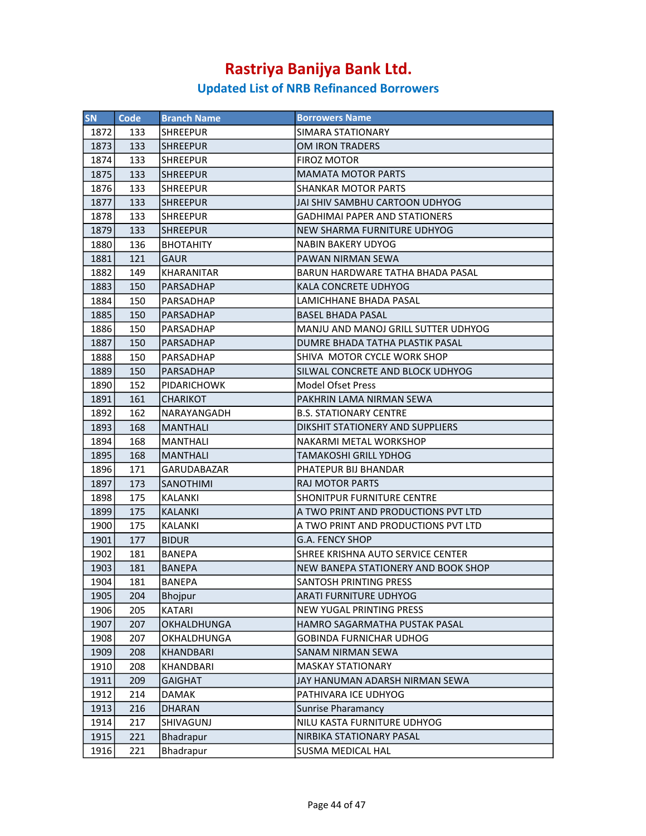| SN   | <b>Code</b> | <b>Branch Name</b> | <b>Borrowers Name</b>                |
|------|-------------|--------------------|--------------------------------------|
| 1872 | 133         | <b>SHREEPUR</b>    | SIMARA STATIONARY                    |
| 1873 | 133         | <b>SHREEPUR</b>    | <b>OM IRON TRADERS</b>               |
| 1874 | 133         | SHREEPUR           | <b>FIROZ MOTOR</b>                   |
| 1875 | 133         | <b>SHREEPUR</b>    | <b>MAMATA MOTOR PARTS</b>            |
| 1876 | 133         | ISHREEPUR          | <b>SHANKAR MOTOR PARTS</b>           |
| 1877 | 133         | <b>SHREEPUR</b>    | JAI SHIV SAMBHU CARTOON UDHYOG       |
| 1878 | 133         | <b>SHREEPUR</b>    | <b>GADHIMAI PAPER AND STATIONERS</b> |
| 1879 | 133         | <b>SHREEPUR</b>    | NEW SHARMA FURNITURE UDHYOG          |
| 1880 | 136         | <b>BHOTAHITY</b>   | NABIN BAKERY UDYOG                   |
| 1881 | 121         | <b>GAUR</b>        | PAWAN NIRMAN SEWA                    |
| 1882 | 149         | <b>KHARANITAR</b>  | BARUN HARDWARE TATHA BHADA PASAL     |
| 1883 | 150         | PARSADHAP          | KALA CONCRETE UDHYOG                 |
| 1884 | 150         | PARSADHAP          | LAMICHHANE BHADA PASAL               |
| 1885 | 150         | PARSADHAP          | <b>BASEL BHADA PASAL</b>             |
| 1886 | 150         | PARSADHAP          | MANJU AND MANOJ GRILL SUTTER UDHYOG  |
| 1887 | 150         | PARSADHAP          | DUMRE BHADA TATHA PLASTIK PASAL      |
| 1888 | 150         | PARSADHAP          | SHIVA MOTOR CYCLE WORK SHOP          |
| 1889 | 150         | PARSADHAP          | SILWAL CONCRETE AND BLOCK UDHYOG     |
| 1890 | 152         | <b>PIDARICHOWK</b> | <b>Model Ofset Press</b>             |
| 1891 | 161         | <b>CHARIKOT</b>    | PAKHRIN LAMA NIRMAN SEWA             |
| 1892 | 162         | NARAYANGADH        | <b>B.S. STATIONARY CENTRE</b>        |
| 1893 | 168         | MANTHALI           | DIKSHIT STATIONERY AND SUPPLIERS     |
| 1894 | 168         | <b>MANTHALI</b>    | NAKARMI METAL WORKSHOP               |
| 1895 | 168         | MANTHALI           | <b>TAMAKOSHI GRILL YDHOG</b>         |
| 1896 | 171         | GARUDABAZAR        | PHATEPUR BIJ BHANDAR                 |
| 1897 | 173         | <b>SANOTHIMI</b>   | <b>RAJ MOTOR PARTS</b>               |
| 1898 | 175         | KALANKI            | SHONITPUR FURNITURE CENTRE           |
| 1899 | 175         | <b>KALANKI</b>     | A TWO PRINT AND PRODUCTIONS PVT LTD  |
| 1900 | 175         | <b>KALANKI</b>     | A TWO PRINT AND PRODUCTIONS PVT LTD  |
| 1901 | 177         | <b>BIDUR</b>       | G.A. FENCY SHOP                      |
| 1902 | 181         | BANEPA             | SHREE KRISHNA AUTO SERVICE CENTER    |
| 1903 | 181         | <b>BANEPA</b>      | NEW BANEPA STATIONERY AND BOOK SHOP  |
| 1904 | 181         | <b>BANEPA</b>      | SANTOSH PRINTING PRESS               |
| 1905 | 204         | <b>Bhojpur</b>     | <b>ARATI FURNITURE UDHYOG</b>        |
| 1906 | 205         | KATARI             | <b>NEW YUGAL PRINTING PRESS</b>      |
| 1907 | 207         | OKHALDHUNGA        | <b>HAMRO SAGARMATHA PUSTAK PASAL</b> |
| 1908 | 207         | OKHALDHUNGA        | <b>GOBINDA FURNICHAR UDHOG</b>       |
| 1909 | 208         | KHANDBARI          | SANAM NIRMAN SEWA                    |
| 1910 | 208         | KHANDBARI          | <b>MASKAY STATIONARY</b>             |
| 1911 | 209         | <b>GAIGHAT</b>     | JAY HANUMAN ADARSH NIRMAN SEWA       |
| 1912 | 214         | DAMAK              | PATHIVARA ICE UDHYOG                 |
| 1913 | 216         | <b>DHARAN</b>      | <b>Sunrise Pharamancy</b>            |
| 1914 | 217         | SHIVAGUNJ          | NILU KASTA FURNITURE UDHYOG          |
| 1915 | 221         | <b>Bhadrapur</b>   | NIRBIKA STATIONARY PASAL             |
| 1916 | 221         | Bhadrapur          | SUSMA MEDICAL HAL                    |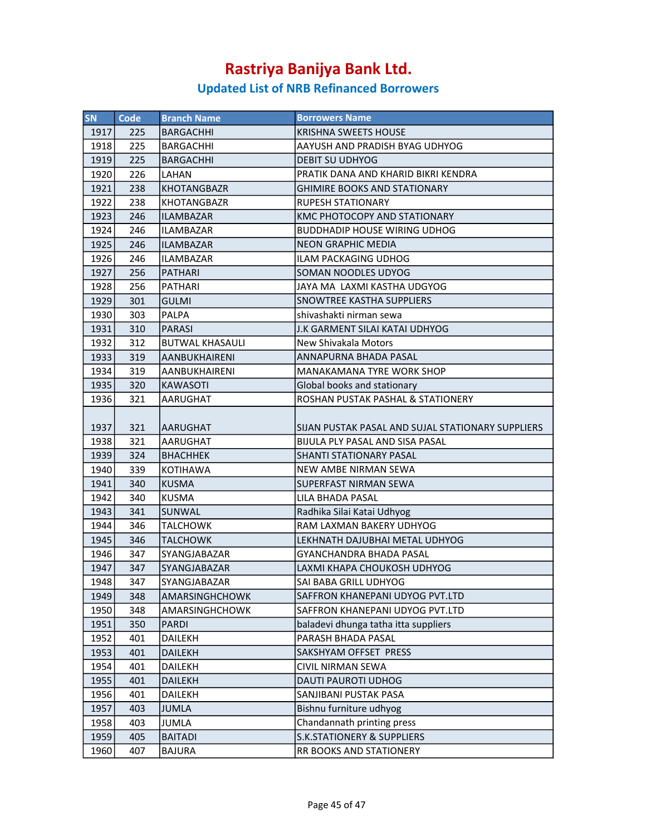| <b>SN</b> | Code | <b>Branch Name</b>     | <b>Borrowers Name</b>                             |
|-----------|------|------------------------|---------------------------------------------------|
| 1917      | 225  | <b>BARGACHHI</b>       | <b>KRISHNA SWEETS HOUSE</b>                       |
| 1918      | 225  | <b>BARGACHHI</b>       | AAYUSH AND PRADISH BYAG UDHYOG                    |
| 1919      | 225  | <b>BARGACHHI</b>       | <b>DEBIT SU UDHYOG</b>                            |
| 1920      | 226  | LAHAN                  | PRATIK DANA AND KHARID BIKRI KENDRA               |
| 1921      | 238  | <b>KHOTANGBAZR</b>     | <b>GHIMIRE BOOKS AND STATIONARY</b>               |
| 1922      | 238  | <b>KHOTANGBAZR</b>     | <b>RUPESH STATIONARY</b>                          |
| 1923      | 246  | <b>ILAMBAZAR</b>       | KMC PHOTOCOPY AND STATIONARY                      |
| 1924      | 246  | ILAMBAZAR              | <b>BUDDHADIP HOUSE WIRING UDHOG</b>               |
| 1925      | 246  | ILAMBAZAR              | <b>NEON GRAPHIC MEDIA</b>                         |
| 1926      | 246  | <b>ILAMBAZAR</b>       | <b>ILAM PACKAGING UDHOG</b>                       |
| 1927      | 256  | <b>PATHARI</b>         | <b>SOMAN NOODLES UDYOG</b>                        |
| 1928      | 256  | <b>PATHARI</b>         | JAYA MA LAXMI KASTHA UDGYOG                       |
| 1929      | 301  | <b>GULMI</b>           | <b>SNOWTREE KASTHA SUPPLIERS</b>                  |
| 1930      | 303  | <b>PALPA</b>           | shivashakti nirman sewa                           |
| 1931      | 310  | <b>PARASI</b>          | J.K GARMENT SILAI KATAI UDHYOG                    |
| 1932      | 312  | <b>BUTWAL KHASAULI</b> | New Shivakala Motors                              |
| 1933      | 319  | AANBUKHAIRENI          | ANNAPURNA BHADA PASAL                             |
| 1934      | 319  | AANBUKHAIRENI          | <b>MANAKAMANA TYRE WORK SHOP</b>                  |
| 1935      | 320  | <b>KAWASOTI</b>        | Global books and stationary                       |
| 1936      | 321  | <b>AARUGHAT</b>        | ROSHAN PUSTAK PASHAL & STATIONERY                 |
|           |      |                        |                                                   |
| 1937      | 321  | AARUGHAT               | SIJAN PUSTAK PASAL AND SUJAL STATIONARY SUPPLIERS |
| 1938      | 321  | AARUGHAT               | <b>BIJULA PLY PASAL AND SISA PASAL</b>            |
| 1939      | 324  | <b>BHACHHEK</b>        | <b>SHANTI STATIONARY PASAL</b>                    |
| 1940      | 339  | KOTIHAWA               | <b>NEW AMBE NIRMAN SEWA</b>                       |
| 1941      | 340  | <b>KUSMA</b>           | <b>SUPERFAST NIRMAN SEWA</b>                      |
| 1942      | 340  | <b>KUSMA</b>           | LILA BHADA PASAL                                  |
| 1943      | 341  | <b>SUNWAL</b>          | Radhika Silai Katai Udhyog                        |
| 1944      | 346  | <b>TALCHOWK</b>        | RAM LAXMAN BAKERY UDHYOG                          |
| 1945      | 346  | <b>TALCHOWK</b>        | LEKHNATH DAJUBHAI METAL UDHYOG                    |
| 1946      | 347  | SYANGJABAZAR           | GYANCHANDRA BHADA PASAL                           |
| 1947      | 347  | <b>SYANGJABAZAR</b>    | LAXMI KHAPA CHOUKOSH UDHYOG                       |
| 1948      | 347  | SYANGJABAZAR           | SAI BABA GRILL UDHYOG                             |
| 1949      | 348  | AMARSINGHCHOWK         | SAFFRON KHANEPANI UDYOG PVT.LTD                   |
| 1950      | 348  | AMARSINGHCHOWK         | SAFFRON KHANEPANI UDYOG PVT.LTD                   |
| 1951      | 350  | <b>PARDI</b>           | baladevi dhunga tatha itta suppliers              |
| 1952      | 401  | <b>DAILEKH</b>         | PARASH BHADA PASAL                                |
| 1953      | 401  | <b>DAILEKH</b>         | SAKSHYAM OFFSET PRESS                             |
| 1954      | 401  | DAILEKH                | <b>CIVIL NIRMAN SEWA</b>                          |
| 1955      | 401  | <b>DAILEKH</b>         | DAUTI PAUROTI UDHOG                               |
| 1956      | 401  | DAILEKH                | SANJIBANI PUSTAK PASA                             |
| 1957      | 403  | <b>JUMLA</b>           | Bishnu furniture udhyog                           |
| 1958      | 403  | JUMLA                  | Chandannath printing press                        |
| 1959      | 405  | <b>BAITADI</b>         | <b>S.K.STATIONERY &amp; SUPPLIERS</b>             |
| 1960      | 407  | <b>BAJURA</b>          | RR BOOKS AND STATIONERY                           |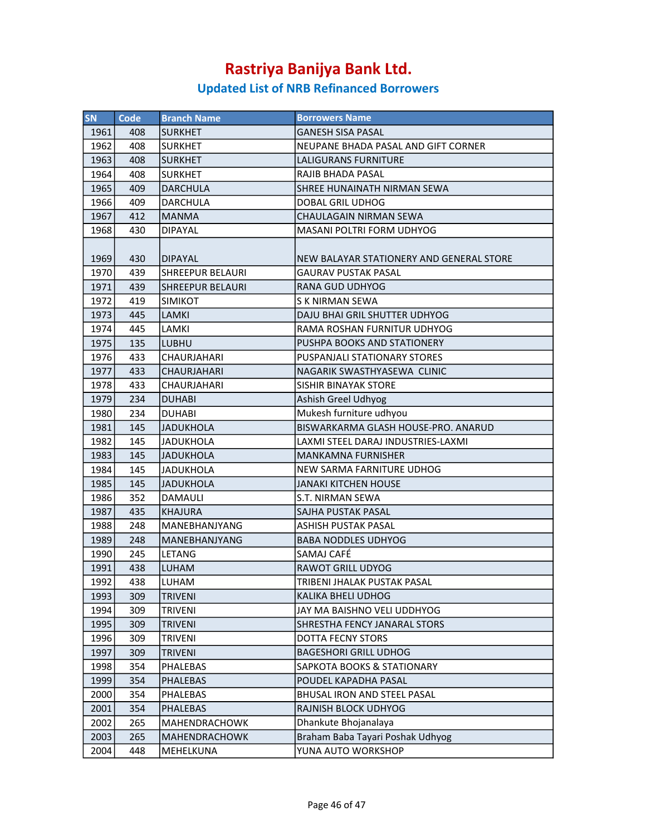| SN   | Code | <b>Branch Name</b>      | <b>Borrowers Name</b>                    |
|------|------|-------------------------|------------------------------------------|
| 1961 | 408  | <b>SURKHET</b>          | <b>GANESH SISA PASAL</b>                 |
| 1962 | 408  | <b>SURKHET</b>          | NEUPANE BHADA PASAL AND GIFT CORNER      |
| 1963 | 408  | <b>SURKHET</b>          | LALIGURANS FURNITURE                     |
| 1964 | 408  | <b>SURKHET</b>          | RAJIB BHADA PASAL                        |
| 1965 | 409  | <b>DARCHULA</b>         | <b>SHREE HUNAINATH NIRMAN SEWA</b>       |
| 1966 | 409  | <b>DARCHULA</b>         | DOBAL GRIL UDHOG                         |
| 1967 | 412  | <b>MANMA</b>            | CHAULAGAIN NIRMAN SEWA                   |
| 1968 | 430  | <b>DIPAYAL</b>          | MASANI POLTRI FORM UDHYOG                |
|      |      |                         |                                          |
| 1969 | 430  | <b>DIPAYAL</b>          | NEW BALAYAR STATIONERY AND GENERAL STORE |
| 1970 | 439  | SHREEPUR BELAURI        | <b>GAURAV PUSTAK PASAL</b>               |
| 1971 | 439  | <b>SHREEPUR BELAURI</b> | RANA GUD UDHYOG                          |
| 1972 | 419  | <b>SIMIKOT</b>          | S K NIRMAN SEWA                          |
| 1973 | 445  | <b>LAMKI</b>            | DAJU BHAI GRIL SHUTTER UDHYOG            |
| 1974 | 445  | LAMKI                   | RAMA ROSHAN FURNITUR UDHYOG              |
| 1975 | 135  | <b>LUBHU</b>            | PUSHPA BOOKS AND STATIONERY              |
| 1976 | 433  | <b>CHAURJAHARI</b>      | PUSPANJALI STATIONARY STORES             |
| 1977 | 433  | <b>CHAURJAHARI</b>      | NAGARIK SWASTHYASEWA CLINIC              |
| 1978 | 433  | <b>CHAURJAHARI</b>      | <b>SISHIR BINAYAK STORE</b>              |
| 1979 | 234  | <b>DUHABI</b>           | Ashish Greel Udhyog                      |
| 1980 | 234  | <b>DUHABI</b>           | Mukesh furniture udhyou                  |
| 1981 | 145  | <b>JADUKHOLA</b>        | BISWARKARMA GLASH HOUSE-PRO. ANARUD      |
| 1982 | 145  | JADUKHOLA               | LAXMI STEEL DARAJ INDUSTRIES-LAXMI       |
| 1983 | 145  | JADUKHOLA               | <b>MANKAMNA FURNISHER</b>                |
| 1984 | 145  | JADUKHOLA               | NEW SARMA FARNITURE UDHOG                |
| 1985 | 145  | <b>JADUKHOLA</b>        | JANAKI KITCHEN HOUSE                     |
| 1986 | 352  | DAMAULI                 | S.T. NIRMAN SEWA                         |
| 1987 | 435  | <b>KHAJURA</b>          | SAJHA PUSTAK PASAL                       |
| 1988 | 248  | MANEBHANJYANG           | ASHISH PUSTAK PASAL                      |
| 1989 | 248  | <b>MANEBHANJYANG</b>    | <b>BABA NODDLES UDHYOG</b>               |
| 1990 | 245  | LETANG                  | SAMAJ CAFÉ                               |
| 1991 | 438  | <b>LUHAM</b>            | <b>RAWOT GRILL UDYOG</b>                 |
| 1992 | 438  | LUHAM                   | TRIBENI JHALAK PUSTAK PASAL              |
| 1993 | 309  | <b>TRIVENI</b>          | KALIKA BHELI UDHOG                       |
| 1994 | 309  | TRIVENI                 | JAY MA BAISHNO VELI UDDHYOG              |
| 1995 | 309  | <b>TRIVENI</b>          | SHRESTHA FENCY JANARAL STORS             |
| 1996 | 309  | <b>TRIVENI</b>          | DOTTA FECNY STORS                        |
| 1997 | 309  | <b>TRIVENI</b>          | <b>BAGESHORI GRILL UDHOG</b>             |
| 1998 | 354  | PHALEBAS                | SAPKOTA BOOKS & STATIONARY               |
| 1999 | 354  | PHALEBAS                | POUDEL KAPADHA PASAL                     |
| 2000 | 354  | PHALEBAS                | BHUSAL IRON AND STEEL PASAL              |
| 2001 | 354  | PHALEBAS                | RAJNISH BLOCK UDHYOG                     |
| 2002 | 265  | MAHENDRACHOWK           | Dhankute Bhojanalaya                     |
| 2003 | 265  | MAHENDRACHOWK           | Braham Baba Tayari Poshak Udhyog         |
| 2004 | 448  | MEHELKUNA               | YUNA AUTO WORKSHOP                       |